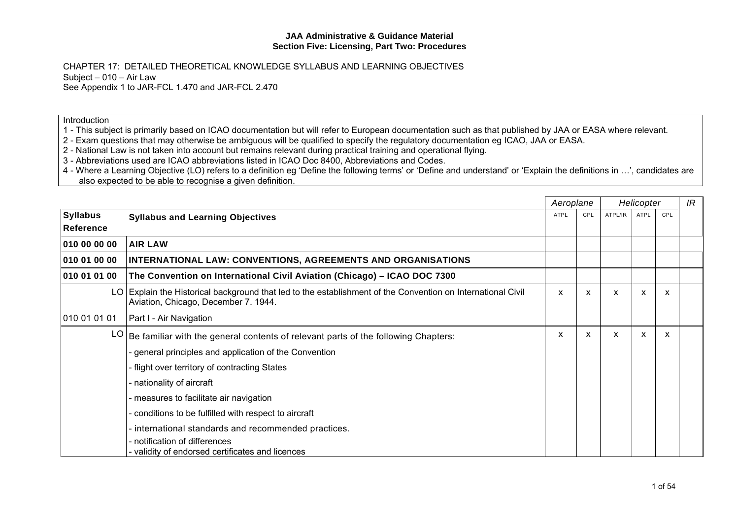CHAPTER 17: DETAILED THEORETICAL KNOWLEDGE SYLLABUS AND LEARNING OBJECTIVES Subject – 010 – Air Law See Appendix 1 to JAR-FCL 1.470 and JAR-FCL 2.470

**Introduction** 

1 - This subject is primarily based on ICAO documentation but will refer to European documentation such as that published by JAA or EASA where relevant.

- 2 Exam questions that may otherwise be ambiguous will be qualified to specify the regulatory documentation eg ICAO, JAA or EASA.
- 2 National Law is not taken into account but remains relevant during practical training and operational flying.

3 - Abbreviations used are ICAO abbreviations listed in ICAO Doc 8400, Abbreviations and Codes.

4 - Where a Learning Objective (LO) refers to a definition eg 'Define the following terms' or 'Define and understand' or 'Explain the definitions in …', candidates are also expected to be able to recognise a given definition.

|                                     |                                                                                                                                                     |      | Aeroplane |         | Helicopter  |     |  |
|-------------------------------------|-----------------------------------------------------------------------------------------------------------------------------------------------------|------|-----------|---------|-------------|-----|--|
| <b>Syllabus</b><br><b>Reference</b> | <b>Syllabus and Learning Objectives</b>                                                                                                             | ATPL | CPL       | ATPL/IR | <b>ATPL</b> | CPL |  |
| 010 00 00 00                        | <b>AIR LAW</b>                                                                                                                                      |      |           |         |             |     |  |
| 010 01 00 00                        | INTERNATIONAL LAW: CONVENTIONS, AGREEMENTS AND ORGANISATIONS                                                                                        |      |           |         |             |     |  |
| 010 01 01 00                        | The Convention on International Civil Aviation (Chicago) - ICAO DOC 7300                                                                            |      |           |         |             |     |  |
|                                     | LO Explain the Historical background that led to the establishment of the Convention on International Civil<br>Aviation, Chicago, December 7. 1944. | X    | X         | X       | X           | X   |  |
| 010 01 01 01                        | Part I - Air Navigation                                                                                                                             |      |           |         |             |     |  |
|                                     | $LO$ Be familiar with the general contents of relevant parts of the following Chapters:                                                             | X    | X         | X       | X           | X   |  |
|                                     | general principles and application of the Convention                                                                                                |      |           |         |             |     |  |
|                                     | - flight over territory of contracting States                                                                                                       |      |           |         |             |     |  |
|                                     | nationality of aircraft                                                                                                                             |      |           |         |             |     |  |
|                                     | measures to facilitate air navigation                                                                                                               |      |           |         |             |     |  |
|                                     | conditions to be fulfilled with respect to aircraft                                                                                                 |      |           |         |             |     |  |
|                                     | international standards and recommended practices.                                                                                                  |      |           |         |             |     |  |
|                                     | notification of differences<br>validity of endorsed certificates and licences                                                                       |      |           |         |             |     |  |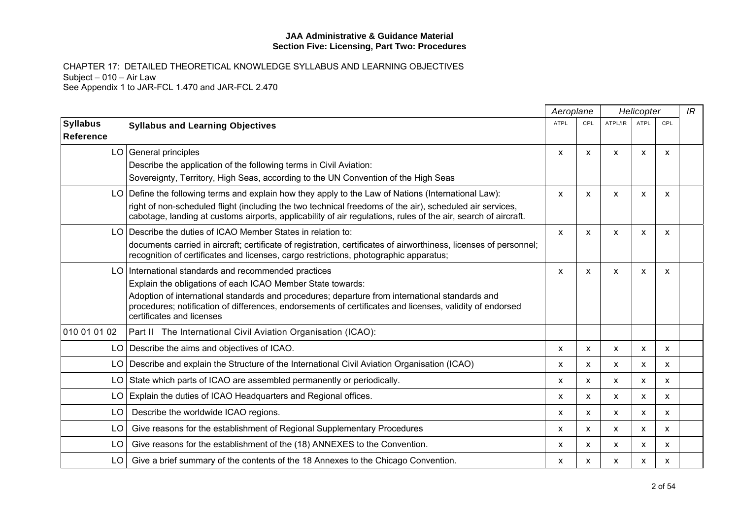|                                     |                                                                                                                                                                                                                                                                            | Aeroplane   |              |                           | Helicopter  |     | IR |
|-------------------------------------|----------------------------------------------------------------------------------------------------------------------------------------------------------------------------------------------------------------------------------------------------------------------------|-------------|--------------|---------------------------|-------------|-----|----|
| <b>Syllabus</b><br><b>Reference</b> | <b>Syllabus and Learning Objectives</b>                                                                                                                                                                                                                                    | <b>ATPL</b> | CPL          | ATPL/IR                   | <b>ATPL</b> | CPL |    |
|                                     | LO General principles<br>Describe the application of the following terms in Civil Aviation:                                                                                                                                                                                | X           | X            | $\boldsymbol{\mathsf{x}}$ | X           | X   |    |
|                                     | Sovereignty, Territory, High Seas, according to the UN Convention of the High Seas                                                                                                                                                                                         |             |              |                           |             |     |    |
|                                     | LO Define the following terms and explain how they apply to the Law of Nations (International Law):                                                                                                                                                                        | X           | X            | $\boldsymbol{\mathsf{x}}$ | X           | х   |    |
|                                     | right of non-scheduled flight (including the two technical freedoms of the air), scheduled air services,<br>cabotage, landing at customs airports, applicability of air regulations, rules of the air, search of aircraft.                                                 |             |              |                           |             |     |    |
|                                     | LO Describe the duties of ICAO Member States in relation to:<br>documents carried in aircraft; certificate of registration, certificates of airworthiness, licenses of personnel;<br>recognition of certificates and licenses, cargo restrictions, photographic apparatus; | X           | X            | $\boldsymbol{\mathsf{x}}$ | X           | X   |    |
|                                     | LO   International standards and recommended practices<br>Explain the obligations of each ICAO Member State towards:                                                                                                                                                       | X           | X            | $\boldsymbol{\mathsf{x}}$ | X           | X   |    |
|                                     | Adoption of international standards and procedures; departure from international standards and<br>procedures; notification of differences, endorsements of certificates and licenses, validity of endorsed<br>certificates and licenses                                    |             |              |                           |             |     |    |
| 010 01 01 02                        | Part II The International Civil Aviation Organisation (ICAO):                                                                                                                                                                                                              |             |              |                           |             |     |    |
|                                     | LO   Describe the aims and objectives of ICAO.                                                                                                                                                                                                                             | X           | $\mathsf{x}$ | $\boldsymbol{\mathsf{x}}$ | X           | X   |    |
|                                     | LO   Describe and explain the Structure of the International Civil Aviation Organisation (ICAO)                                                                                                                                                                            | X           | X            | X                         | X           | X   |    |
| LO.                                 | State which parts of ICAO are assembled permanently or periodically.                                                                                                                                                                                                       | X           | X            | X                         | X           | X   |    |
|                                     | LO Explain the duties of ICAO Headquarters and Regional offices.                                                                                                                                                                                                           | X           | X            | $\boldsymbol{\mathsf{x}}$ | X           | X   |    |
| LO.                                 | Describe the worldwide ICAO regions.                                                                                                                                                                                                                                       | X           | X            | X                         | x           | X   |    |
| LO                                  | Give reasons for the establishment of Regional Supplementary Procedures                                                                                                                                                                                                    | x           | X            | X                         | X           | X   |    |
| LO.                                 | Give reasons for the establishment of the (18) ANNEXES to the Convention.                                                                                                                                                                                                  | X           | X            | $\boldsymbol{\mathsf{x}}$ | X           | X   |    |
| LO                                  | Give a brief summary of the contents of the 18 Annexes to the Chicago Convention.                                                                                                                                                                                          | X           | x            | X                         | х           | х   |    |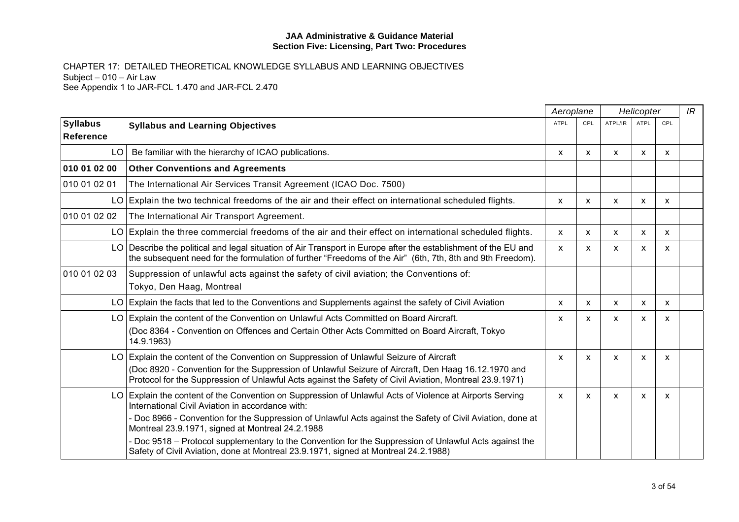|                              |                                                                                                                                                                                                                                                                                                                                                                                                                                                                                                                                 |                           | Aeroplane    |         | Helicopter  |            |  |
|------------------------------|---------------------------------------------------------------------------------------------------------------------------------------------------------------------------------------------------------------------------------------------------------------------------------------------------------------------------------------------------------------------------------------------------------------------------------------------------------------------------------------------------------------------------------|---------------------------|--------------|---------|-------------|------------|--|
| <b>Syllabus</b><br>Reference | <b>Syllabus and Learning Objectives</b>                                                                                                                                                                                                                                                                                                                                                                                                                                                                                         | <b>ATPL</b>               | CPL          | ATPL/IR | <b>ATPL</b> | <b>CPL</b> |  |
| LO I                         | Be familiar with the hierarchy of ICAO publications.                                                                                                                                                                                                                                                                                                                                                                                                                                                                            | $\mathsf{x}$              | $\mathsf{x}$ | X       | X           | x          |  |
| 010 01 02 00                 | <b>Other Conventions and Agreements</b>                                                                                                                                                                                                                                                                                                                                                                                                                                                                                         |                           |              |         |             |            |  |
| 010 01 02 01                 | The International Air Services Transit Agreement (ICAO Doc. 7500)                                                                                                                                                                                                                                                                                                                                                                                                                                                               |                           |              |         |             |            |  |
|                              | $LO$ Explain the two technical freedoms of the air and their effect on international scheduled flights.                                                                                                                                                                                                                                                                                                                                                                                                                         | X                         | x            | x       | X           | x          |  |
| 010 01 02 02                 | The International Air Transport Agreement.                                                                                                                                                                                                                                                                                                                                                                                                                                                                                      |                           |              |         |             |            |  |
|                              | LO Explain the three commercial freedoms of the air and their effect on international scheduled flights.                                                                                                                                                                                                                                                                                                                                                                                                                        | X                         | $\mathsf{x}$ | X       | X           | X          |  |
|                              | LO Describe the political and legal situation of Air Transport in Europe after the establishment of the EU and<br>the subsequent need for the formulation of further "Freedoms of the Air" (6th, 7th, 8th and 9th Freedom).                                                                                                                                                                                                                                                                                                     | $\mathsf{x}$              | X            | X       | X           | x          |  |
| 010 01 02 03                 | Suppression of unlawful acts against the safety of civil aviation; the Conventions of:<br>Tokyo, Den Haag, Montreal                                                                                                                                                                                                                                                                                                                                                                                                             |                           |              |         |             |            |  |
|                              | LO Explain the facts that led to the Conventions and Supplements against the safety of Civil Aviation                                                                                                                                                                                                                                                                                                                                                                                                                           | $\boldsymbol{\mathsf{x}}$ | $\mathsf{x}$ | X       | X           | x          |  |
|                              | LO Explain the content of the Convention on Unlawful Acts Committed on Board Aircraft.<br>(Doc 8364 - Convention on Offences and Certain Other Acts Committed on Board Aircraft, Tokyo<br>14.9.1963)                                                                                                                                                                                                                                                                                                                            | X                         | $\mathsf{x}$ | X       | X           | X          |  |
|                              | LO Explain the content of the Convention on Suppression of Unlawful Seizure of Aircraft<br>(Doc 8920 - Convention for the Suppression of Unlawful Seizure of Aircraft, Den Haag 16.12.1970 and<br>Protocol for the Suppression of Unlawful Acts against the Safety of Civil Aviation, Montreal 23.9.1971)                                                                                                                                                                                                                       | $\mathsf{x}$              | x            | X       | X           | x          |  |
|                              | LO Explain the content of the Convention on Suppression of Unlawful Acts of Violence at Airports Serving<br>International Civil Aviation in accordance with:<br>- Doc 8966 - Convention for the Suppression of Unlawful Acts against the Safety of Civil Aviation, done at<br>Montreal 23.9.1971, signed at Montreal 24.2.1988<br>- Doc 9518 - Protocol supplementary to the Convention for the Suppression of Unlawful Acts against the<br>Safety of Civil Aviation, done at Montreal 23.9.1971, signed at Montreal 24.2.1988) | $\mathsf{x}$              | $\mathsf{x}$ | X       | X           | X          |  |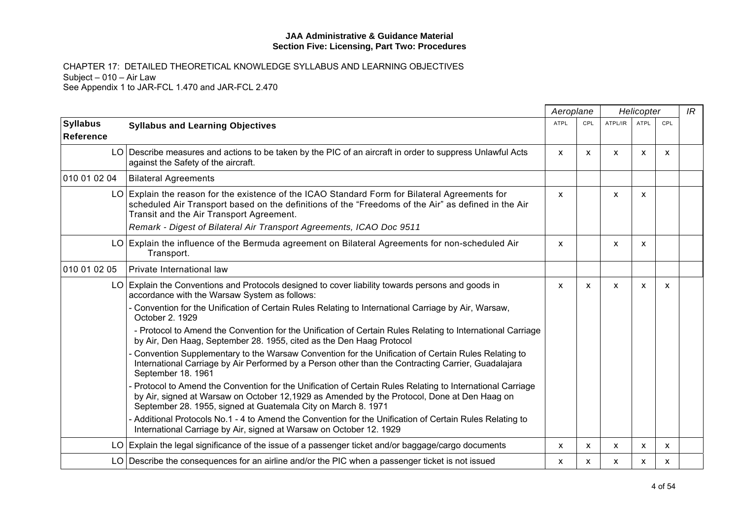|                                     |                                                                                                                                                                                                                                                                          | Aeroplane    |     | Helicopter   |      |     | IR |
|-------------------------------------|--------------------------------------------------------------------------------------------------------------------------------------------------------------------------------------------------------------------------------------------------------------------------|--------------|-----|--------------|------|-----|----|
| <b>Syllabus</b><br><b>Reference</b> | <b>Syllabus and Learning Objectives</b>                                                                                                                                                                                                                                  | ATPL         | CPL | ATPL/IR      | ATPL | CPL |    |
|                                     | LO Describe measures and actions to be taken by the PIC of an aircraft in order to suppress Unlawful Acts<br>against the Safety of the aircraft.                                                                                                                         | $\mathsf{x}$ | X   | $\mathsf{x}$ | X    | X   |    |
| 010 01 02 04                        | <b>Bilateral Agreements</b>                                                                                                                                                                                                                                              |              |     |              |      |     |    |
|                                     | LO Explain the reason for the existence of the ICAO Standard Form for Bilateral Agreements for<br>scheduled Air Transport based on the definitions of the "Freedoms of the Air" as defined in the Air<br>Transit and the Air Transport Agreement.                        | X            |     | X            | X    |     |    |
|                                     | Remark - Digest of Bilateral Air Transport Agreements, ICAO Doc 9511                                                                                                                                                                                                     |              |     |              |      |     |    |
|                                     | LO Explain the influence of the Bermuda agreement on Bilateral Agreements for non-scheduled Air<br>Transport.                                                                                                                                                            | X            |     | X            | X    |     |    |
| 010 01 02 05                        | Private International law                                                                                                                                                                                                                                                |              |     |              |      |     |    |
|                                     | LO Explain the Conventions and Protocols designed to cover liability towards persons and goods in<br>accordance with the Warsaw System as follows:                                                                                                                       | X            | X   | X            | X    | х   |    |
|                                     | - Convention for the Unification of Certain Rules Relating to International Carriage by Air, Warsaw,<br>October 2. 1929                                                                                                                                                  |              |     |              |      |     |    |
|                                     | - Protocol to Amend the Convention for the Unification of Certain Rules Relating to International Carriage<br>by Air, Den Haag, September 28. 1955, cited as the Den Haag Protocol                                                                                       |              |     |              |      |     |    |
|                                     | Convention Supplementary to the Warsaw Convention for the Unification of Certain Rules Relating to<br>International Carriage by Air Performed by a Person other than the Contracting Carrier, Guadalajara<br>September 18. 1961                                          |              |     |              |      |     |    |
|                                     | Protocol to Amend the Convention for the Unification of Certain Rules Relating to International Carriage<br>by Air, signed at Warsaw on October 12,1929 as Amended by the Protocol, Done at Den Haag on<br>September 28. 1955, signed at Guatemala City on March 8. 1971 |              |     |              |      |     |    |
|                                     | - Additional Protocols No.1 - 4 to Amend the Convention for the Unification of Certain Rules Relating to<br>International Carriage by Air, signed at Warsaw on October 12. 1929                                                                                          |              |     |              |      |     |    |
|                                     | LO Explain the legal significance of the issue of a passenger ticket and/or baggage/cargo documents                                                                                                                                                                      | X            | X   | $\mathsf{x}$ | X    | X   |    |
|                                     | LO Describe the consequences for an airline and/or the PIC when a passenger ticket is not issued                                                                                                                                                                         | x            | x   | x            | x    | X   |    |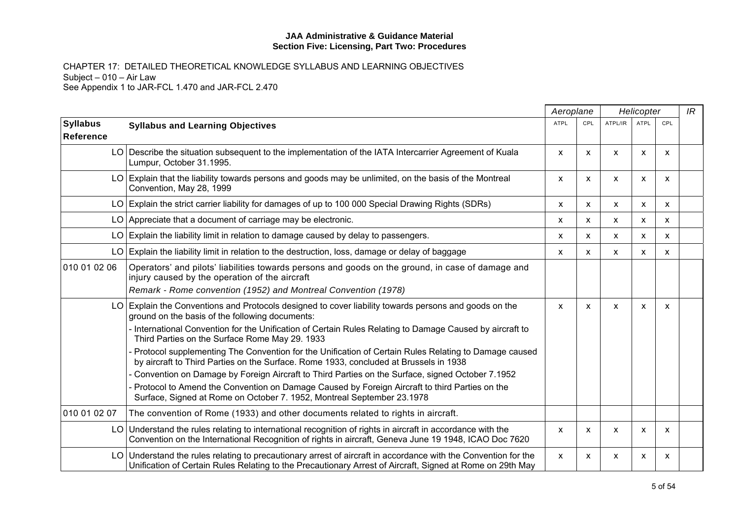|                              |                                                                                                                                                                                                                             | Aeroplane    |            |              | Helicopter                |                           | IR |
|------------------------------|-----------------------------------------------------------------------------------------------------------------------------------------------------------------------------------------------------------------------------|--------------|------------|--------------|---------------------------|---------------------------|----|
| <b>Syllabus</b><br>Reference | <b>Syllabus and Learning Objectives</b>                                                                                                                                                                                     | <b>ATPL</b>  | <b>CPL</b> | ATPL/IR      | <b>ATPL</b>               | CPL                       |    |
|                              | LO Describe the situation subsequent to the implementation of the IATA Intercarrier Agreement of Kuala<br>Lumpur, October 31.1995.                                                                                          | $\mathsf{x}$ | X          | $\mathsf{x}$ | X                         | $\mathsf{x}$              |    |
|                              | LO Explain that the liability towards persons and goods may be unlimited, on the basis of the Montreal<br>Convention, May 28, 1999                                                                                          | X            | X          | X            | X                         | $\boldsymbol{\mathsf{x}}$ |    |
|                              | LO Explain the strict carrier liability for damages of up to 100 000 Special Drawing Rights (SDRs)                                                                                                                          | X            | X          | X            | $\boldsymbol{\mathsf{x}}$ | X                         |    |
|                              | LO Appreciate that a document of carriage may be electronic.                                                                                                                                                                | X            | X          | x            | $\boldsymbol{\mathsf{x}}$ | X                         |    |
|                              | $LO$ Explain the liability limit in relation to damage caused by delay to passengers.                                                                                                                                       | $\mathsf{x}$ | X          | X            | $\boldsymbol{\mathsf{x}}$ | $\boldsymbol{\mathsf{x}}$ |    |
|                              | LO Explain the liability limit in relation to the destruction, loss, damage or delay of baggage                                                                                                                             | $\mathsf{x}$ | X          | X            | $\boldsymbol{\mathsf{x}}$ | $\boldsymbol{\mathsf{x}}$ |    |
| 010 01 02 06                 | Operators' and pilots' liabilities towards persons and goods on the ground, in case of damage and<br>injury caused by the operation of the aircraft                                                                         |              |            |              |                           |                           |    |
|                              | Remark - Rome convention (1952) and Montreal Convention (1978)                                                                                                                                                              |              |            |              |                           |                           |    |
|                              | LO Explain the Conventions and Protocols designed to cover liability towards persons and goods on the<br>ground on the basis of the following documents:                                                                    | $\mathsf{x}$ | X          | X            | X                         | $\boldsymbol{\mathsf{x}}$ |    |
|                              | International Convention for the Unification of Certain Rules Relating to Damage Caused by aircraft to<br>Third Parties on the Surface Rome May 29. 1933                                                                    |              |            |              |                           |                           |    |
|                              | Protocol supplementing The Convention for the Unification of Certain Rules Relating to Damage caused<br>by aircraft to Third Parties on the Surface. Rome 1933, concluded at Brussels in 1938                               |              |            |              |                           |                           |    |
|                              | Convention on Damage by Foreign Aircraft to Third Parties on the Surface, signed October 7.1952                                                                                                                             |              |            |              |                           |                           |    |
|                              | Protocol to Amend the Convention on Damage Caused by Foreign Aircraft to third Parties on the<br>Surface, Signed at Rome on October 7. 1952, Montreal September 23.1978                                                     |              |            |              |                           |                           |    |
| 010 01 02 07                 | The convention of Rome (1933) and other documents related to rights in aircraft.                                                                                                                                            |              |            |              |                           |                           |    |
|                              | LO Understand the rules relating to international recognition of rights in aircraft in accordance with the<br>Convention on the International Recognition of rights in aircraft, Geneva June 19 1948, ICAO Doc 7620         | X            | X          | X            | X                         | X                         |    |
|                              | LO Understand the rules relating to precautionary arrest of aircraft in accordance with the Convention for the<br>Unification of Certain Rules Relating to the Precautionary Arrest of Aircraft, Signed at Rome on 29th May | $\mathsf{x}$ | X          | X            | X                         | X                         |    |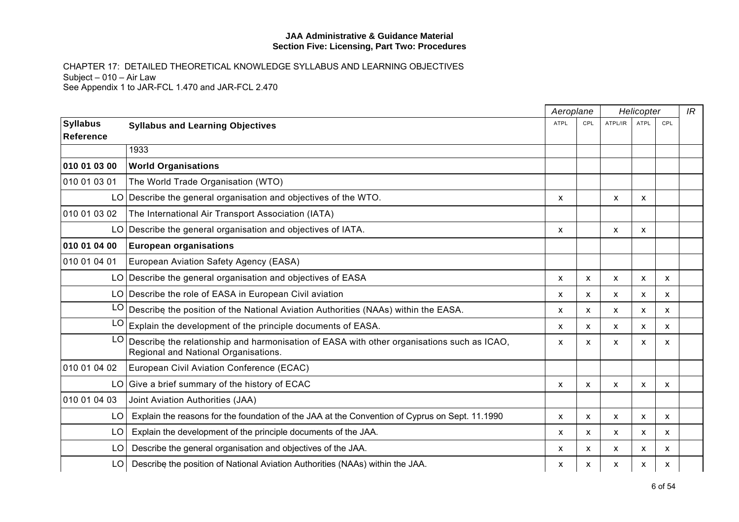|                              |                                                                                                                                    | Aeroplane   |              | Helicopter |             |     | IR |
|------------------------------|------------------------------------------------------------------------------------------------------------------------------------|-------------|--------------|------------|-------------|-----|----|
| <b>Syllabus</b><br>Reference | <b>Syllabus and Learning Objectives</b>                                                                                            | <b>ATPL</b> | CPL          | ATPL/IR    | <b>ATPL</b> | CPL |    |
|                              | 1933                                                                                                                               |             |              |            |             |     |    |
| 010 01 03 00                 | <b>World Organisations</b>                                                                                                         |             |              |            |             |     |    |
| 010 01 03 01                 | The World Trade Organisation (WTO)                                                                                                 |             |              |            |             |     |    |
|                              | LO Describe the general organisation and objectives of the WTO.                                                                    | x           |              | X          | X           |     |    |
| 010 01 03 02                 | The International Air Transport Association (IATA)                                                                                 |             |              |            |             |     |    |
|                              | LO Describe the general organisation and objectives of IATA.                                                                       | x           |              | X          | х           |     |    |
| 010 01 04 00                 | <b>European organisations</b>                                                                                                      |             |              |            |             |     |    |
| 010 01 04 01                 | European Aviation Safety Agency (EASA)                                                                                             |             |              |            |             |     |    |
|                              | LO Describe the general organisation and objectives of EASA                                                                        | x           | X            | X          | X           | х   |    |
|                              | LO Describe the role of EASA in European Civil aviation                                                                            | x           | X            | X          | X           | X   |    |
| LO                           | Describe the position of the National Aviation Authorities (NAAs) within the EASA.                                                 | x           | X            | X          | X           | X   |    |
| LO                           | Explain the development of the principle documents of EASA.                                                                        | x           | $\mathsf{x}$ | X          | X           | X   |    |
| LO                           | Describe the relationship and harmonisation of EASA with other organisations such as ICAO,<br>Regional and National Organisations. | x           | X            | X          | X           | X   |    |
| 010 01 04 02                 | European Civil Aviation Conference (ECAC)                                                                                          |             |              |            |             |     |    |
|                              | $LO$ Give a brief summary of the history of ECAC                                                                                   | X           | X            | X          | X           | X   |    |
| 010 01 04 03                 | Joint Aviation Authorities (JAA)                                                                                                   |             |              |            |             |     |    |
| LO                           | Explain the reasons for the foundation of the JAA at the Convention of Cyprus on Sept. 11.1990                                     | x           | X            | X          | X           | х   |    |
| LO                           | Explain the development of the principle documents of the JAA.                                                                     | x           | $\mathsf{x}$ | X          | X           | X   |    |
| LO                           | Describe the general organisation and objectives of the JAA.                                                                       | X.          | $\mathsf{x}$ | X          | X           | X   |    |
| LO                           | Describe the position of National Aviation Authorities (NAAs) within the JAA.                                                      | X           | X            | X          | x           | х   |    |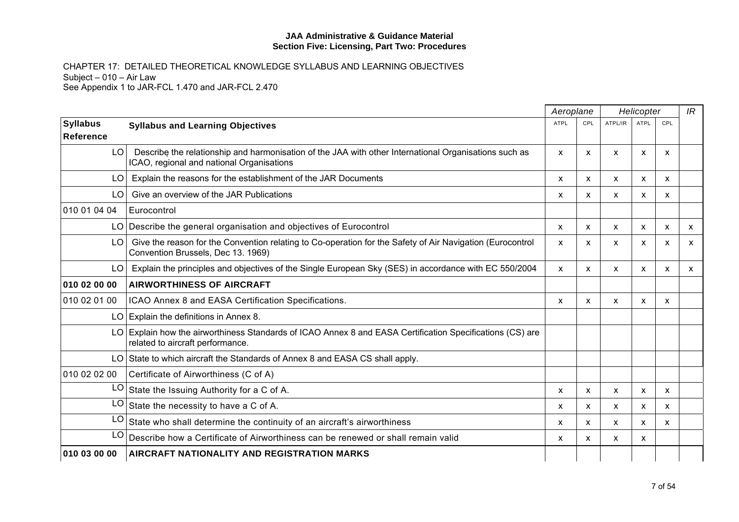|                  |                                                                                                                                                    | Aeroplane    |              |              | Helicopter                |     | IR |
|------------------|----------------------------------------------------------------------------------------------------------------------------------------------------|--------------|--------------|--------------|---------------------------|-----|----|
| <b>Syllabus</b>  | <b>Syllabus and Learning Objectives</b>                                                                                                            | ATPL         | CPL          | ATPL/IR      | <b>ATPL</b>               | CPL |    |
| <b>Reference</b> |                                                                                                                                                    |              |              |              |                           |     |    |
| LO.              | Describe the relationship and harmonisation of the JAA with other International Organisations such as<br>ICAO, regional and national Organisations | X            | x            | X            | X                         | X   |    |
| LO               | Explain the reasons for the establishment of the JAR Documents                                                                                     | X            | X            | x            | x                         | X   |    |
| LO               | Give an overview of the JAR Publications                                                                                                           | x            | X            | $\mathsf{x}$ | X                         | X   |    |
| 010 01 04 04     | Eurocontrol                                                                                                                                        |              |              |              |                           |     |    |
|                  | LO Describe the general organisation and objectives of Eurocontrol                                                                                 | X            | X            | X            | X                         | X   | X  |
| LO.              | Give the reason for the Convention relating to Co-operation for the Safety of Air Navigation (Eurocontrol<br>Convention Brussels, Dec 13. 1969)    | X            | X            | X            | X                         | X   | X  |
| LO.              | Explain the principles and objectives of the Single European Sky (SES) in accordance with EC 550/2004                                              | $\mathsf{x}$ | X            | X            | X                         | X   | X  |
| 010 02 00 00     | <b>AIRWORTHINESS OF AIRCRAFT</b>                                                                                                                   |              |              |              |                           |     |    |
| 010 02 01 00     | ICAO Annex 8 and EASA Certification Specifications.                                                                                                | X            | X            | X            | X                         | X   |    |
|                  | LO Explain the definitions in Annex 8.                                                                                                             |              |              |              |                           |     |    |
|                  | LO Explain how the airworthiness Standards of ICAO Annex 8 and EASA Certification Specifications (CS) are<br>related to aircraft performance.      |              |              |              |                           |     |    |
|                  | LO State to which aircraft the Standards of Annex 8 and EASA CS shall apply.                                                                       |              |              |              |                           |     |    |
| 010 02 02 00     | Certificate of Airworthiness (C of A)                                                                                                              |              |              |              |                           |     |    |
| LO <sub>1</sub>  | State the Issuing Authority for a C of A.                                                                                                          | X            | $\mathsf{x}$ | X            | $\boldsymbol{\mathsf{x}}$ | X   |    |
| LO               | State the necessity to have a C of A.                                                                                                              | X            | X            | X            | X                         | X   |    |
| LO.              | State who shall determine the continuity of an aircraft's airworthiness                                                                            | x            | X            | X            | X                         | X   |    |
| LO.              | Describe how a Certificate of Airworthiness can be renewed or shall remain valid                                                                   | X            | $\mathsf{x}$ | X            | X                         |     |    |
| 010 03 00 00     | <b>AIRCRAFT NATIONALITY AND REGISTRATION MARKS</b>                                                                                                 |              |              |              |                           |     |    |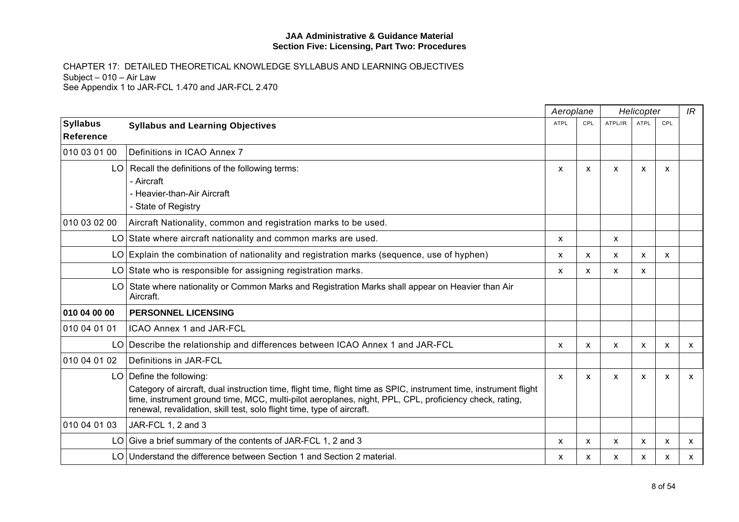|                              |                                                                                                                                                                                                                                                                                                                                     | Aeroplane   |                           | Helicopter                |                           |                           | IR           |
|------------------------------|-------------------------------------------------------------------------------------------------------------------------------------------------------------------------------------------------------------------------------------------------------------------------------------------------------------------------------------|-------------|---------------------------|---------------------------|---------------------------|---------------------------|--------------|
| <b>Syllabus</b><br>Reference | <b>Syllabus and Learning Objectives</b>                                                                                                                                                                                                                                                                                             | <b>ATPL</b> | CPL                       | ATPL/IR                   | <b>ATPL</b>               | CPL                       |              |
| 010 03 01 00                 | Definitions in ICAO Annex 7                                                                                                                                                                                                                                                                                                         |             |                           |                           |                           |                           |              |
|                              | LO   Recall the definitions of the following terms:<br>- Aircraft<br>- Heavier-than-Air Aircraft<br>- State of Registry                                                                                                                                                                                                             | X           | $\mathsf{x}$              | X                         | X                         | $\boldsymbol{\mathsf{x}}$ |              |
| 010 03 02 00                 | Aircraft Nationality, common and registration marks to be used.                                                                                                                                                                                                                                                                     |             |                           |                           |                           |                           |              |
|                              | LO State where aircraft nationality and common marks are used.                                                                                                                                                                                                                                                                      | X           |                           | X                         |                           |                           |              |
|                              | $LO$ Explain the combination of nationality and registration marks (sequence, use of hyphen)                                                                                                                                                                                                                                        | X           | X                         | X                         | X                         | $\mathsf{x}$              |              |
|                              | LO State who is responsible for assigning registration marks.                                                                                                                                                                                                                                                                       | X           | X                         | X                         | X                         |                           |              |
|                              | LO State where nationality or Common Marks and Registration Marks shall appear on Heavier than Air<br>Aircraft.                                                                                                                                                                                                                     |             |                           |                           |                           |                           |              |
| 010 04 00 00                 | <b>PERSONNEL LICENSING</b>                                                                                                                                                                                                                                                                                                          |             |                           |                           |                           |                           |              |
| 010 04 01 01                 | <b>ICAO Annex 1 and JAR-FCL</b>                                                                                                                                                                                                                                                                                                     |             |                           |                           |                           |                           |              |
|                              | LO   Describe the relationship and differences between ICAO Annex 1 and JAR-FCL                                                                                                                                                                                                                                                     | X           | X                         | X                         | X                         | $\boldsymbol{\mathsf{x}}$ | $\mathsf{x}$ |
| 010 04 01 02                 | Definitions in JAR-FCL                                                                                                                                                                                                                                                                                                              |             |                           |                           |                           |                           |              |
|                              | $LO$ Define the following:<br>Category of aircraft, dual instruction time, flight time, flight time as SPIC, instrument time, instrument flight<br>time, instrument ground time, MCC, multi-pilot aeroplanes, night, PPL, CPL, proficiency check, rating,<br>renewal, revalidation, skill test, solo flight time, type of aircraft. | x           | X                         | X                         | X                         | X                         | $\mathsf{x}$ |
| 010 04 01 03                 | JAR-FCL 1, 2 and 3                                                                                                                                                                                                                                                                                                                  |             |                           |                           |                           |                           |              |
|                              | LO Give a brief summary of the contents of JAR-FCL 1, 2 and 3                                                                                                                                                                                                                                                                       | X           | $\boldsymbol{\mathsf{x}}$ | $\boldsymbol{\mathsf{x}}$ | $\boldsymbol{\mathsf{x}}$ | $\boldsymbol{\mathsf{x}}$ | $\mathsf{x}$ |
|                              | LO Understand the difference between Section 1 and Section 2 material.                                                                                                                                                                                                                                                              | x           | x                         | x                         | X                         | X                         | X            |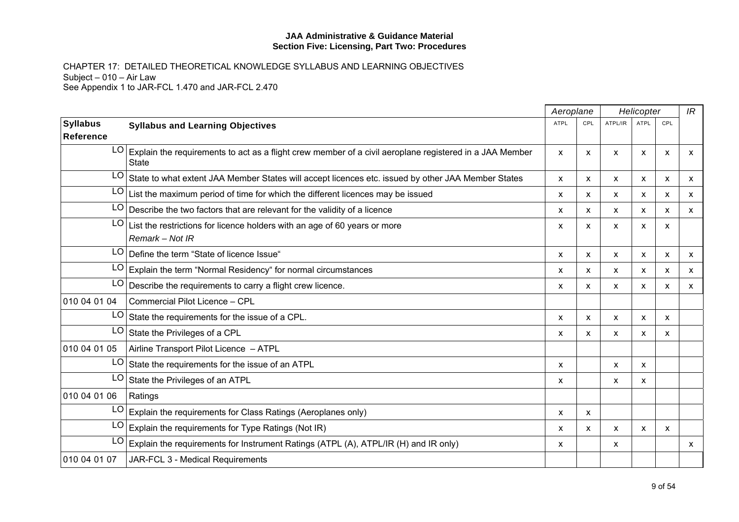|                              |                                                                                                                         |             | Aeroplane    | Helicopter                |             |     | IR           |
|------------------------------|-------------------------------------------------------------------------------------------------------------------------|-------------|--------------|---------------------------|-------------|-----|--------------|
| <b>Syllabus</b><br>Reference | <b>Syllabus and Learning Objectives</b>                                                                                 | <b>ATPL</b> | CPL          | ATPL/IR                   | <b>ATPL</b> | CPL |              |
| LO                           | Explain the requirements to act as a flight crew member of a civil aeroplane registered in a JAA Member<br><b>State</b> | X           | X            | X                         | X           | X   | X            |
| LO                           | State to what extent JAA Member States will accept licences etc. issued by other JAA Member States                      | X           | $\mathsf{x}$ | X                         | X           | X   | X            |
| LO                           | List the maximum period of time for which the different licences may be issued                                          | X.          | X            | X                         | X           | X   | $\mathsf{x}$ |
| LO                           | Describe the two factors that are relevant for the validity of a licence                                                | X           | $\mathsf{x}$ | X                         | X           | X   | $\mathsf{x}$ |
| LO                           | List the restrictions for licence holders with an age of 60 years or more<br>Remark - Not IR                            | X           | X            | X                         | X           | X   |              |
| LO                           | Define the term "State of licence Issue"                                                                                | X           | X            | X                         | X           | X   | X            |
| LO                           | Explain the term "Normal Residency" for normal circumstances                                                            | X.          | $\mathsf{x}$ | X                         | x           | х   | X            |
| LO                           | Describe the requirements to carry a flight crew licence.                                                               | x           | X            | X                         | x           | X   | X            |
| 010 04 01 04                 | Commercial Pilot Licence - CPL                                                                                          |             |              |                           |             |     |              |
| LO                           | State the requirements for the issue of a CPL.                                                                          | X           | X            | X                         | X           | X   |              |
| LO                           | State the Privileges of a CPL                                                                                           | x           | X            | X                         | X           | X   |              |
| 010 04 01 05                 | Airline Transport Pilot Licence - ATPL                                                                                  |             |              |                           |             |     |              |
| LO                           | State the requirements for the issue of an ATPL                                                                         | X           |              | $\boldsymbol{\mathsf{x}}$ | X           |     |              |
| LO                           | State the Privileges of an ATPL                                                                                         | X           |              | X                         | X           |     |              |
| 010 04 01 06                 | Ratings                                                                                                                 |             |              |                           |             |     |              |
| LO                           | Explain the requirements for Class Ratings (Aeroplanes only)                                                            | X           | X            |                           |             |     |              |
| LO                           | Explain the requirements for Type Ratings (Not IR)                                                                      | X           | X            | X                         | X           | X   |              |
| LO                           | Explain the requirements for Instrument Ratings (ATPL (A), ATPL/IR (H) and IR only)                                     | X           |              | X                         |             |     | $\mathsf{x}$ |
| 010 04 01 07                 | JAR-FCL 3 - Medical Requirements                                                                                        |             |              |                           |             |     |              |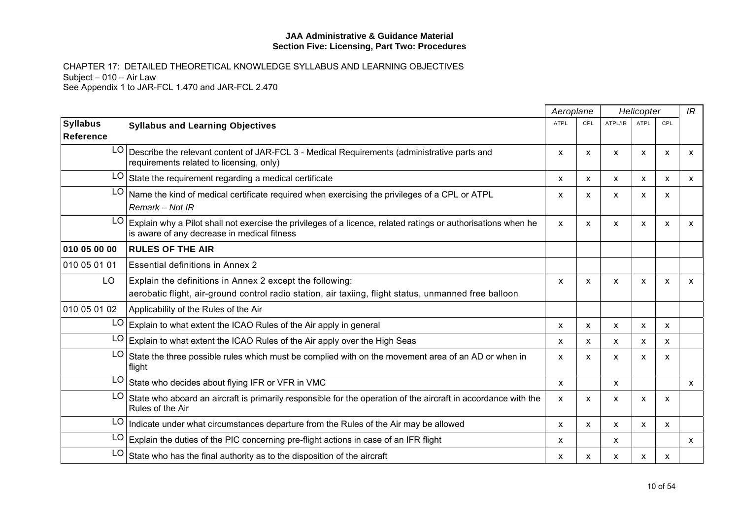|                                     |                                                                                                                                                                   |             | Aeroplane    |                           | Helicopter  |     |              |
|-------------------------------------|-------------------------------------------------------------------------------------------------------------------------------------------------------------------|-------------|--------------|---------------------------|-------------|-----|--------------|
| <b>Syllabus</b><br><b>Reference</b> | <b>Syllabus and Learning Objectives</b>                                                                                                                           | <b>ATPL</b> | CPL          | ATPL/IR                   | <b>ATPL</b> | CPL |              |
|                                     | LO   Describe the relevant content of JAR-FCL 3 - Medical Requirements (administrative parts and<br>requirements related to licensing, only)                      | X           | X            | $\boldsymbol{\mathsf{x}}$ | X           | X   | X            |
| LO.                                 | State the requirement regarding a medical certificate                                                                                                             | X           | X            | $\mathsf{x}$              | x           | X   | x            |
| LO.                                 | Name the kind of medical certificate required when exercising the privileges of a CPL or ATPL<br>Remark - Not IR                                                  | X           | X            | $\boldsymbol{\mathsf{x}}$ | X           | X   |              |
| LO                                  | Explain why a Pilot shall not exercise the privileges of a licence, related ratings or authorisations when he<br>is aware of any decrease in medical fitness      | X           | X            | $\boldsymbol{\mathsf{x}}$ | X           | X   | X            |
| 010 05 00 00                        | <b>RULES OF THE AIR</b>                                                                                                                                           |             |              |                           |             |     |              |
| 010 05 01 01                        | <b>Essential definitions in Annex 2</b>                                                                                                                           |             |              |                           |             |     |              |
| LO                                  | Explain the definitions in Annex 2 except the following:<br>aerobatic flight, air-ground control radio station, air taxiing, flight status, unmanned free balloon | X           | X            | X                         | X           | X   | X            |
| 010 05 01 02                        | Applicability of the Rules of the Air                                                                                                                             |             |              |                           |             |     |              |
|                                     | $LO$ Explain to what extent the ICAO Rules of the Air apply in general                                                                                            | X           | X            | X                         | X           | X   |              |
| LO                                  | Explain to what extent the ICAO Rules of the Air apply over the High Seas                                                                                         | X           | X            | $\boldsymbol{\mathsf{x}}$ | X           | X   |              |
| LO                                  | State the three possible rules which must be complied with on the movement area of an AD or when in<br>flight                                                     | X           | X            | $\boldsymbol{\mathsf{x}}$ | X           | X   |              |
|                                     | LO State who decides about flying IFR or VFR in VMC                                                                                                               | X           |              | $\boldsymbol{\mathsf{x}}$ |             |     | $\mathsf{x}$ |
| LO.                                 | State who aboard an aircraft is primarily responsible for the operation of the aircraft in accordance with the<br>Rules of the Air                                | X           | X            | X                         | X           | X   |              |
|                                     | LO   Indicate under what circumstances departure from the Rules of the Air may be allowed                                                                         | X           | $\mathsf{x}$ | $\boldsymbol{\mathsf{x}}$ | X           | X   |              |
|                                     | $LO$ Explain the duties of the PIC concerning pre-flight actions in case of an IFR flight                                                                         | x           |              | $\boldsymbol{\mathsf{x}}$ |             |     | <b>X</b>     |
| LO                                  | State who has the final authority as to the disposition of the aircraft                                                                                           | x           | x            | X                         | X           | X   |              |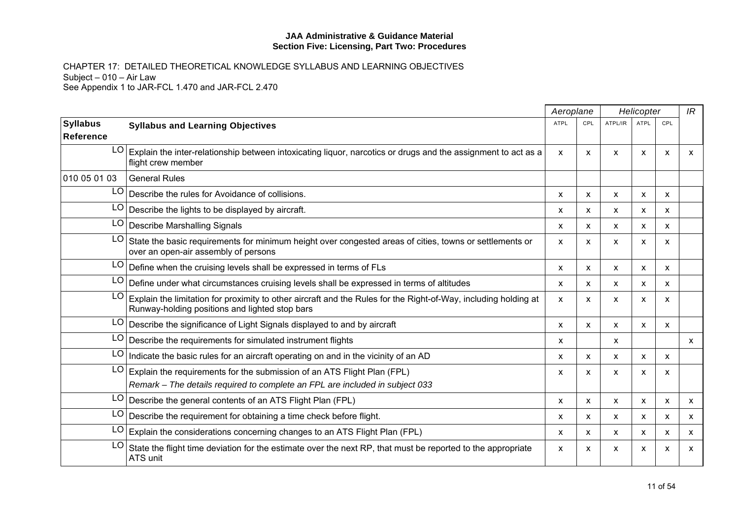|                               |                                                                                                                                                                   | Aeroplane<br>Helicopter |     | IR                        |                           |                           |              |
|-------------------------------|-------------------------------------------------------------------------------------------------------------------------------------------------------------------|-------------------------|-----|---------------------------|---------------------------|---------------------------|--------------|
| <b>Syllabus</b><br>∣Reference | <b>Syllabus and Learning Objectives</b>                                                                                                                           | <b>ATPL</b>             | CPL | ATPL/IR                   | <b>ATPL</b>               | CPL                       |              |
| LO                            | Explain the inter-relationship between intoxicating liquor, narcotics or drugs and the assignment to act as a<br>flight crew member                               | X                       | X   | X                         | X                         | X                         | X            |
| 010 05 01 03                  | <b>General Rules</b>                                                                                                                                              |                         |     |                           |                           |                           |              |
| LO                            | Describe the rules for Avoidance of collisions.                                                                                                                   | x                       | X   | X                         | X                         | $\mathsf{x}$              |              |
| LO                            | Describe the lights to be displayed by aircraft.                                                                                                                  | x                       | X   | X                         | X                         | $\boldsymbol{\mathsf{x}}$ |              |
| LO                            | Describe Marshalling Signals                                                                                                                                      | X                       | x   | $\boldsymbol{\mathsf{x}}$ | X                         | X                         |              |
| LO                            | State the basic requirements for minimum height over congested areas of cities, towns or settlements or<br>over an open-air assembly of persons                   | x                       | X   | $\boldsymbol{\mathsf{x}}$ | X                         | X                         |              |
| LO                            | Define when the cruising levels shall be expressed in terms of FLs                                                                                                | X                       | X   | X                         | $\boldsymbol{\mathsf{x}}$ | $\boldsymbol{\mathsf{x}}$ |              |
| LO                            | Define under what circumstances cruising levels shall be expressed in terms of altitudes                                                                          | X                       | x   | $\boldsymbol{\mathsf{x}}$ | X                         | X                         |              |
| LO                            | Explain the limitation for proximity to other aircraft and the Rules for the Right-of-Way, including holding at<br>Runway-holding positions and lighted stop bars | X                       | X   | $\boldsymbol{\mathsf{x}}$ | X                         | X                         |              |
| LO                            | Describe the significance of Light Signals displayed to and by aircraft                                                                                           | $\mathsf{x}$            | X   | X                         | $\boldsymbol{\mathsf{x}}$ | $\boldsymbol{\mathsf{x}}$ |              |
| LO                            | Describe the requirements for simulated instrument flights                                                                                                        | X                       |     | $\boldsymbol{\mathsf{x}}$ |                           |                           | $\mathsf{x}$ |
| LO                            | Indicate the basic rules for an aircraft operating on and in the vicinity of an AD                                                                                | X                       | X   | $\boldsymbol{\mathsf{x}}$ | $\mathsf{x}$              | $\mathsf{x}$              |              |
| LO                            | Explain the requirements for the submission of an ATS Flight Plan (FPL)<br>Remark - The details required to complete an FPL are included in subject 033           | X                       | x   | $\boldsymbol{\mathsf{x}}$ | $\boldsymbol{\mathsf{x}}$ | $\boldsymbol{\mathsf{x}}$ |              |
| LO                            | Describe the general contents of an ATS Flight Plan (FPL)                                                                                                         | x                       | X   | X                         | X                         | X                         | X            |
| LO                            | Describe the requirement for obtaining a time check before flight.                                                                                                | X                       | X   | X                         | $\mathsf{x}$              | $\mathsf{x}$              | $\mathsf{x}$ |
| LO                            | Explain the considerations concerning changes to an ATS Flight Plan (FPL)                                                                                         | X                       | X   | $\boldsymbol{\mathsf{x}}$ | $\mathsf{x}$              | $\mathsf{x}$              | $\mathsf{x}$ |
| LO                            | State the flight time deviation for the estimate over the next RP, that must be reported to the appropriate<br>ATS unit                                           | X                       | x   | X                         | x                         | X                         | X            |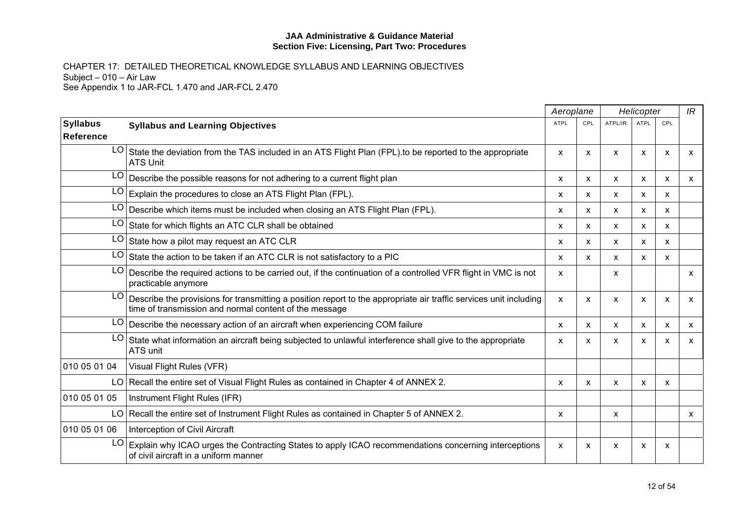|                              |                                                                                                                                                                             | Aeroplane   |              |              | Helicopter                |                           | IR                        |
|------------------------------|-----------------------------------------------------------------------------------------------------------------------------------------------------------------------------|-------------|--------------|--------------|---------------------------|---------------------------|---------------------------|
| <b>Syllabus</b><br>Reference | <b>Syllabus and Learning Objectives</b>                                                                                                                                     | <b>ATPL</b> | CPL          | ATPL/IR      | <b>ATPL</b>               | CPL                       |                           |
| LO                           | State the deviation from the TAS included in an ATS Flight Plan (FPL) to be reported to the appropriate<br><b>ATS Unit</b>                                                  | X           | X            | X            | $\boldsymbol{\mathsf{x}}$ | $\boldsymbol{\mathsf{x}}$ | $\boldsymbol{\mathsf{x}}$ |
| LO                           | Describe the possible reasons for not adhering to a current flight plan                                                                                                     | X           | $\mathsf{x}$ | $\mathsf{x}$ | $\boldsymbol{\mathsf{x}}$ | $\boldsymbol{\mathsf{x}}$ | $\mathsf{x}$              |
| LO                           | Explain the procedures to close an ATS Flight Plan (FPL).                                                                                                                   | X           | X            | X            | $\boldsymbol{\mathsf{x}}$ | $\boldsymbol{\mathsf{x}}$ |                           |
| LO                           | Describe which items must be included when closing an ATS Flight Plan (FPL).                                                                                                | X           | X            | X            | $\boldsymbol{\mathsf{x}}$ | $\boldsymbol{\mathsf{x}}$ |                           |
| LO                           | State for which flights an ATC CLR shall be obtained                                                                                                                        | X           | X            | X            | X                         | $\boldsymbol{\mathsf{x}}$ |                           |
| LO                           | State how a pilot may request an ATC CLR                                                                                                                                    | X           | X            | X            | X                         | X                         |                           |
| LO                           | State the action to be taken if an ATC CLR is not satisfactory to a PIC                                                                                                     | X           | $\mathsf{x}$ | $\mathsf{x}$ | X                         | $\boldsymbol{\mathsf{x}}$ |                           |
| LO                           | Describe the required actions to be carried out, if the continuation of a controlled VFR flight in VMC is not<br>practicable anymore                                        | X           |              | X            |                           |                           | X                         |
| LO                           | Describe the provisions for transmitting a position report to the appropriate air traffic services unit including<br>time of transmission and normal content of the message | X           | X            | X            | X                         | $\boldsymbol{\mathsf{x}}$ | $\mathsf{x}$              |
|                              | $LO$ Describe the necessary action of an aircraft when experiencing COM failure                                                                                             | X           | X            | X            | X                         | X                         | X                         |
| LO                           | State what information an aircraft being subjected to unlawful interference shall give to the appropriate<br>ATS unit                                                       | X           | x            | x            | X                         | X                         | X                         |
| 010 05 01 04                 | Visual Flight Rules (VFR)                                                                                                                                                   |             |              |              |                           |                           |                           |
|                              | LO Recall the entire set of Visual Flight Rules as contained in Chapter 4 of ANNEX 2.                                                                                       | X           | X            | X            | $\boldsymbol{\mathsf{x}}$ | X                         |                           |
| 010 05 01 05                 | Instrument Flight Rules (IFR)                                                                                                                                               |             |              |              |                           |                           |                           |
|                              | LO Recall the entire set of Instrument Flight Rules as contained in Chapter 5 of ANNEX 2.                                                                                   | X           |              | X            |                           |                           | $\mathsf{x}$              |
| 010 05 01 06                 | Interception of Civil Aircraft                                                                                                                                              |             |              |              |                           |                           |                           |
| LO                           | Explain why ICAO urges the Contracting States to apply ICAO recommendations concerning interceptions<br>of civil aircraft in a uniform manner                               | X           | x            | x            | X                         | X                         |                           |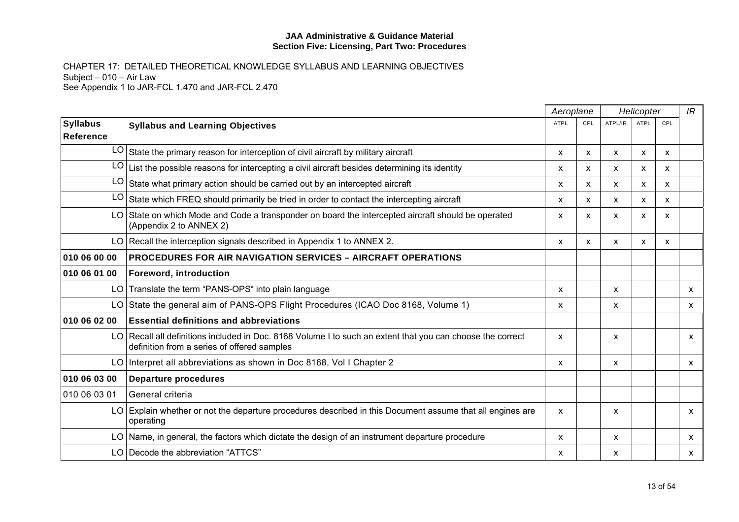|                                     |                                                                                                                                                           | Aeroplane<br>Helicopter |     |                           | IR          |     |   |
|-------------------------------------|-----------------------------------------------------------------------------------------------------------------------------------------------------------|-------------------------|-----|---------------------------|-------------|-----|---|
| <b>Syllabus</b><br><b>Reference</b> | <b>Syllabus and Learning Objectives</b>                                                                                                                   | <b>ATPL</b>             | CPL | ATPL/IR                   | <b>ATPL</b> | CPL |   |
|                                     | $LO$ State the primary reason for interception of civil aircraft by military aircraft                                                                     | X                       | X   | $\boldsymbol{\mathsf{x}}$ | X           | X   |   |
| LO.                                 | List the possible reasons for intercepting a civil aircraft besides determining its identity                                                              | x                       | X   | X                         | X           | X   |   |
| LO.                                 | State what primary action should be carried out by an intercepted aircraft                                                                                | X                       | X   | X                         | X           | X   |   |
| LO.                                 | State which FREQ should primarily be tried in order to contact the intercepting aircraft                                                                  | X                       | X   | X                         | X           | X   |   |
|                                     | LO State on which Mode and Code a transponder on board the intercepted aircraft should be operated<br>(Appendix 2 to ANNEX 2)                             | X                       | X   | $\boldsymbol{\mathsf{x}}$ | X           | X   |   |
|                                     | LO Recall the interception signals described in Appendix 1 to ANNEX 2.                                                                                    | X                       | X   | $\boldsymbol{\mathsf{x}}$ | X           | X   |   |
| 010 06 00 00                        | <b>PROCEDURES FOR AIR NAVIGATION SERVICES - AIRCRAFT OPERATIONS</b>                                                                                       |                         |     |                           |             |     |   |
| 010 06 01 00                        | Foreword, introduction                                                                                                                                    |                         |     |                           |             |     |   |
|                                     | LO Translate the term "PANS-OPS" into plain language                                                                                                      | X                       |     | $\boldsymbol{\mathsf{x}}$ |             |     | X |
|                                     | LO State the general aim of PANS-OPS Flight Procedures (ICAO Doc 8168, Volume 1)                                                                          | X                       |     | $\boldsymbol{\mathsf{x}}$ |             |     | X |
| 010 06 02 00                        | <b>Essential definitions and abbreviations</b>                                                                                                            |                         |     |                           |             |     |   |
|                                     | LO Recall all definitions included in Doc. 8168 Volume I to such an extent that you can choose the correct<br>definition from a series of offered samples | X                       |     | $\boldsymbol{\mathsf{x}}$ |             |     | X |
|                                     | LO Interpret all abbreviations as shown in Doc 8168, Vol I Chapter 2                                                                                      | X                       |     | X                         |             |     | X |
| 010 06 03 00                        | <b>Departure procedures</b>                                                                                                                               |                         |     |                           |             |     |   |
| 010 06 03 01                        | General criteria                                                                                                                                          |                         |     |                           |             |     |   |
|                                     | LO Explain whether or not the departure procedures described in this Document assume that all engines are<br>operating                                    | X                       |     | $\boldsymbol{\mathsf{x}}$ |             |     | X |
|                                     | LO Name, in general, the factors which dictate the design of an instrument departure procedure                                                            | X                       |     | $\boldsymbol{\mathsf{x}}$ |             |     | X |
|                                     | LO Decode the abbreviation "ATTCS"                                                                                                                        | x                       |     | $\boldsymbol{\mathsf{x}}$ |             |     | X |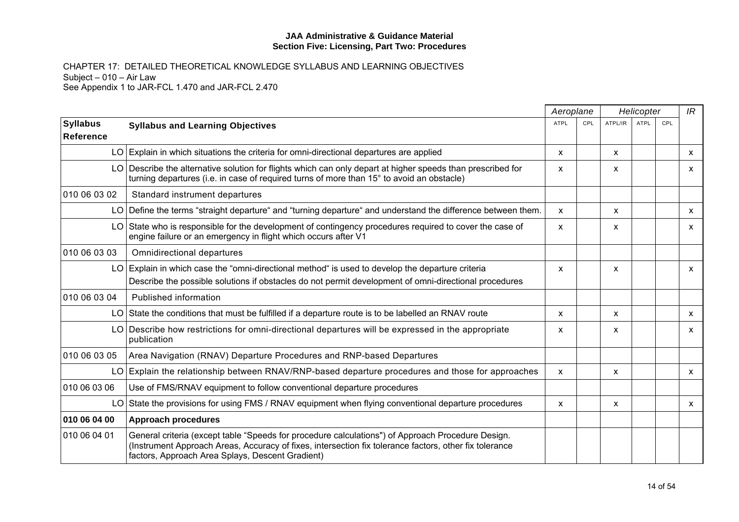|                                     |                                                                                                                                                                                                                                                                 | Aeroplane   |     | Helicopter                |      | IR  |              |
|-------------------------------------|-----------------------------------------------------------------------------------------------------------------------------------------------------------------------------------------------------------------------------------------------------------------|-------------|-----|---------------------------|------|-----|--------------|
| <b>Syllabus</b><br><b>Reference</b> | <b>Syllabus and Learning Objectives</b>                                                                                                                                                                                                                         | <b>ATPL</b> | CPL | ATPL/IR                   | ATPL | CPL |              |
|                                     | $LO$ Explain in which situations the criteria for omni-directional departures are applied                                                                                                                                                                       | X           |     | $\boldsymbol{\mathsf{x}}$ |      |     | <b>X</b>     |
|                                     | LO Describe the alternative solution for flights which can only depart at higher speeds than prescribed for<br>turning departures (i.e. in case of required turns of more than 15° to avoid an obstacle)                                                        | x           |     | X                         |      |     | X            |
| 010 06 03 02                        | Standard instrument departures                                                                                                                                                                                                                                  |             |     |                           |      |     |              |
|                                     | LO Define the terms "straight departure" and "turning departure" and understand the difference between them.                                                                                                                                                    | X           |     | X                         |      |     | X            |
|                                     | LO State who is responsible for the development of contingency procedures required to cover the case of<br>engine failure or an emergency in flight which occurs after V1                                                                                       | X           |     | X                         |      |     | X            |
| 010 06 03 03                        | <b>Omnidirectional departures</b>                                                                                                                                                                                                                               |             |     |                           |      |     |              |
|                                     | LO Explain in which case the "omni-directional method" is used to develop the departure criteria<br>Describe the possible solutions if obstacles do not permit development of omni-directional procedures                                                       | X           |     | $\boldsymbol{\mathsf{x}}$ |      |     | X            |
| 010 06 03 04                        | Published information                                                                                                                                                                                                                                           |             |     |                           |      |     |              |
|                                     | LO State the conditions that must be fulfilled if a departure route is to be labelled an RNAV route                                                                                                                                                             | X           |     | $\boldsymbol{\mathsf{x}}$ |      |     | X            |
|                                     | LO Describe how restrictions for omni-directional departures will be expressed in the appropriate<br>publication                                                                                                                                                | X           |     | X                         |      |     | X            |
| 010 06 03 05                        | Area Navigation (RNAV) Departure Procedures and RNP-based Departures                                                                                                                                                                                            |             |     |                           |      |     |              |
|                                     | LO Explain the relationship between RNAV/RNP-based departure procedures and those for approaches                                                                                                                                                                | X           |     | $\boldsymbol{\mathsf{x}}$ |      |     | $\mathsf{x}$ |
| 010 06 03 06                        | Use of FMS/RNAV equipment to follow conventional departure procedures                                                                                                                                                                                           |             |     |                           |      |     |              |
|                                     | LO State the provisions for using FMS / RNAV equipment when flying conventional departure procedures                                                                                                                                                            | X           |     | X                         |      |     | X            |
| 010 06 04 00                        | <b>Approach procedures</b>                                                                                                                                                                                                                                      |             |     |                           |      |     |              |
| 010 06 04 01                        | General criteria (except table "Speeds for procedure calculations") of Approach Procedure Design.<br>(Instrument Approach Areas, Accuracy of fixes, intersection fix tolerance factors, other fix tolerance<br>factors, Approach Area Splays, Descent Gradient) |             |     |                           |      |     |              |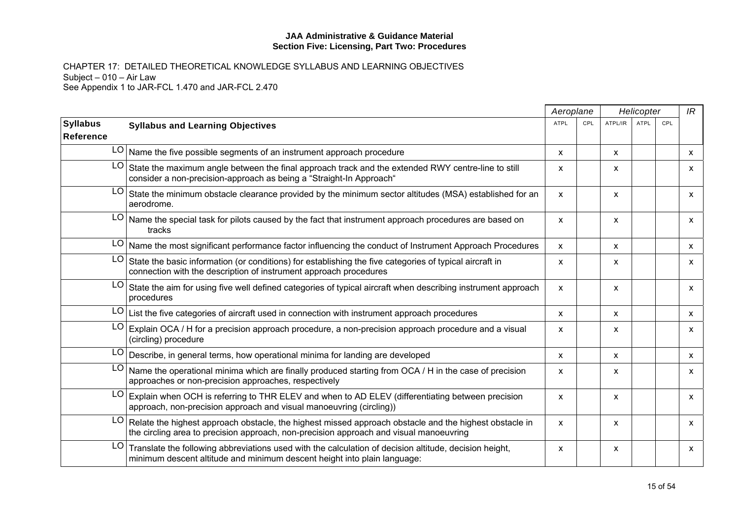|                              |                                                                                                                                                                                                  | Aeroplane    |     |                           | Helicopter  |     | IR           |
|------------------------------|--------------------------------------------------------------------------------------------------------------------------------------------------------------------------------------------------|--------------|-----|---------------------------|-------------|-----|--------------|
| <b>Syllabus</b><br>Reference | <b>Syllabus and Learning Objectives</b>                                                                                                                                                          | <b>ATPL</b>  | CPL | ATPL/IR                   | <b>ATPL</b> | CPL |              |
|                              | $LO$ Name the five possible segments of an instrument approach procedure                                                                                                                         | X            |     | X                         |             |     | <b>X</b>     |
| LO                           | State the maximum angle between the final approach track and the extended RWY centre-line to still<br>consider a non-precision-approach as being a "Straight-In Approach"                        | X            |     | $\boldsymbol{\mathsf{x}}$ |             |     | X            |
| LO                           | State the minimum obstacle clearance provided by the minimum sector altitudes (MSA) established for an<br>aerodrome.                                                                             | x            |     | X                         |             |     | X            |
| LO                           | Name the special task for pilots caused by the fact that instrument approach procedures are based on<br>tracks                                                                                   | X            |     | X                         |             |     | X            |
|                              | LO Name the most significant performance factor influencing the conduct of Instrument Approach Procedures                                                                                        | X            |     | X                         |             |     | X            |
| LO                           | State the basic information (or conditions) for establishing the five categories of typical aircraft in<br>connection with the description of instrument approach procedures                     | X            |     | X                         |             |     | X            |
| LO                           | State the aim for using five well defined categories of typical aircraft when describing instrument approach<br>procedures                                                                       | $\mathsf{x}$ |     | X                         |             |     | $\mathsf{x}$ |
| LO                           | List the five categories of aircraft used in connection with instrument approach procedures                                                                                                      | X.           |     | X                         |             |     | X            |
| LO.                          | Explain OCA / H for a precision approach procedure, a non-precision approach procedure and a visual<br>(circling) procedure                                                                      | X            |     | X                         |             |     | $\mathsf{x}$ |
|                              | LO Describe, in general terms, how operational minima for landing are developed                                                                                                                  | X.           |     | X                         |             |     | $\mathsf{x}$ |
| LO                           | Name the operational minima which are finally produced starting from OCA / H in the case of precision<br>approaches or non-precision approaches, respectively                                    | x            |     | X                         |             |     | X            |
| LO                           | Explain when OCH is referring to THR ELEV and when to AD ELEV (differentiating between precision<br>approach, non-precision approach and visual manoeuvring (circling))                          | X            |     | X                         |             |     | $\mathsf{x}$ |
| LO                           | Relate the highest approach obstacle, the highest missed approach obstacle and the highest obstacle in<br>the circling area to precision approach, non-precision approach and visual manoeuvring | X            |     | X                         |             |     | X            |
| LO                           | Translate the following abbreviations used with the calculation of decision altitude, decision height,<br>minimum descent altitude and minimum descent height into plain language:               | X            |     | X                         |             |     | X            |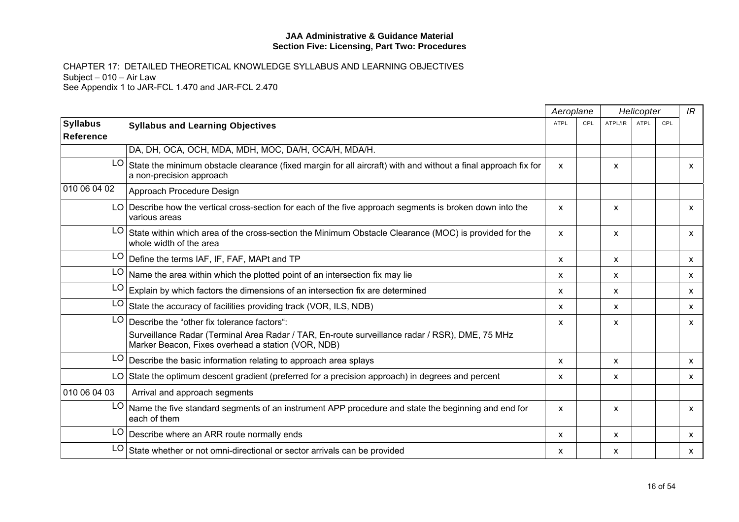|                                     |                                                                                                                                                                                                          | Aeroplane   |     |                           | Helicopter |     | IR           |
|-------------------------------------|----------------------------------------------------------------------------------------------------------------------------------------------------------------------------------------------------------|-------------|-----|---------------------------|------------|-----|--------------|
| <b>Syllabus</b><br><b>Reference</b> | <b>Syllabus and Learning Objectives</b>                                                                                                                                                                  | <b>ATPL</b> | CPL | ATPL/IR                   | ATPL       | CPL |              |
|                                     | DA, DH, OCA, OCH, MDA, MDH, MOC, DA/H, OCA/H, MDA/H.                                                                                                                                                     |             |     |                           |            |     |              |
| LO                                  | State the minimum obstacle clearance (fixed margin for all aircraft) with and without a final approach fix for<br>a non-precision approach                                                               | X           |     | X                         |            |     | $\mathsf{x}$ |
| 010 06 04 02                        | Approach Procedure Design                                                                                                                                                                                |             |     |                           |            |     |              |
|                                     | LO Describe how the vertical cross-section for each of the five approach segments is broken down into the<br>various areas                                                                               | X           |     | $\boldsymbol{\mathsf{x}}$ |            |     | X            |
| LO.                                 | State within which area of the cross-section the Minimum Obstacle Clearance (MOC) is provided for the<br>whole width of the area                                                                         | X           |     | $\boldsymbol{\mathsf{x}}$ |            |     | X            |
|                                     | LO Define the terms IAF, IF, FAF, MAPt and TP                                                                                                                                                            | X           |     | $\boldsymbol{\mathsf{x}}$ |            |     | $\mathsf{x}$ |
|                                     | $LO$ Name the area within which the plotted point of an intersection fix may lie                                                                                                                         | X           |     | $\boldsymbol{\mathsf{x}}$ |            |     | <b>X</b>     |
| LO                                  | Explain by which factors the dimensions of an intersection fix are determined                                                                                                                            | X           |     | $\boldsymbol{\mathsf{x}}$ |            |     | X            |
| LO.                                 | State the accuracy of facilities providing track (VOR, ILS, NDB)                                                                                                                                         | X           |     | $\boldsymbol{\mathsf{x}}$ |            |     | $\mathsf{x}$ |
|                                     | $LO$ Describe the "other fix tolerance factors":<br>Surveillance Radar (Terminal Area Radar / TAR, En-route surveillance radar / RSR), DME, 75 MHz<br>Marker Beacon, Fixes overhead a station (VOR, NDB) | X           |     | $\boldsymbol{\mathsf{x}}$ |            |     | $\mathsf{x}$ |
|                                     | $LO$ Describe the basic information relating to approach area splays                                                                                                                                     | X           |     | $\boldsymbol{\mathsf{x}}$ |            |     | $\mathsf{x}$ |
|                                     | LO State the optimum descent gradient (preferred for a precision approach) in degrees and percent                                                                                                        | x           |     | x                         |            |     | X            |
| 010 06 04 03                        | Arrival and approach segments                                                                                                                                                                            |             |     |                           |            |     |              |
|                                     | LO Name the five standard segments of an instrument APP procedure and state the beginning and end for<br>each of them                                                                                    | X           |     | X                         |            |     | X            |
|                                     | $LO$ Describe where an ARR route normally ends                                                                                                                                                           | X           |     | $\boldsymbol{\mathsf{x}}$ |            |     | X            |
| LO.                                 | State whether or not omni-directional or sector arrivals can be provided                                                                                                                                 | X           |     | $\boldsymbol{\mathsf{x}}$ |            |     | X            |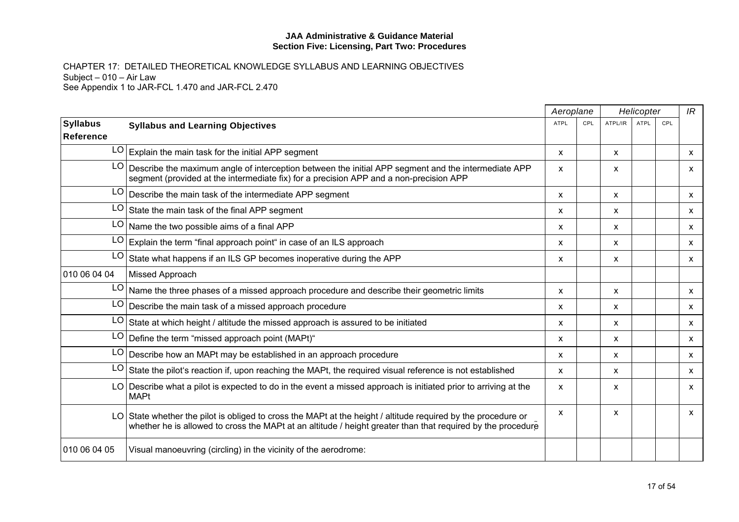|                 |                                                                                                                                                                                                                              | Aeroplane    |     |                           | Helicopter |     | IR                        |
|-----------------|------------------------------------------------------------------------------------------------------------------------------------------------------------------------------------------------------------------------------|--------------|-----|---------------------------|------------|-----|---------------------------|
| <b>Syllabus</b> | <b>Syllabus and Learning Objectives</b>                                                                                                                                                                                      | <b>ATPL</b>  | CPL | ATPL/IR                   | ATPL       | CPL |                           |
| ∣Reference      |                                                                                                                                                                                                                              |              |     |                           |            |     |                           |
|                 | $LO$ Explain the main task for the initial APP segment                                                                                                                                                                       | $\mathsf{x}$ |     | $\boldsymbol{\mathsf{x}}$ |            |     | $\mathsf{x}$              |
| LO              | Describe the maximum angle of interception between the initial APP segment and the intermediate APP<br>segment (provided at the intermediate fix) for a precision APP and a non-precision APP                                | X            |     | X                         |            |     | $\mathsf{x}$              |
| LO              | Describe the main task of the intermediate APP segment                                                                                                                                                                       | X            |     | $\boldsymbol{\mathsf{x}}$ |            |     | $\mathsf{x}$              |
| LO              | State the main task of the final APP segment                                                                                                                                                                                 | X            |     | X                         |            |     | $\mathsf{x}$              |
| LO              | Name the two possible aims of a final APP                                                                                                                                                                                    | X            |     | X                         |            |     | $\mathsf{x}$              |
| LO              | Explain the term "final approach point" in case of an ILS approach                                                                                                                                                           | X            |     | $\boldsymbol{\mathsf{x}}$ |            |     | $\mathsf{x}$              |
| LO              | State what happens if an ILS GP becomes inoperative during the APP                                                                                                                                                           | X            |     | X                         |            |     | $\mathsf{x}$              |
| 010 06 04 04    | Missed Approach                                                                                                                                                                                                              |              |     |                           |            |     |                           |
| LO              | Name the three phases of a missed approach procedure and describe their geometric limits                                                                                                                                     | X            |     | $\boldsymbol{\mathsf{x}}$ |            |     | $\boldsymbol{\mathsf{x}}$ |
| LO <sup>1</sup> | Describe the main task of a missed approach procedure                                                                                                                                                                        | X            |     | X                         |            |     | $\mathsf{x}$              |
| LO              | State at which height / altitude the missed approach is assured to be initiated                                                                                                                                              | X            |     | $\boldsymbol{\mathsf{x}}$ |            |     | $\mathsf{x}$              |
| LO              | Define the term "missed approach point (MAPt)"                                                                                                                                                                               | X            |     | X                         |            |     | $\mathsf{x}$              |
| LO              | Describe how an MAPt may be established in an approach procedure                                                                                                                                                             | x            |     | X                         |            |     | $\mathsf{x}$              |
| LO              | State the pilot's reaction if, upon reaching the MAPt, the required visual reference is not established                                                                                                                      | X            |     | $\boldsymbol{\mathsf{x}}$ |            |     | $\mathsf{x}$              |
|                 | LO Describe what a pilot is expected to do in the event a missed approach is initiated prior to arriving at the<br><b>MAPt</b>                                                                                               | X            |     | X                         |            |     | $\mathsf{x}$              |
|                 | LO State whether the pilot is obliged to cross the MAPt at the height / altitude required by the procedure or<br>whether he is allowed to cross the MAPt at an altitude / height greater than that required by the procedure | X            |     | X                         |            |     | $\mathsf{x}$              |
| 010 06 04 05    | Visual manoeuvring (circling) in the vicinity of the aerodrome:                                                                                                                                                              |              |     |                           |            |     |                           |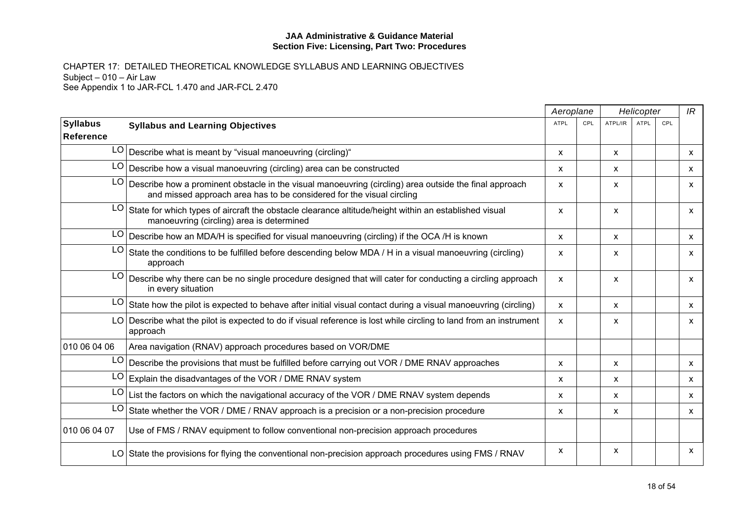|                              |                                                                                                                                                                                 | Aeroplane   |     |              | Helicopter  |     | IR                        |
|------------------------------|---------------------------------------------------------------------------------------------------------------------------------------------------------------------------------|-------------|-----|--------------|-------------|-----|---------------------------|
| <b>Syllabus</b><br>Reference | <b>Syllabus and Learning Objectives</b>                                                                                                                                         | <b>ATPL</b> | CPL | ATPL/IR      | <b>ATPL</b> | CPL |                           |
|                              | $LO$ Describe what is meant by "visual manoeuvring (circling)"                                                                                                                  | X           |     | X            |             |     | $\mathsf{x}$              |
| LO <sub>1</sub>              | Describe how a visual manoeuvring (circling) area can be constructed                                                                                                            | X           |     | X            |             |     | $\mathsf{x}$              |
| LO                           | Describe how a prominent obstacle in the visual manoeuvring (circling) area outside the final approach<br>and missed approach area has to be considered for the visual circling | X           |     | X            |             |     | $\mathsf{x}$              |
| LO                           | State for which types of aircraft the obstacle clearance altitude/height within an established visual<br>manoeuvring (circling) area is determined                              | X           |     | X            |             |     | X                         |
|                              | $LO$ Describe how an MDA/H is specified for visual manoeuvring (circling) if the OCA /H is known                                                                                | X           |     | X            |             |     | X                         |
| LO                           | State the conditions to be fulfilled before descending below MDA / H in a visual manoeuvring (circling)<br>approach                                                             | X           |     | X            |             |     | X                         |
|                              | LO   Describe why there can be no single procedure designed that will cater for conducting a circling approach<br>in every situation                                            | X           |     | X            |             |     | X                         |
| LO                           | State how the pilot is expected to behave after initial visual contact during a visual manoeuvring (circling)                                                                   | X           |     | X            |             |     | $\mathsf{x}$              |
|                              | LO Describe what the pilot is expected to do if visual reference is lost while circling to land from an instrument<br>approach                                                  | X           |     | X            |             |     | X                         |
| 010 06 04 06                 | Area navigation (RNAV) approach procedures based on VOR/DME                                                                                                                     |             |     |              |             |     |                           |
| LO                           | Describe the provisions that must be fulfilled before carrying out VOR / DME RNAV approaches                                                                                    | X           |     | X            |             |     | $\mathsf{x}$              |
| LO                           | Explain the disadvantages of the VOR / DME RNAV system                                                                                                                          | x           |     | X            |             |     | $\mathsf{x}$              |
| LO                           | List the factors on which the navigational accuracy of the VOR / DME RNAV system depends                                                                                        | X           |     | X            |             |     | $\boldsymbol{\mathsf{x}}$ |
| LO                           | State whether the VOR / DME / RNAV approach is a precision or a non-precision procedure                                                                                         | X           |     | $\mathsf{x}$ |             |     | $\mathsf{x}$              |
| 010 06 04 07                 | Use of FMS / RNAV equipment to follow conventional non-precision approach procedures                                                                                            |             |     |              |             |     |                           |
|                              | LO State the provisions for flying the conventional non-precision approach procedures using FMS / RNAV                                                                          | X           |     | X            |             |     | $\boldsymbol{\mathsf{x}}$ |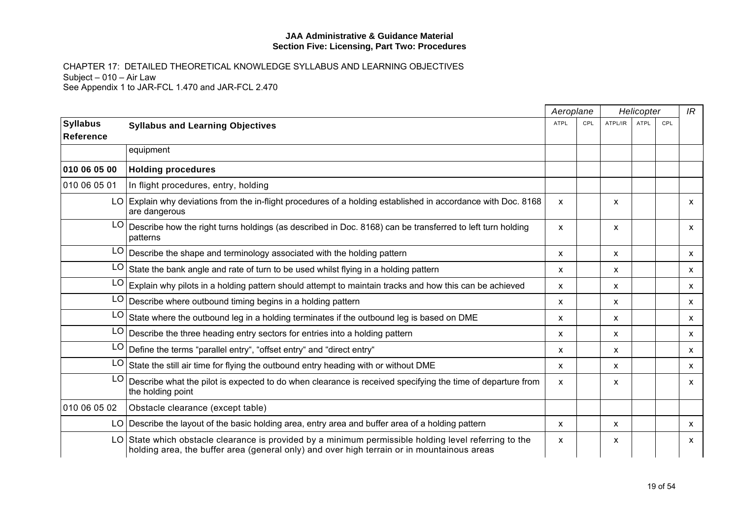|                              |                                                                                                                                                                                                       |             | Aeroplane | Helicopter   |      |     | IR                        |
|------------------------------|-------------------------------------------------------------------------------------------------------------------------------------------------------------------------------------------------------|-------------|-----------|--------------|------|-----|---------------------------|
| <b>Syllabus</b><br>Reference | <b>Syllabus and Learning Objectives</b>                                                                                                                                                               | <b>ATPL</b> | CPL       | ATPL/IR      | ATPL | CPL |                           |
|                              | equipment                                                                                                                                                                                             |             |           |              |      |     |                           |
| 010 06 05 00                 | <b>Holding procedures</b>                                                                                                                                                                             |             |           |              |      |     |                           |
| 010 06 05 01                 | In flight procedures, entry, holding                                                                                                                                                                  |             |           |              |      |     |                           |
|                              | LO Explain why deviations from the in-flight procedures of a holding established in accordance with Doc. 8168<br>are dangerous                                                                        | X           |           | X            |      |     | X                         |
| LO                           | Describe how the right turns holdings (as described in Doc. 8168) can be transferred to left turn holding<br>patterns                                                                                 | X           |           | X            |      |     | $\mathsf{x}$              |
|                              | $LO$ Describe the shape and terminology associated with the holding pattern                                                                                                                           | X           |           | X            |      |     | $\mathsf{x}$              |
| LO                           | State the bank angle and rate of turn to be used whilst flying in a holding pattern                                                                                                                   | X           |           | X            |      |     | X                         |
| LO                           | Explain why pilots in a holding pattern should attempt to maintain tracks and how this can be achieved                                                                                                | X           |           | X            |      |     | $\mathsf{x}$              |
|                              | $LO$ Describe where outbound timing begins in a holding pattern                                                                                                                                       | X           |           | X            |      |     | $\boldsymbol{\mathsf{x}}$ |
| LO                           | State where the outbound leg in a holding terminates if the outbound leg is based on DME                                                                                                              | X           |           | X            |      |     | $\mathsf{x}$              |
| LO                           | Describe the three heading entry sectors for entries into a holding pattern                                                                                                                           | X           |           | x            |      |     | $\mathsf{x}$              |
| LO                           | Define the terms "parallel entry", "offset entry" and "direct entry"                                                                                                                                  | X           |           | X            |      |     | X                         |
| LO                           | State the still air time for flying the outbound entry heading with or without DME                                                                                                                    | x           |           | x            |      |     | $\mathsf{x}$              |
| LO                           | Describe what the pilot is expected to do when clearance is received specifying the time of departure from<br>the holding point                                                                       | X           |           | X            |      |     | $\mathsf{x}$              |
| 010 06 05 02                 | Obstacle clearance (except table)                                                                                                                                                                     |             |           |              |      |     |                           |
|                              | LO Describe the layout of the basic holding area, entry area and buffer area of a holding pattern                                                                                                     | X           |           | $\mathsf{x}$ |      |     | $\mathsf{x}$              |
|                              | $LO$ State which obstacle clearance is provided by a minimum permissible holding level referring to the<br>holding area, the buffer area (general only) and over high terrain or in mountainous areas | X           |           | X            |      |     | X                         |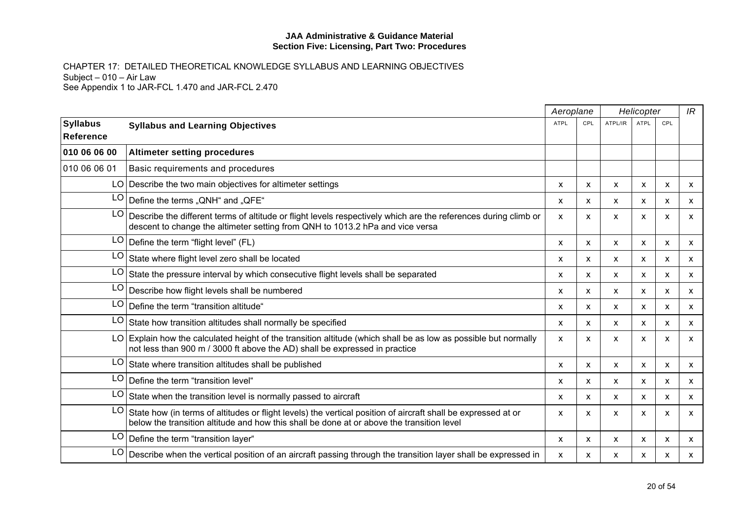|                               |                                                                                                                                                                                                            | Aeroplane    |     | Helicopter                |                           | IR                        |                           |
|-------------------------------|------------------------------------------------------------------------------------------------------------------------------------------------------------------------------------------------------------|--------------|-----|---------------------------|---------------------------|---------------------------|---------------------------|
| <b>Syllabus</b><br>∣Reference | <b>Syllabus and Learning Objectives</b>                                                                                                                                                                    | <b>ATPL</b>  | CPL | ATPL/IR                   | <b>ATPL</b>               | CPL                       |                           |
| 010 06 06 00                  | <b>Altimeter setting procedures</b>                                                                                                                                                                        |              |     |                           |                           |                           |                           |
| 010 06 06 01                  | Basic requirements and procedures                                                                                                                                                                          |              |     |                           |                           |                           |                           |
|                               | LO Describe the two main objectives for altimeter settings                                                                                                                                                 | X            | X   | X                         | X                         | X                         | $\mathsf{x}$              |
| LO                            | Define the terms "QNH" and "QFE"                                                                                                                                                                           | x            | X   | $\boldsymbol{\mathsf{x}}$ | $\boldsymbol{\mathsf{x}}$ | $\boldsymbol{\mathsf{x}}$ | X                         |
| LO                            | Describe the different terms of altitude or flight levels respectively which are the references during climb or<br>descent to change the altimeter setting from QNH to 1013.2 hPa and vice versa           | X            | X   | $\boldsymbol{\mathsf{x}}$ | $\boldsymbol{\mathsf{x}}$ | $\boldsymbol{\mathsf{x}}$ | $\mathsf{x}$              |
| LO                            | Define the term "flight level" (FL)                                                                                                                                                                        | X            | X   | $\boldsymbol{\mathsf{x}}$ | $\boldsymbol{\mathsf{x}}$ | $\boldsymbol{\mathsf{x}}$ | $\mathsf{x}$              |
| LO                            | State where flight level zero shall be located                                                                                                                                                             | $\mathsf{x}$ | X   | X                         | $\mathsf{x}$              | $\mathsf{x}$              | $\mathsf{x}$              |
| LO                            | State the pressure interval by which consecutive flight levels shall be separated                                                                                                                          | X            | X   | $\boldsymbol{\mathsf{x}}$ | $\mathsf{x}$              | $\mathsf{x}$              | $\mathsf{x}$              |
| LO                            | Describe how flight levels shall be numbered                                                                                                                                                               | X            | X   | $\boldsymbol{\mathsf{x}}$ | $\mathsf{x}$              | $\mathsf{x}$              | $\mathsf{x}$              |
| LO                            | Define the term "transition altitude"                                                                                                                                                                      | X            | X.  | $\boldsymbol{\mathsf{x}}$ | $\boldsymbol{\mathsf{x}}$ | $\boldsymbol{\mathsf{x}}$ | $\mathsf{x}$              |
| LO                            | State how transition altitudes shall normally be specified                                                                                                                                                 | $\mathsf{x}$ | X   | $\boldsymbol{\mathsf{x}}$ | $\mathsf{x}$              | $\boldsymbol{\mathsf{x}}$ | $\mathsf{x}$              |
|                               | $LO$ Explain how the calculated height of the transition altitude (which shall be as low as possible but normally<br>not less than 900 m / 3000 ft above the AD) shall be expressed in practice            | $\mathsf{x}$ | x   | X                         | X                         | $\boldsymbol{\mathsf{x}}$ | $\boldsymbol{\mathsf{x}}$ |
| LO                            | State where transition altitudes shall be published                                                                                                                                                        | X            | X   | X                         | $\mathsf{x}$              | X                         | $\mathsf{x}$              |
| LO                            | Define the term "transition level"                                                                                                                                                                         | X            | X   | $\boldsymbol{\mathsf{x}}$ | $\boldsymbol{\mathsf{x}}$ | $\boldsymbol{\mathsf{x}}$ | $\mathsf{x}$              |
| LO                            | State when the transition level is normally passed to aircraft                                                                                                                                             | X            | x   | $\boldsymbol{\mathsf{x}}$ | X                         | X                         | $\mathsf{x}$              |
| LO                            | State how (in terms of altitudes or flight levels) the vertical position of aircraft shall be expressed at or<br>below the transition altitude and how this shall be done at or above the transition level | $\mathsf{x}$ | X   | $\boldsymbol{\mathsf{x}}$ | X                         | $\boldsymbol{\mathsf{x}}$ | $\mathsf{x}$              |
| LO                            | Define the term "transition layer"                                                                                                                                                                         | X            | X   | X                         | X                         | X                         | X                         |
| LO                            | Describe when the vertical position of an aircraft passing through the transition layer shall be expressed in                                                                                              | x            | X   | X                         | x                         | x                         | X                         |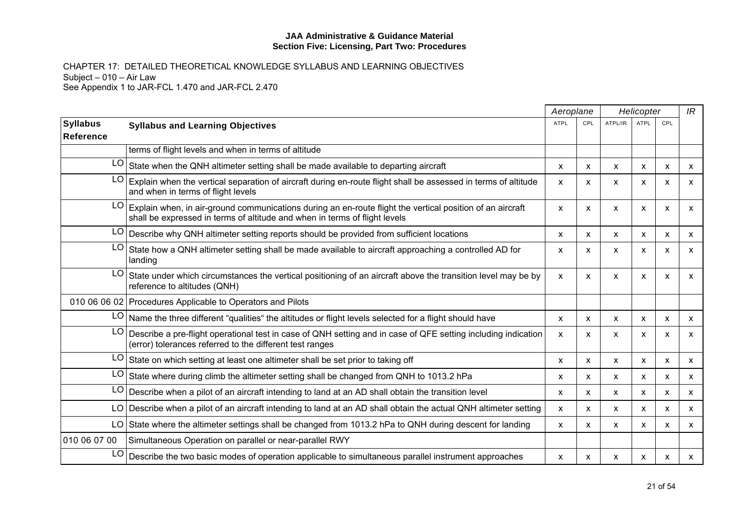|                                     |                                                                                                                                                                                         |             | Aeroplane<br>Helicopter   |                           | IR          |     |              |
|-------------------------------------|-----------------------------------------------------------------------------------------------------------------------------------------------------------------------------------------|-------------|---------------------------|---------------------------|-------------|-----|--------------|
| <b>Syllabus</b><br><b>Reference</b> | <b>Syllabus and Learning Objectives</b>                                                                                                                                                 | <b>ATPL</b> | CPL                       | ATPL/IR                   | <b>ATPL</b> | CPL |              |
|                                     | terms of flight levels and when in terms of altitude                                                                                                                                    |             |                           |                           |             |     |              |
| LO                                  | State when the QNH altimeter setting shall be made available to departing aircraft                                                                                                      | X           | X                         | $\boldsymbol{\mathsf{x}}$ | X           | X   | $\mathsf{x}$ |
| LO                                  | Explain when the vertical separation of aircraft during en-route flight shall be assessed in terms of altitude<br>and when in terms of flight levels                                    | X           | X                         | $\mathsf{x}$              | X           | X   | X            |
| LO                                  | Explain when, in air-ground communications during an en-route flight the vertical position of an aircraft<br>shall be expressed in terms of altitude and when in terms of flight levels | X           | X                         | X                         | х           | X   | x            |
| LO                                  | Describe why QNH altimeter setting reports should be provided from sufficient locations                                                                                                 | X           | $\mathsf{x}$              | X                         | X           | X   | X            |
| LO                                  | State how a QNH altimeter setting shall be made available to aircraft approaching a controlled AD for<br>landing                                                                        | X           | X                         | $\mathsf{x}$              | X           | X   | X            |
| LO                                  | State under which circumstances the vertical positioning of an aircraft above the transition level may be by<br>reference to altitudes (QNH)                                            | X           | $\mathsf{x}$              | $\boldsymbol{\mathsf{x}}$ | X           | X   | X            |
|                                     | 010 06 06 02 Procedures Applicable to Operators and Pilots                                                                                                                              |             |                           |                           |             |     |              |
| LO.                                 | Name the three different "qualities" the altitudes or flight levels selected for a flight should have                                                                                   | X           | X                         | X                         | X           | X   | X            |
| LO                                  | Describe a pre-flight operational test in case of QNH setting and in case of QFE setting including indication<br>(error) tolerances referred to the different test ranges               | X           | $\boldsymbol{\mathsf{x}}$ | $\boldsymbol{\mathsf{x}}$ | X           | X   | $\mathsf{x}$ |
| LO                                  | State on which setting at least one altimeter shall be set prior to taking off                                                                                                          | X.          | $\boldsymbol{\mathsf{x}}$ | $\mathsf{x}$              | X           | X   | X            |
| LO                                  | State where during climb the altimeter setting shall be changed from QNH to 1013.2 hPa                                                                                                  | X           | $\boldsymbol{\mathsf{x}}$ | $\boldsymbol{\mathsf{x}}$ | X           | X   | $\mathsf{x}$ |
| LO                                  | Describe when a pilot of an aircraft intending to land at an AD shall obtain the transition level                                                                                       | X           | $\mathsf{x}$              | $\mathsf{x}$              | X           | X   | X            |
| LO                                  | Describe when a pilot of an aircraft intending to land at an AD shall obtain the actual QNH altimeter setting                                                                           | X.          | $\mathsf{x}$              | $\mathsf{x}$              | X           | X   | X            |
| LO                                  | State where the altimeter settings shall be changed from 1013.2 hPa to QNH during descent for landing                                                                                   | X           | $\mathsf{x}$              | $\boldsymbol{\mathsf{x}}$ | X           | X   | $\mathsf{x}$ |
| 010 06 07 00                        | Simultaneous Operation on parallel or near-parallel RWY                                                                                                                                 |             |                           |                           |             |     |              |
| LO                                  | Describe the two basic modes of operation applicable to simultaneous parallel instrument approaches                                                                                     | X           | x                         | X                         | х           | X   | x            |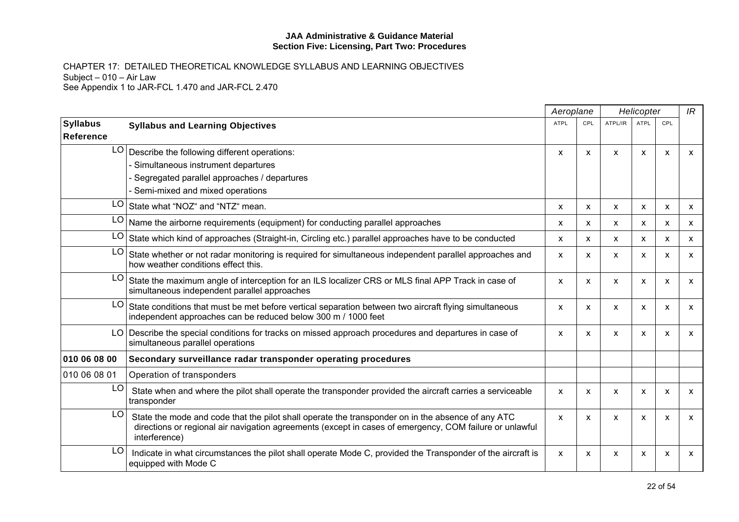|                                     |                                                                                                                                                                                                                               | Aeroplane   |                           |              | Helicopter  |              | IR           |
|-------------------------------------|-------------------------------------------------------------------------------------------------------------------------------------------------------------------------------------------------------------------------------|-------------|---------------------------|--------------|-------------|--------------|--------------|
| <b>Syllabus</b><br><b>Reference</b> | <b>Syllabus and Learning Objectives</b>                                                                                                                                                                                       | <b>ATPL</b> | CPL                       | ATPL/IR      | <b>ATPL</b> | CPL          |              |
| LO                                  | Describe the following different operations:                                                                                                                                                                                  | <b>X</b>    | $\boldsymbol{\mathsf{x}}$ | $\mathsf{x}$ | X           | X            | $\mathsf{x}$ |
|                                     | - Simultaneous instrument departures                                                                                                                                                                                          |             |                           |              |             |              |              |
|                                     | - Segregated parallel approaches / departures                                                                                                                                                                                 |             |                           |              |             |              |              |
|                                     | - Semi-mixed and mixed operations                                                                                                                                                                                             |             |                           |              |             |              |              |
| LO.                                 | State what "NOZ" and "NTZ" mean.                                                                                                                                                                                              | X           | X                         | X            | X           | X            | X            |
|                                     | $LO$ Name the airborne requirements (equipment) for conducting parallel approaches                                                                                                                                            | x           | $\mathsf{x}$              | x            | X           | X            | $\mathsf{x}$ |
| LO                                  | State which kind of approaches (Straight-in, Circling etc.) parallel approaches have to be conducted                                                                                                                          | X.          | $\mathsf{x}$              | X            | X           | $\mathsf{x}$ | $\mathsf{x}$ |
| LO.                                 | State whether or not radar monitoring is required for simultaneous independent parallel approaches and<br>how weather conditions effect this.                                                                                 | X           | X                         | X            | X           | X            | $\mathsf{x}$ |
| LO                                  | State the maximum angle of interception for an ILS localizer CRS or MLS final APP Track in case of<br>simultaneous independent parallel approaches                                                                            | X           | X                         | X            | X           | X            | X            |
| LO.                                 | State conditions that must be met before vertical separation between two aircraft flying simultaneous<br>independent approaches can be reduced below 300 m / 1000 feet                                                        | x           | X                         | x            | X           | X            | X            |
|                                     | LO Describe the special conditions for tracks on missed approach procedures and departures in case of<br>simultaneous parallel operations                                                                                     | X           | $\mathsf{x}$              | X            | X           | X            | $\mathsf{x}$ |
| 010 06 08 00                        | Secondary surveillance radar transponder operating procedures                                                                                                                                                                 |             |                           |              |             |              |              |
| 010 06 08 01                        | Operation of transponders                                                                                                                                                                                                     |             |                           |              |             |              |              |
| LO                                  | State when and where the pilot shall operate the transponder provided the aircraft carries a serviceable<br>transponder                                                                                                       | X           | X                         | $\mathsf{x}$ | X           | X            | $\mathsf{x}$ |
| LO                                  | State the mode and code that the pilot shall operate the transponder on in the absence of any ATC<br>directions or regional air navigation agreements (except in cases of emergency, COM failure or unlawful<br>interference) | X           | $\boldsymbol{\mathsf{x}}$ | X            | X           | X            | $\mathsf{x}$ |
| LO                                  | Indicate in what circumstances the pilot shall operate Mode C, provided the Transponder of the aircraft is<br>equipped with Mode C                                                                                            | X           | X                         | X            | X           | X            | X            |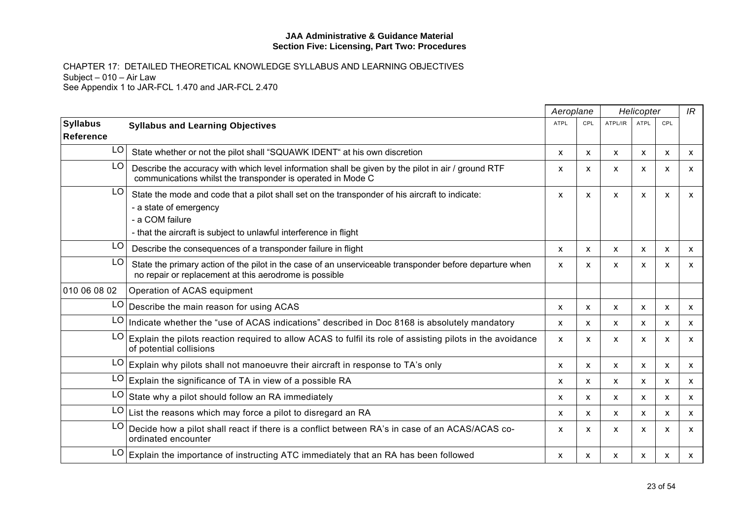|                 |                                                                                                                                                                                                                  | Aeroplane    |     |                           | Helicopter                |                           | IR           |
|-----------------|------------------------------------------------------------------------------------------------------------------------------------------------------------------------------------------------------------------|--------------|-----|---------------------------|---------------------------|---------------------------|--------------|
| <b>Syllabus</b> | <b>Syllabus and Learning Objectives</b>                                                                                                                                                                          | <b>ATPL</b>  | CPL | ATPL/IR                   | <b>ATPL</b>               | CPL                       |              |
| Reference       |                                                                                                                                                                                                                  |              |     |                           |                           |                           |              |
| LO              | State whether or not the pilot shall "SQUAWK IDENT" at his own discretion                                                                                                                                        | X            | X   | $\boldsymbol{\mathsf{x}}$ | X                         | $\mathsf{x}$              | X            |
| LO              | Describe the accuracy with which level information shall be given by the pilot in air / ground RTF<br>communications whilst the transponder is operated in Mode C                                                | X            | x   | X                         | x                         | $\boldsymbol{\mathsf{x}}$ | $\mathsf{x}$ |
| LO              | State the mode and code that a pilot shall set on the transponder of his aircraft to indicate:<br>- a state of emergency<br>- a COM failure<br>- that the aircraft is subject to unlawful interference in flight | X            | X   | $\boldsymbol{\mathsf{x}}$ | $\boldsymbol{\mathsf{x}}$ | X                         | $\mathsf{x}$ |
| LO.             | Describe the consequences of a transponder failure in flight                                                                                                                                                     | X            | X   | X                         | X                         | X                         | X            |
| LO              | State the primary action of the pilot in the case of an unserviceable transponder before departure when<br>no repair or replacement at this aerodrome is possible                                                | X            | x   | X                         | X                         | $\boldsymbol{\mathsf{x}}$ | X            |
| 010 06 08 02    | Operation of ACAS equipment                                                                                                                                                                                      |              |     |                           |                           |                           |              |
| LO              | Describe the main reason for using ACAS                                                                                                                                                                          | X            | X   | X                         | $\mathsf{x}$              | X                         | X            |
| LO              | Indicate whether the "use of ACAS indications" described in Doc 8168 is absolutely mandatory                                                                                                                     | X            | X   | X                         | $\mathsf{x}$              | $\mathsf{x}$              | X            |
| LO              | Explain the pilots reaction required to allow ACAS to fulfil its role of assisting pilots in the avoidance<br>of potential collisions                                                                            | $\mathsf{x}$ | X   | $\boldsymbol{\mathsf{x}}$ | X                         | $\boldsymbol{\mathsf{x}}$ | $\mathsf{x}$ |
| LO              | Explain why pilots shall not manoeuvre their aircraft in response to TA's only                                                                                                                                   | X            | X   | X                         | $\mathsf{x}$              | X                         | $\mathsf{x}$ |
| LO              | Explain the significance of TA in view of a possible RA                                                                                                                                                          | X            | X   | $\boldsymbol{\mathsf{x}}$ | X                         | $\mathsf{x}$              | $\mathsf{x}$ |
| LO              | State why a pilot should follow an RA immediately                                                                                                                                                                | X            | X   | X                         | $\mathsf{x}$              | X                         | $\mathsf{x}$ |
| LO              | List the reasons which may force a pilot to disregard an RA                                                                                                                                                      | X            | X   | $\boldsymbol{\mathsf{x}}$ | X                         | X                         | $\mathsf{x}$ |
| LO              | Decide how a pilot shall react if there is a conflict between RA's in case of an ACAS/ACAS co-<br>ordinated encounter                                                                                            | X            | X   | $\boldsymbol{\mathsf{x}}$ | X                         | X                         | $\mathsf{x}$ |
| LO              | Explain the importance of instructing ATC immediately that an RA has been followed                                                                                                                               | X            | X   | X                         | x                         | X                         | X            |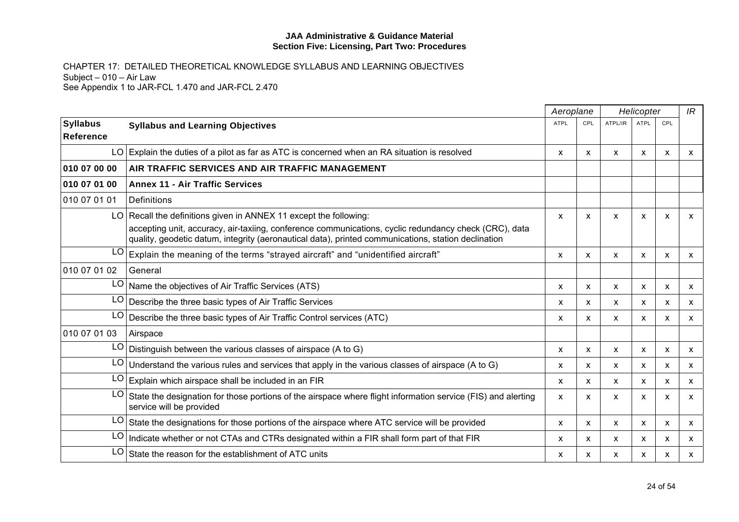|                              |                                                                                                                                                                                                              | Aeroplane    |     | Helicopter                |                           |                           | IR           |
|------------------------------|--------------------------------------------------------------------------------------------------------------------------------------------------------------------------------------------------------------|--------------|-----|---------------------------|---------------------------|---------------------------|--------------|
| <b>Syllabus</b><br>Reference | <b>Syllabus and Learning Objectives</b>                                                                                                                                                                      | <b>ATPL</b>  | CPL | ATPL/IR                   | <b>ATPL</b>               | CPL                       |              |
|                              | $LO$ Explain the duties of a pilot as far as ATC is concerned when an RA situation is resolved                                                                                                               | X            | X   | X                         | $\mathsf{x}$              | $\mathsf{x}$              | X            |
| 010 07 00 00                 | AIR TRAFFIC SERVICES AND AIR TRAFFIC MANAGEMENT                                                                                                                                                              |              |     |                           |                           |                           |              |
| 010 07 01 00                 | <b>Annex 11 - Air Traffic Services</b>                                                                                                                                                                       |              |     |                           |                           |                           |              |
| 010 07 01 01                 | Definitions                                                                                                                                                                                                  |              |     |                           |                           |                           |              |
|                              | LO Recall the definitions given in ANNEX 11 except the following:                                                                                                                                            | X            | x   | X                         | X                         | $\boldsymbol{\mathsf{x}}$ | X            |
|                              | accepting unit, accuracy, air-taxiing, conference communications, cyclic redundancy check (CRC), data<br>quality, geodetic datum, integrity (aeronautical data), printed communications, station declination |              |     |                           |                           |                           |              |
| LO                           | Explain the meaning of the terms "strayed aircraft" and "unidentified aircraft"                                                                                                                              | X            | X   | X                         | $\mathsf{x}$              | X                         | X            |
| 010 07 01 02                 | General                                                                                                                                                                                                      |              |     |                           |                           |                           |              |
| LO                           | Name the objectives of Air Traffic Services (ATS)                                                                                                                                                            | $\mathsf{x}$ | X   | X                         | $\mathsf{x}$              | X                         | X            |
| LO                           | Describe the three basic types of Air Traffic Services                                                                                                                                                       | X            | X   | $\boldsymbol{\mathsf{x}}$ | X                         | $\boldsymbol{\mathsf{x}}$ | X            |
| LO                           | Describe the three basic types of Air Traffic Control services (ATC)                                                                                                                                         | X            | X   | $\boldsymbol{\mathsf{x}}$ | $\boldsymbol{\mathsf{x}}$ | $\boldsymbol{\mathsf{x}}$ | $\mathsf{x}$ |
| 010 07 01 03                 | Airspace                                                                                                                                                                                                     |              |     |                           |                           |                           |              |
| LO                           | Distinguish between the various classes of airspace (A to G)                                                                                                                                                 | x            | X   | X                         | X                         | X                         | X            |
| LO                           | Understand the various rules and services that apply in the various classes of airspace (A to G)                                                                                                             | x            | X   | $\boldsymbol{\mathsf{x}}$ | X                         | X                         | $\mathsf{x}$ |
| LO                           | Explain which airspace shall be included in an FIR                                                                                                                                                           | $\mathsf{x}$ | X   | $\boldsymbol{\mathsf{x}}$ | $\mathsf{x}$              | $\mathsf{x}$              | $\mathsf{x}$ |
| LO                           | State the designation for those portions of the airspace where flight information service (FIS) and alerting<br>service will be provided                                                                     | X            | x   | X                         | X                         | $\boldsymbol{\mathsf{x}}$ | $\mathsf{x}$ |
| LO                           | State the designations for those portions of the airspace where ATC service will be provided                                                                                                                 | $\mathsf{x}$ | X   | $\boldsymbol{\mathsf{x}}$ | X                         | $\boldsymbol{\mathsf{x}}$ | X            |
| LO                           | Indicate whether or not CTAs and CTRs designated within a FIR shall form part of that FIR                                                                                                                    | x            | X   | X                         | X                         | X                         | X            |
| LO                           | State the reason for the establishment of ATC units                                                                                                                                                          | x            | X   | X                         | X                         | X                         | X            |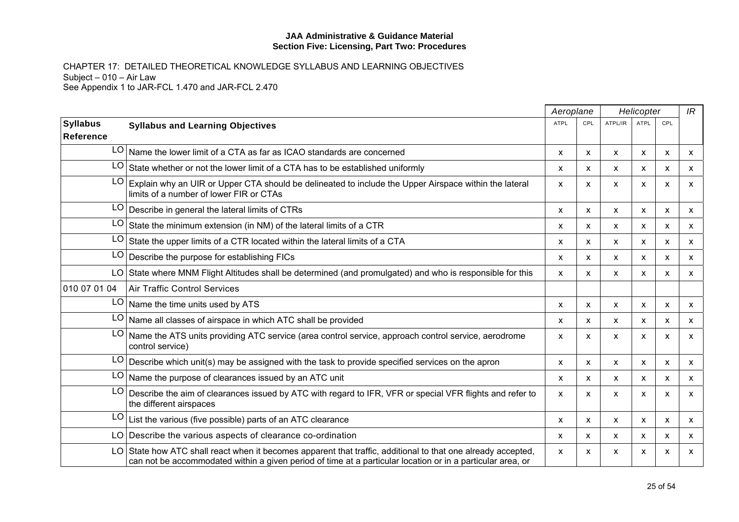|                                     |                                                                                                                                                                                                                         | Aeroplane   |                           | Helicopter                |             | IR  |              |
|-------------------------------------|-------------------------------------------------------------------------------------------------------------------------------------------------------------------------------------------------------------------------|-------------|---------------------------|---------------------------|-------------|-----|--------------|
| <b>Syllabus</b><br><b>Reference</b> | <b>Syllabus and Learning Objectives</b>                                                                                                                                                                                 | <b>ATPL</b> | CPL                       | ATPL/IR                   | <b>ATPL</b> | CPL |              |
|                                     | LO Name the lower limit of a CTA as far as ICAO standards are concerned                                                                                                                                                 | X.          | $\boldsymbol{\mathsf{x}}$ | $\boldsymbol{\mathsf{x}}$ | X           | X   | $\mathsf{x}$ |
| LO                                  | State whether or not the lower limit of a CTA has to be established uniformly                                                                                                                                           | x           | X                         | $\mathsf{x}$              | X           | X   | X            |
| LO                                  | Explain why an UIR or Upper CTA should be delineated to include the Upper Airspace within the lateral<br>limits of a number of lower FIR or CTAs                                                                        | X           | X                         | X                         | X           | X   | X            |
| LO                                  | Describe in general the lateral limits of CTRs                                                                                                                                                                          | X           | $\boldsymbol{\mathsf{x}}$ | X                         | X           | X   | X            |
| LO                                  | State the minimum extension (in NM) of the lateral limits of a CTR                                                                                                                                                      | X           | $\mathsf{x}$              | X                         | X           | X   | X            |
| LO                                  | State the upper limits of a CTR located within the lateral limits of a CTA                                                                                                                                              | X           | X                         | X                         | х           | х   | X            |
| LO                                  | Describe the purpose for establishing FICs                                                                                                                                                                              | X           | $\mathsf{x}$              | X                         | X           | X   | X            |
| LO                                  | State where MNM Flight Altitudes shall be determined (and promulgated) and who is responsible for this                                                                                                                  | X           | $\boldsymbol{\mathsf{x}}$ | X                         | X           | X   | $\mathsf{x}$ |
| 010 07 01 04                        | Air Traffic Control Services                                                                                                                                                                                            |             |                           |                           |             |     |              |
| LO                                  | Name the time units used by ATS                                                                                                                                                                                         | X           | X                         | X                         | x           | X   | X            |
| LO                                  | Name all classes of airspace in which ATC shall be provided                                                                                                                                                             | x           | X                         | X                         | x           | X   | X            |
| LO                                  | Name the ATS units providing ATC service (area control service, approach control service, aerodrome<br>control service)                                                                                                 | X           | $\mathsf{x}$              | $\boldsymbol{\mathsf{x}}$ | X           | X   | $\mathsf{x}$ |
| LO                                  | Describe which unit(s) may be assigned with the task to provide specified services on the apron                                                                                                                         | X           | X                         | X                         | х           | X   | X            |
| LO                                  | Name the purpose of clearances issued by an ATC unit                                                                                                                                                                    | X           | x                         | X                         | x           | X   | X            |
| LO                                  | Describe the aim of clearances issued by ATC with regard to IFR, VFR or special VFR flights and refer to<br>the different airspaces                                                                                     | X           | X                         | X                         | X           | X   | X            |
| LO                                  | List the various (five possible) parts of an ATC clearance                                                                                                                                                              | X           | $\mathsf{x}$              | $\mathsf{x}$              | X           | X   | X            |
| LO                                  | Describe the various aspects of clearance co-ordination                                                                                                                                                                 | x           | X                         | x                         | х           | х   | X            |
| LO                                  | State how ATC shall react when it becomes apparent that traffic, additional to that one already accepted,<br>can not be accommodated within a given period of time at a particular location or in a particular area, or | X           | X                         | X                         | X           | X   | X            |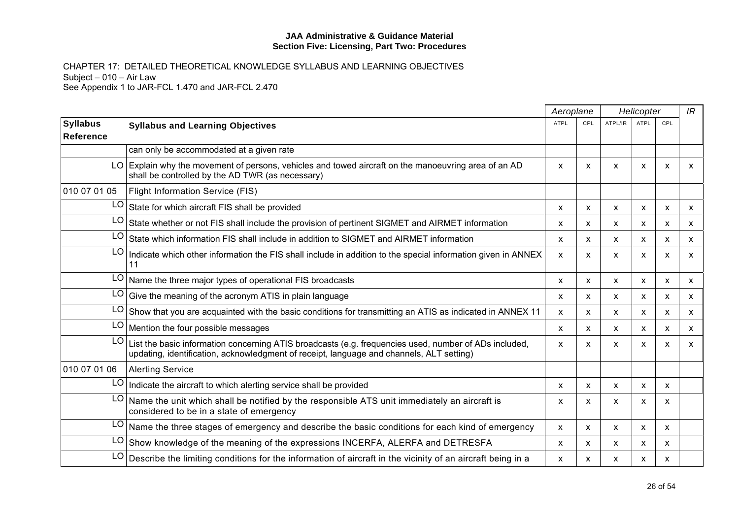|                              |                                                                                                                                                                                                   | Aeroplane   |              | Helicopter |             |     | IR           |
|------------------------------|---------------------------------------------------------------------------------------------------------------------------------------------------------------------------------------------------|-------------|--------------|------------|-------------|-----|--------------|
| <b>Syllabus</b><br>Reference | <b>Syllabus and Learning Objectives</b>                                                                                                                                                           | <b>ATPL</b> | CPL          | ATPL/IR    | <b>ATPL</b> | CPL |              |
|                              | can only be accommodated at a given rate                                                                                                                                                          |             |              |            |             |     |              |
|                              | LO Explain why the movement of persons, vehicles and towed aircraft on the manoeuvring area of an AD<br>shall be controlled by the AD TWR (as necessary)                                          | X           | X            | X          | X           | X   | X            |
| 010 07 01 05                 | Flight Information Service (FIS)                                                                                                                                                                  |             |              |            |             |     |              |
| LO                           | State for which aircraft FIS shall be provided                                                                                                                                                    | X           | X            | X          | х           | X   | x            |
| LO                           | State whether or not FIS shall include the provision of pertinent SIGMET and AIRMET information                                                                                                   | X           | X            | X          | X           | X   | X            |
| LO                           | State which information FIS shall include in addition to SIGMET and AIRMET information                                                                                                            | X           | $\mathsf{x}$ | X          | X           | X   | $\mathsf{x}$ |
| LO                           | Indicate which other information the FIS shall include in addition to the special information given in ANNEX<br>11                                                                                | X           | X            | X          | X           | X   | X            |
| LO                           | Name the three major types of operational FIS broadcasts                                                                                                                                          | x           | X            | X          | X           | X   | X            |
| LO                           | Give the meaning of the acronym ATIS in plain language                                                                                                                                            | X           | $\mathsf{x}$ | X          | X           | X   | X            |
| LO                           | Show that you are acquainted with the basic conditions for transmitting an ATIS as indicated in ANNEX 11                                                                                          | X.          | $\mathsf{x}$ | X          | x           | X   | X            |
| LO                           | Mention the four possible messages                                                                                                                                                                | X           | X            | X          | X           | X   | $\mathsf{x}$ |
| LO                           | List the basic information concerning ATIS broadcasts (e.g. frequencies used, number of ADs included,<br>updating, identification, acknowledgment of receipt, language and channels, ALT setting) | X           | X            | X          | X           | X   | X            |
| 010 07 01 06                 | <b>Alerting Service</b>                                                                                                                                                                           |             |              |            |             |     |              |
| LO                           | Indicate the aircraft to which alerting service shall be provided                                                                                                                                 | X           | X            | X          | X           | X   |              |
| LO                           | Name the unit which shall be notified by the responsible ATS unit immediately an aircraft is<br>considered to be in a state of emergency                                                          | X           | X            | X          | X           | х   |              |
| LO                           | Name the three stages of emergency and describe the basic conditions for each kind of emergency                                                                                                   | X           | X            | X          | X           | X   |              |
| LO                           | Show knowledge of the meaning of the expressions INCERFA, ALERFA and DETRESFA                                                                                                                     | X           | $\mathsf{x}$ | X          | X           | X   |              |
| LO                           | Describe the limiting conditions for the information of aircraft in the vicinity of an aircraft being in a                                                                                        | X           | X            | X          | X           | X   |              |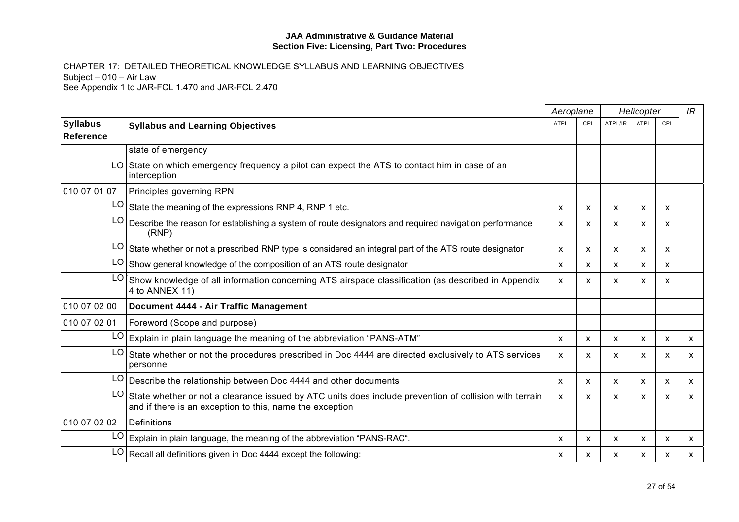|                              |                                                                                                                                                                    |              | Aeroplane    |         | Helicopter  |     |              |
|------------------------------|--------------------------------------------------------------------------------------------------------------------------------------------------------------------|--------------|--------------|---------|-------------|-----|--------------|
| <b>Syllabus</b><br>Reference | <b>Syllabus and Learning Objectives</b>                                                                                                                            | <b>ATPL</b>  | CPL          | ATPL/IR | <b>ATPL</b> | CPL |              |
|                              | state of emergency                                                                                                                                                 |              |              |         |             |     |              |
|                              | LO State on which emergency frequency a pilot can expect the ATS to contact him in case of an<br>interception                                                      |              |              |         |             |     |              |
| 010 07 01 07                 | Principles governing RPN                                                                                                                                           |              |              |         |             |     |              |
| LO                           | State the meaning of the expressions RNP 4, RNP 1 etc.                                                                                                             | X.           | $\mathsf{x}$ | X       | X           | X   |              |
| LO                           | Describe the reason for establishing a system of route designators and required navigation performance<br>(RNP)                                                    | X            | X            | X       | X           | X   |              |
| LO                           | State whether or not a prescribed RNP type is considered an integral part of the ATS route designator                                                              | X.           | $\mathsf{x}$ | X       | х           | х   |              |
| LO                           | Show general knowledge of the composition of an ATS route designator                                                                                               | X.           | $\mathsf{x}$ | X       | X           | X   |              |
| LO                           | Show knowledge of all information concerning ATS airspace classification (as described in Appendix<br>4 to ANNEX 11)                                               | X            | $\mathsf{x}$ | X       | X           | X   |              |
| 010 07 02 00                 | Document 4444 - Air Traffic Management                                                                                                                             |              |              |         |             |     |              |
| 010 07 02 01                 | Foreword (Scope and purpose)                                                                                                                                       |              |              |         |             |     |              |
| LO                           | Explain in plain language the meaning of the abbreviation "PANS-ATM"                                                                                               | X            | $\mathsf{x}$ | X       | X           | X   | $\mathsf{x}$ |
| LO                           | State whether or not the procedures prescribed in Doc 4444 are directed exclusively to ATS services<br>personnel                                                   | X.           | $\mathsf{x}$ | X       | X           | X   | X            |
| LO                           | Describe the relationship between Doc 4444 and other documents                                                                                                     | $\mathsf{x}$ | $\mathsf{x}$ | X       | X           | X   | $\mathsf{x}$ |
| LO                           | State whether or not a clearance issued by ATC units does include prevention of collision with terrain<br>and if there is an exception to this, name the exception | X            | x            | X       | X           | х   | X            |
| 010 07 02 02                 | Definitions                                                                                                                                                        |              |              |         |             |     |              |
| LO                           | Explain in plain language, the meaning of the abbreviation "PANS-RAC".                                                                                             | X            | $\mathsf{x}$ | X       | X           | X   | X            |
| LO                           | Recall all definitions given in Doc 4444 except the following:                                                                                                     | X            | x            | X       | x           | X   | X            |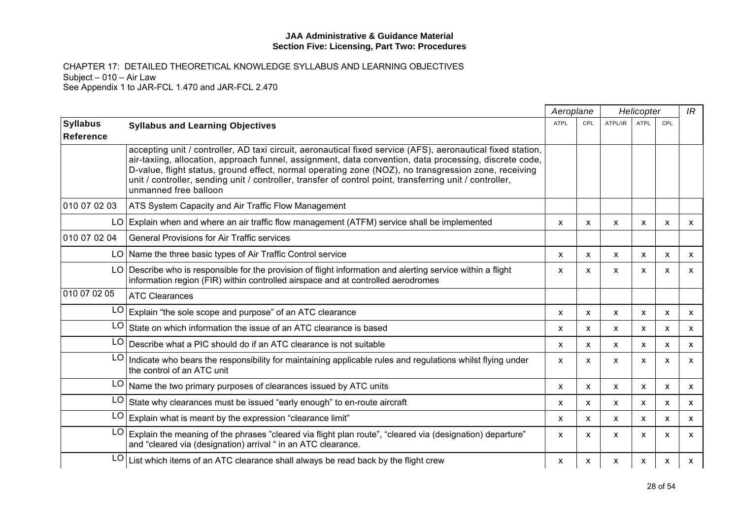|                              |                                                                                                                                                                                                                                                                                                                                                                                                                                                                    | Aeroplane   |                           | Helicopter   |             |     | IR           |
|------------------------------|--------------------------------------------------------------------------------------------------------------------------------------------------------------------------------------------------------------------------------------------------------------------------------------------------------------------------------------------------------------------------------------------------------------------------------------------------------------------|-------------|---------------------------|--------------|-------------|-----|--------------|
| <b>Syllabus</b><br>Reference | <b>Syllabus and Learning Objectives</b>                                                                                                                                                                                                                                                                                                                                                                                                                            | <b>ATPL</b> | CPL                       | ATPL/IR      | <b>ATPL</b> | CPL |              |
|                              | accepting unit / controller, AD taxi circuit, aeronautical fixed service (AFS), aeronautical fixed station,<br>air-taxiing, allocation, approach funnel, assignment, data convention, data processing, discrete code,<br>D-value, flight status, ground effect, normal operating zone (NOZ), no transgression zone, receiving<br>unit / controller, sending unit / controller, transfer of control point, transferring unit / controller,<br>unmanned free balloon |             |                           |              |             |     |              |
| 010 07 02 03                 | ATS System Capacity and Air Traffic Flow Management                                                                                                                                                                                                                                                                                                                                                                                                                |             |                           |              |             |     |              |
|                              | LO Explain when and where an air traffic flow management (ATFM) service shall be implemented                                                                                                                                                                                                                                                                                                                                                                       | X           | X                         | X            | X           | X   | X            |
| 010 07 02 04                 | <b>General Provisions for Air Traffic services</b>                                                                                                                                                                                                                                                                                                                                                                                                                 |             |                           |              |             |     |              |
|                              | LO   Name the three basic types of Air Traffic Control service                                                                                                                                                                                                                                                                                                                                                                                                     | X           | X                         | X            | X           | X   | $\mathsf{x}$ |
|                              | LO Describe who is responsible for the provision of flight information and alerting service within a flight<br>information region (FIR) within controlled airspace and at controlled aerodromes                                                                                                                                                                                                                                                                    | X           | X                         | X            | X           | X   | X            |
| 010 07 02 05                 | <b>ATC Clearances</b>                                                                                                                                                                                                                                                                                                                                                                                                                                              |             |                           |              |             |     |              |
| LO                           | Explain "the sole scope and purpose" of an ATC clearance                                                                                                                                                                                                                                                                                                                                                                                                           | X           | $\mathsf{x}$              | X            | X           | X   | $\mathsf{x}$ |
| LO                           | State on which information the issue of an ATC clearance is based                                                                                                                                                                                                                                                                                                                                                                                                  | X           | $\mathsf{x}$              | $\mathsf{x}$ | X           | X   | $\mathsf{x}$ |
| LO                           | Describe what a PIC should do if an ATC clearance is not suitable                                                                                                                                                                                                                                                                                                                                                                                                  | X.          | $\mathsf{x}$              | X            | X           | X   | <b>X</b>     |
| LO                           | Indicate who bears the responsibility for maintaining applicable rules and regulations whilst flying under<br>the control of an ATC unit                                                                                                                                                                                                                                                                                                                           | X           | $\mathsf{x}$              | $\mathsf{x}$ | X           | X   | $\mathsf{x}$ |
|                              | $LO$ Name the two primary purposes of clearances issued by ATC units                                                                                                                                                                                                                                                                                                                                                                                               | X.          | $\boldsymbol{\mathsf{x}}$ | $\mathsf{x}$ | X           | X   | X            |
| LO                           | State why clearances must be issued "early enough" to en-route aircraft                                                                                                                                                                                                                                                                                                                                                                                            | x           | $\mathsf{x}$              | $\mathsf{x}$ | x           | X   | <b>X</b>     |
| LO                           | Explain what is meant by the expression "clearance limit"                                                                                                                                                                                                                                                                                                                                                                                                          | x           | $\mathsf{x}$              | $\mathsf{x}$ | X           | X   | $\mathsf{x}$ |
| LO                           | Explain the meaning of the phrases "cleared via flight plan route", "cleared via (designation) departure"<br>and "cleared via (designation) arrival " in an ATC clearance.                                                                                                                                                                                                                                                                                         | x           | $\boldsymbol{\mathsf{x}}$ | $\mathsf{x}$ | x           | x   | X            |
| LO                           | List which items of an ATC clearance shall always be read back by the flight crew                                                                                                                                                                                                                                                                                                                                                                                  | x           | x                         | X            | x           | x   | X            |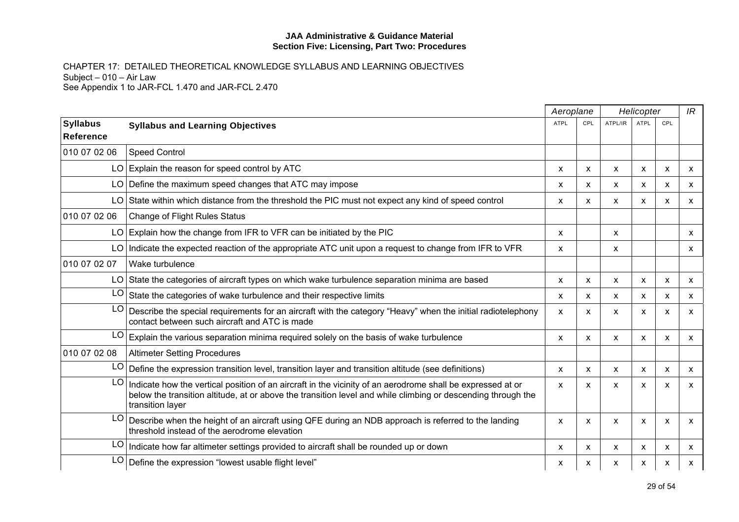|                                     |                                                                                                                                                                                                                                                | Aeroplane   |                           |                           | Helicopter  |     | IR           |
|-------------------------------------|------------------------------------------------------------------------------------------------------------------------------------------------------------------------------------------------------------------------------------------------|-------------|---------------------------|---------------------------|-------------|-----|--------------|
| <b>Syllabus</b><br><b>Reference</b> | <b>Syllabus and Learning Objectives</b>                                                                                                                                                                                                        | <b>ATPL</b> | CPL                       | ATPL/IR                   | <b>ATPL</b> | CPL |              |
| 010 07 02 06                        | <b>Speed Control</b>                                                                                                                                                                                                                           |             |                           |                           |             |     |              |
|                                     | $LO$ Explain the reason for speed control by ATC                                                                                                                                                                                               | X           | $\boldsymbol{\mathsf{x}}$ | $\boldsymbol{\mathsf{x}}$ | X           | X   | X            |
| LO I                                | Define the maximum speed changes that ATC may impose                                                                                                                                                                                           | X           | X                         | X                         | X           | X   | X            |
|                                     | LO State within which distance from the threshold the PIC must not expect any kind of speed control                                                                                                                                            | X           | X                         | X                         | X           | X   | X            |
| 010 07 02 06                        | <b>Change of Flight Rules Status</b>                                                                                                                                                                                                           |             |                           |                           |             |     |              |
|                                     | $LO$ Explain how the change from IFR to VFR can be initiated by the PIC                                                                                                                                                                        | X           |                           | X                         |             |     | X            |
|                                     | LO Indicate the expected reaction of the appropriate ATC unit upon a request to change from IFR to VFR                                                                                                                                         | X           |                           | X                         |             |     | $\mathsf{x}$ |
| 010 07 02 07                        | Wake turbulence                                                                                                                                                                                                                                |             |                           |                           |             |     |              |
|                                     | LO State the categories of aircraft types on which wake turbulence separation minima are based                                                                                                                                                 | X           | $\boldsymbol{\mathsf{x}}$ | $\pmb{\chi}$              | X           | X   | X            |
| LO                                  | State the categories of wake turbulence and their respective limits                                                                                                                                                                            | x           | x                         | X                         | x           | X   | x            |
| LO                                  | Describe the special requirements for an aircraft with the category "Heavy" when the initial radiotelephony<br>contact between such aircraft and ATC is made                                                                                   | X           | X                         | $\boldsymbol{\mathsf{x}}$ | X           | X   | X            |
| LO                                  | Explain the various separation minima required solely on the basis of wake turbulence                                                                                                                                                          | X           | X                         | X                         | X           | X   | X            |
| 010 07 02 08                        | <b>Altimeter Setting Procedures</b>                                                                                                                                                                                                            |             |                           |                           |             |     |              |
| LO                                  | Define the expression transition level, transition layer and transition altitude (see definitions)                                                                                                                                             | X           | $\mathsf{x}$              | $\mathsf{x}$              | X           | X   | $\mathsf{x}$ |
| LO                                  | Indicate how the vertical position of an aircraft in the vicinity of an aerodrome shall be expressed at or<br>below the transition altitude, at or above the transition level and while climbing or descending through the<br>transition layer | X           | X                         | $\mathsf{x}$              | X           | X   | $\mathsf{x}$ |
| LO.                                 | Describe when the height of an aircraft using QFE during an NDB approach is referred to the landing<br>threshold instead of the aerodrome elevation                                                                                            | x           | X                         | $\mathsf{x}$              | X           | X   | X            |
| LO                                  | Indicate how far altimeter settings provided to aircraft shall be rounded up or down                                                                                                                                                           | X           | $\boldsymbol{\mathsf{x}}$ | $\mathsf{x}$              | X           | X   | X            |
| LO                                  | Define the expression "lowest usable flight level"                                                                                                                                                                                             | x           | x                         | X                         | x           | X   | x            |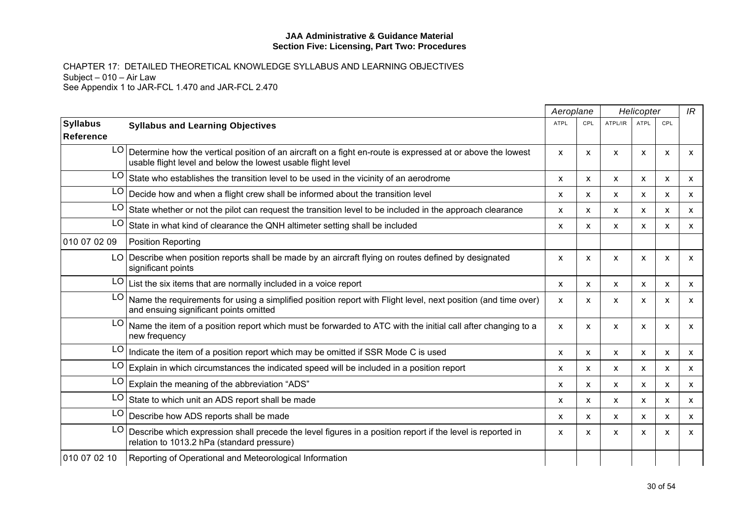|                                     |                                                                                                                                                                            |             | Aeroplane | Helicopter   |                           |                           | IR                        |
|-------------------------------------|----------------------------------------------------------------------------------------------------------------------------------------------------------------------------|-------------|-----------|--------------|---------------------------|---------------------------|---------------------------|
| <b>Syllabus</b><br><b>Reference</b> | <b>Syllabus and Learning Objectives</b>                                                                                                                                    | <b>ATPL</b> | CPL       | ATPL/IR      | <b>ATPL</b>               | CPL                       |                           |
| LO I                                | Determine how the vertical position of an aircraft on a fight en-route is expressed at or above the lowest<br>usable flight level and below the lowest usable flight level | X           | X         | X            | X                         | $\boldsymbol{\mathsf{x}}$ | X                         |
| LO.                                 | State who establishes the transition level to be used in the vicinity of an aerodrome                                                                                      | X           | x         | X            | X                         | X                         | X                         |
| LO.                                 | Decide how and when a flight crew shall be informed about the transition level                                                                                             | X           | x         | x            | X                         | X                         | $\boldsymbol{\mathsf{x}}$ |
| LO                                  | State whether or not the pilot can request the transition level to be included in the approach clearance                                                                   | X           | X         | X            | $\boldsymbol{\mathsf{x}}$ | $\boldsymbol{\mathsf{x}}$ | $\mathsf{x}$              |
| LO                                  | State in what kind of clearance the QNH altimeter setting shall be included                                                                                                | X           | x         | X            | X                         | $\boldsymbol{\mathsf{x}}$ | $\mathsf{x}$              |
| 010 07 02 09                        | <b>Position Reporting</b>                                                                                                                                                  |             |           |              |                           |                           |                           |
|                                     | LO Describe when position reports shall be made by an aircraft flying on routes defined by designated<br>significant points                                                | X           | X         | X            | X                         | $\boldsymbol{\mathsf{x}}$ | $\mathsf{x}$              |
| LO                                  | List the six items that are normally included in a voice report                                                                                                            | X           | X         | $\mathsf{x}$ | $\boldsymbol{\mathsf{x}}$ | X                         | $\boldsymbol{\mathsf{x}}$ |
| LO.                                 | Name the requirements for using a simplified position report with Flight level, next position (and time over)<br>and ensuing significant points omitted                    | X           | X         | X            | x                         | X                         | X                         |
| LO <sub>1</sub>                     | Name the item of a position report which must be forwarded to ATC with the initial call after changing to a<br>new frequency                                               | X           | X         | X            | X                         | $\boldsymbol{\mathsf{x}}$ | $\mathsf{x}$              |
| LO I                                | Indicate the item of a position report which may be omitted if SSR Mode C is used                                                                                          | X           | X         | $\mathsf{x}$ | $\boldsymbol{\mathsf{x}}$ | $\boldsymbol{\mathsf{x}}$ | $\boldsymbol{\mathsf{x}}$ |
| LO                                  | Explain in which circumstances the indicated speed will be included in a position report                                                                                   | x           | X         | X            | X                         | X                         | X                         |
| LO                                  | Explain the meaning of the abbreviation "ADS"                                                                                                                              | X           | X         | x            | X                         | $\boldsymbol{\mathsf{x}}$ | $\boldsymbol{\mathsf{x}}$ |
| LO                                  | State to which unit an ADS report shall be made                                                                                                                            | X           | x         | X            | x                         | X                         | $\mathsf{x}$              |
| LO                                  | Describe how ADS reports shall be made                                                                                                                                     | X           | X         | x            | X                         | X                         | $\boldsymbol{\mathsf{x}}$ |
| LO                                  | Describe which expression shall precede the level figures in a position report if the level is reported in<br>relation to 1013.2 hPa (standard pressure)                   | X           | X         | X            | X                         | X                         | X                         |
| 010 07 02 10                        | Reporting of Operational and Meteorological Information                                                                                                                    |             |           |              |                           |                           |                           |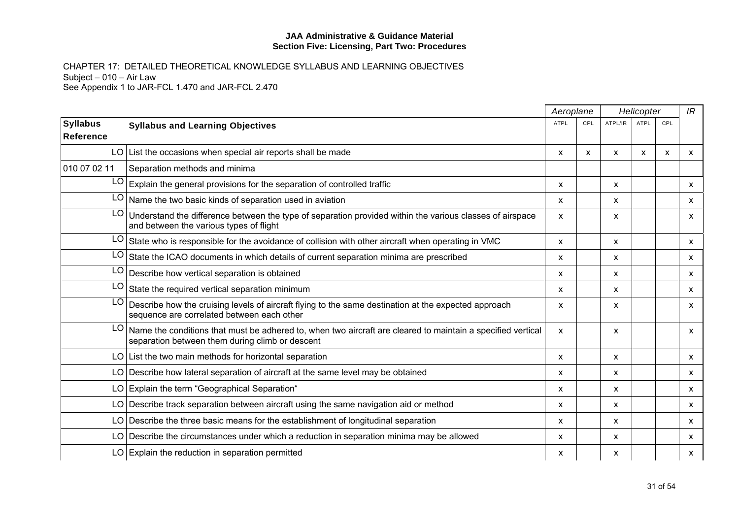|                              |                                                                                                                                                                   | Aeroplane    |     |                           | Helicopter   |                           | IR           |
|------------------------------|-------------------------------------------------------------------------------------------------------------------------------------------------------------------|--------------|-----|---------------------------|--------------|---------------------------|--------------|
| <b>Syllabus</b><br>Reference | <b>Syllabus and Learning Objectives</b>                                                                                                                           | <b>ATPL</b>  | CPL | ATPL/IR                   | <b>ATPL</b>  | CPL                       |              |
|                              | $LO$ List the occasions when special air reports shall be made                                                                                                    | X            | X   | $\mathsf{x}$              | $\mathsf{x}$ | $\boldsymbol{\mathsf{x}}$ | $\mathsf{x}$ |
| 010 07 02 11                 | Separation methods and minima                                                                                                                                     |              |     |                           |              |                           |              |
| LO                           | Explain the general provisions for the separation of controlled traffic                                                                                           | X            |     | X                         |              |                           | $\mathsf{x}$ |
|                              | $LO$ Name the two basic kinds of separation used in aviation                                                                                                      | $\mathsf{x}$ |     | $\mathsf{x}$              |              |                           | $\mathsf{x}$ |
| LO.                          | Understand the difference between the type of separation provided within the various classes of airspace<br>and between the various types of flight               | X            |     | X                         |              |                           | <b>X</b>     |
| LO.                          | State who is responsible for the avoidance of collision with other aircraft when operating in VMC                                                                 | X            |     | X                         |              |                           | $\mathsf{x}$ |
| LO                           | State the ICAO documents in which details of current separation minima are prescribed                                                                             | X            |     | X                         |              |                           | $\mathsf{x}$ |
| LO                           | Describe how vertical separation is obtained                                                                                                                      | x            |     | x                         |              |                           | X.           |
| LO                           | State the required vertical separation minimum                                                                                                                    | $\mathsf{x}$ |     | $\boldsymbol{\mathsf{x}}$ |              |                           | $\mathsf{x}$ |
| LO                           | Describe how the cruising levels of aircraft flying to the same destination at the expected approach<br>sequence are correlated between each other                | X            |     | $\boldsymbol{\mathsf{x}}$ |              |                           | $\mathsf{x}$ |
|                              | LO Name the conditions that must be adhered to, when two aircraft are cleared to maintain a specified vertical<br>separation between them during climb or descent | X            |     | X                         |              |                           | <b>X</b>     |
|                              | LO List the two main methods for horizontal separation                                                                                                            | $\mathsf{x}$ |     | $\mathsf{x}$              |              |                           | $\mathsf{x}$ |
|                              | LO Describe how lateral separation of aircraft at the same level may be obtained                                                                                  | X            |     | X                         |              |                           | X            |
|                              | LO Explain the term "Geographical Separation"                                                                                                                     | X            |     | X                         |              |                           | $\mathsf{x}$ |
|                              | LO Describe track separation between aircraft using the same navigation aid or method                                                                             | $\mathsf{x}$ |     | $\boldsymbol{\mathsf{x}}$ |              |                           | $\mathsf{x}$ |
|                              | LO Describe the three basic means for the establishment of longitudinal separation                                                                                | $\mathsf{x}$ |     | $\boldsymbol{\mathsf{x}}$ |              |                           | $\mathsf{x}$ |
|                              | LO Describe the circumstances under which a reduction in separation minima may be allowed                                                                         | X            |     | X                         |              |                           | X            |
|                              | $LO$ Explain the reduction in separation permitted                                                                                                                | X            |     | $\boldsymbol{\mathsf{x}}$ |              |                           | X            |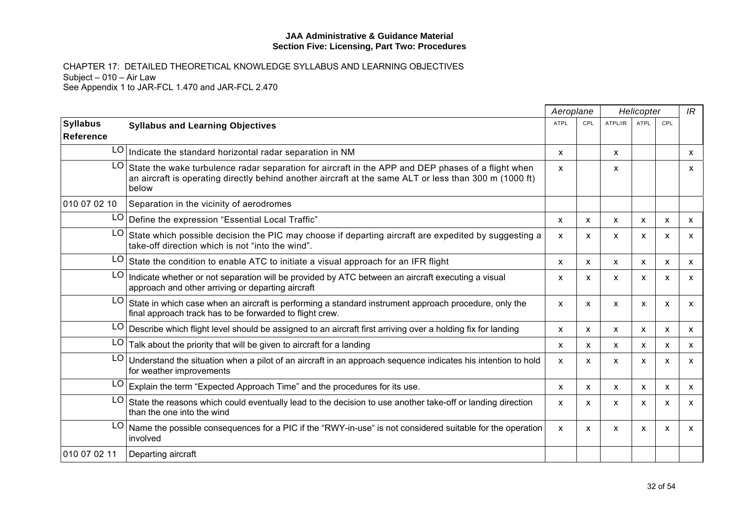|                                     |                                                                                                                                                                                                                       | Aeroplane   |                           |                           | Helicopter  |     | IR           |
|-------------------------------------|-----------------------------------------------------------------------------------------------------------------------------------------------------------------------------------------------------------------------|-------------|---------------------------|---------------------------|-------------|-----|--------------|
| <b>Syllabus</b><br><b>Reference</b> | <b>Syllabus and Learning Objectives</b>                                                                                                                                                                               | <b>ATPL</b> | CPL                       | ATPL/IR                   | <b>ATPL</b> | CPL |              |
|                                     | $LO$ Indicate the standard horizontal radar separation in NM                                                                                                                                                          | X           |                           | X                         |             |     | X            |
| LO.                                 | State the wake turbulence radar separation for aircraft in the APP and DEP phases of a flight when<br>an aircraft is operating directly behind another aircraft at the same ALT or less than 300 m (1000 ft)<br>below | X           |                           | X                         |             |     | X            |
| 010 07 02 10                        | Separation in the vicinity of aerodromes                                                                                                                                                                              |             |                           |                           |             |     |              |
|                                     | LO   Define the expression "Essential Local Traffic"                                                                                                                                                                  | X           | $\boldsymbol{\mathsf{x}}$ | $\boldsymbol{\mathsf{x}}$ | X           | X   | X            |
| LO.                                 | State which possible decision the PIC may choose if departing aircraft are expedited by suggesting a<br>take-off direction which is not "into the wind".                                                              | X           | X                         | X                         | x           | X   | X            |
| LO                                  | State the condition to enable ATC to initiate a visual approach for an IFR flight                                                                                                                                     | X           | X                         | $\boldsymbol{\mathsf{x}}$ | X           | X   | $\mathsf{x}$ |
| LO                                  | Indicate whether or not separation will be provided by ATC between an aircraft executing a visual<br>approach and other arriving or departing aircraft                                                                | x           | X                         | X                         | X           | X   | X            |
| LO                                  | State in which case when an aircraft is performing a standard instrument approach procedure, only the<br>final approach track has to be forwarded to flight crew.                                                     | X           | X                         | $\boldsymbol{\mathsf{x}}$ | X           | X   | X            |
|                                     | LO   Describe which flight level should be assigned to an aircraft first arriving over a holding fix for landing                                                                                                      | X           | $\mathsf{x}$              | X                         | x           | X   | X            |
| LO.                                 | Talk about the priority that will be given to aircraft for a landing                                                                                                                                                  | x           | X                         | $\mathsf{x}$              | x           | x   | X            |
| LO                                  | Understand the situation when a pilot of an aircraft in an approach sequence indicates his intention to hold<br>for weather improvements                                                                              | X           | x                         | $\boldsymbol{\mathsf{x}}$ | X           | X   | $\mathsf{x}$ |
|                                     | $LO$ Explain the term "Expected Approach Time" and the procedures for its use.                                                                                                                                        | X           | X                         | $\boldsymbol{\mathsf{x}}$ | X           | X   | X            |
| LO I                                | State the reasons which could eventually lead to the decision to use another take-off or landing direction<br>than the one into the wind                                                                              | X           | x                         | $\boldsymbol{\mathsf{x}}$ | x           | X   | X            |
| LO                                  | Name the possible consequences for a PIC if the "RWY-in-use" is not considered suitable for the operation<br>involved                                                                                                 | X           | X                         | $\boldsymbol{\mathsf{x}}$ | X           | X   | $\mathsf{x}$ |
| 010 07 02 11                        | Departing aircraft                                                                                                                                                                                                    |             |                           |                           |             |     |              |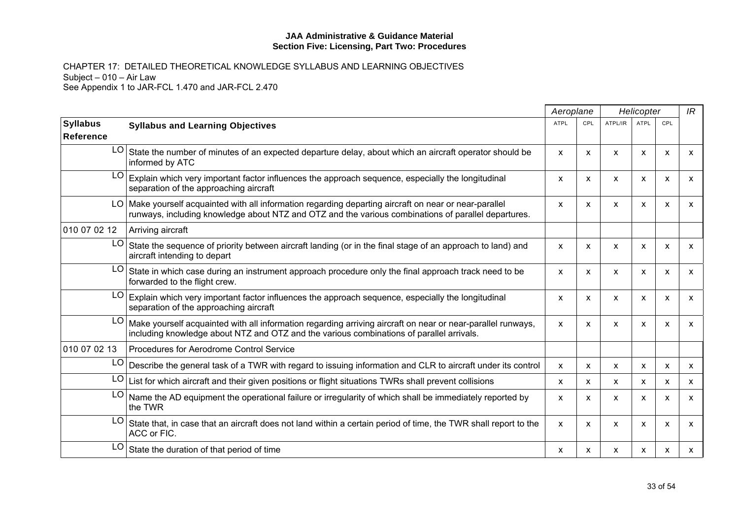|                              |                                                                                                                                                                                                               |              | Aeroplane                 | Helicopter                |                           |     | IR           |
|------------------------------|---------------------------------------------------------------------------------------------------------------------------------------------------------------------------------------------------------------|--------------|---------------------------|---------------------------|---------------------------|-----|--------------|
| <b>Syllabus</b><br>Reference | <b>Syllabus and Learning Objectives</b>                                                                                                                                                                       | <b>ATPL</b>  | CPL                       | ATPL/IR                   | <b>ATPL</b>               | CPL |              |
| LO                           | State the number of minutes of an expected departure delay, about which an aircraft operator should be<br>informed by ATC                                                                                     | X            | $\boldsymbol{\mathsf{x}}$ | X                         | X                         | X   | X            |
| LO                           | Explain which very important factor influences the approach sequence, especially the longitudinal<br>separation of the approaching aircraft                                                                   | X            | X                         | $\boldsymbol{\mathsf{x}}$ | X                         | X   | $\mathsf{x}$ |
|                              | LO Make yourself acquainted with all information regarding departing aircraft on near or near-parallel<br>runways, including knowledge about NTZ and OTZ and the various combinations of parallel departures. | X            | X                         | X                         | X                         | X   | X            |
| 010 07 02 12                 | Arriving aircraft                                                                                                                                                                                             |              |                           |                           |                           |     |              |
| LO                           | State the sequence of priority between aircraft landing (or in the final stage of an approach to land) and<br>aircraft intending to depart                                                                    | X            | X                         | X                         | X                         | X   | X            |
| LO                           | State in which case during an instrument approach procedure only the final approach track need to be<br>forwarded to the flight crew.                                                                         | $\mathsf{x}$ | $\boldsymbol{\mathsf{x}}$ | $\boldsymbol{\mathsf{x}}$ | X                         | X   | $\mathsf{x}$ |
| LC                           | Explain which very important factor influences the approach sequence, especially the longitudinal<br>separation of the approaching aircraft                                                                   | X            | X                         | $\boldsymbol{\mathsf{x}}$ | $\boldsymbol{\mathsf{x}}$ | X   | X            |
| LO.                          | Make yourself acquainted with all information regarding arriving aircraft on near or near-parallel runways,<br>including knowledge about NTZ and OTZ and the various combinations of parallel arrivals.       | X            | X                         | $\mathsf{x}$              | X                         | X   | $\mathsf{x}$ |
| 010 07 02 13                 | Procedures for Aerodrome Control Service                                                                                                                                                                      |              |                           |                           |                           |     |              |
| LO.                          | Describe the general task of a TWR with regard to issuing information and CLR to aircraft under its control                                                                                                   | X            | X                         | X                         | X                         | X   | X            |
| LO                           | List for which aircraft and their given positions or flight situations TWRs shall prevent collisions                                                                                                          | X            | $\mathsf{x}$              | X                         | X                         | X   | $\mathsf{x}$ |
| LO                           | Name the AD equipment the operational failure or irregularity of which shall be immediately reported by<br>the TWR                                                                                            | X            | X                         | $\boldsymbol{\mathsf{x}}$ | X                         | X   | X            |
| LO                           | State that, in case that an aircraft does not land within a certain period of time, the TWR shall report to the<br>ACC or FIC.                                                                                | X            | X                         | X                         | X                         | x   | X            |
| LO                           | State the duration of that period of time                                                                                                                                                                     | X            | x                         | X                         | x                         | х   | x            |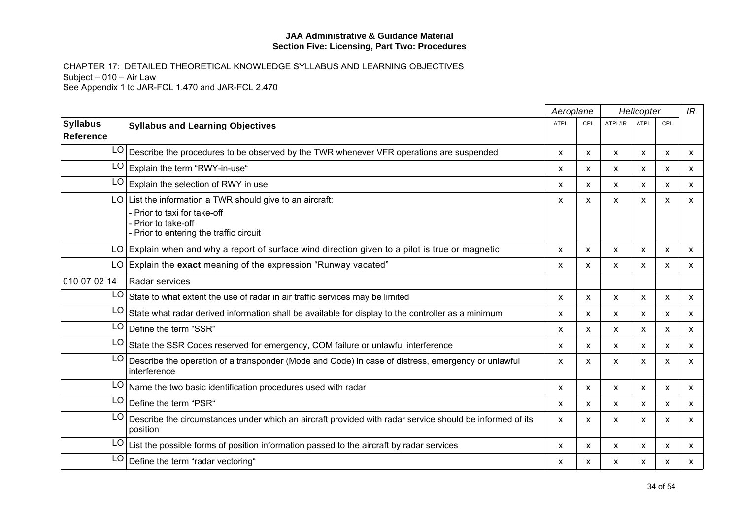|                 |                                                                                                                                                    | Aeroplane   | Helicopter   |              | IR                        |                           |                           |
|-----------------|----------------------------------------------------------------------------------------------------------------------------------------------------|-------------|--------------|--------------|---------------------------|---------------------------|---------------------------|
| <b>Syllabus</b> | <b>Syllabus and Learning Objectives</b>                                                                                                            | <b>ATPL</b> | CPL          | ATPL/IR      | ATPL                      | CPL                       |                           |
| Reference       |                                                                                                                                                    |             |              |              |                           |                           |                           |
| LO              | Describe the procedures to be observed by the TWR whenever VFR operations are suspended                                                            | X           | $\mathsf{x}$ | X            | $\boldsymbol{\mathsf{x}}$ | X                         | X                         |
| LO              | Explain the term "RWY-in-use"                                                                                                                      | X           | x            | X            | x                         | $\boldsymbol{\mathsf{x}}$ | $\mathsf{x}$              |
| LO              | Explain the selection of RWY in use                                                                                                                | X           | X            | X            | X                         | $\boldsymbol{\mathsf{x}}$ | $\boldsymbol{\mathsf{x}}$ |
| LO              | List the information a TWR should give to an aircraft:<br>Prior to taxi for take-off<br>Prior to take-off<br>Prior to entering the traffic circuit | X           | X            | X            | $\boldsymbol{\mathsf{x}}$ | $\boldsymbol{\mathsf{x}}$ | $\boldsymbol{\mathsf{x}}$ |
|                 | $LO$ Explain when and why a report of surface wind direction given to a pilot is true or magnetic                                                  | X           | X            | X            | X                         | $\boldsymbol{\mathsf{x}}$ | $\mathsf{x}$              |
|                 | $LO$ Explain the exact meaning of the expression "Runway vacated"                                                                                  | X           | X            | X            | X                         | $\boldsymbol{\mathsf{x}}$ | $\mathsf{x}$              |
| 010 07 02 14    | Radar services                                                                                                                                     |             |              |              |                           |                           |                           |
| LO              | State to what extent the use of radar in air traffic services may be limited                                                                       | X           | X            | X            | X                         | $\boldsymbol{\mathsf{x}}$ | X                         |
| LO              | State what radar derived information shall be available for display to the controller as a minimum                                                 | X           | $\mathsf{x}$ | X            | X                         | $\boldsymbol{\mathsf{x}}$ | $\mathsf{x}$              |
| LO.             | Define the term "SSR"                                                                                                                              | X           | X            | X            | $\boldsymbol{\mathsf{x}}$ | X                         | $\mathsf{x}$              |
| LO              | State the SSR Codes reserved for emergency, COM failure or unlawful interference                                                                   | X           | X            | x            | X                         | $\boldsymbol{\mathsf{x}}$ | X                         |
| LO              | Describe the operation of a transponder (Mode and Code) in case of distress, emergency or unlawful<br>interference                                 | X           | X            | X            | X                         | X                         | X                         |
| LO              | Name the two basic identification procedures used with radar                                                                                       | X           | $\mathsf{x}$ | X            | $\boldsymbol{\mathsf{x}}$ | X                         | $\mathsf{x}$              |
| LO              | Define the term "PSR"                                                                                                                              | X           | X            | $\mathsf{x}$ | X                         | $\boldsymbol{\mathsf{x}}$ | $\mathsf{x}$              |
| LO              | Describe the circumstances under which an aircraft provided with radar service should be informed of its<br>position                               | X           | X            | X            | X                         | $\boldsymbol{\mathsf{x}}$ | $\mathsf{x}$              |
| LO              | List the possible forms of position information passed to the aircraft by radar services                                                           | X           | X            | X            | X                         | X                         | $\mathsf{x}$              |
| LO              | Define the term "radar vectoring"                                                                                                                  | X           | X            | x            | x                         | X                         | X                         |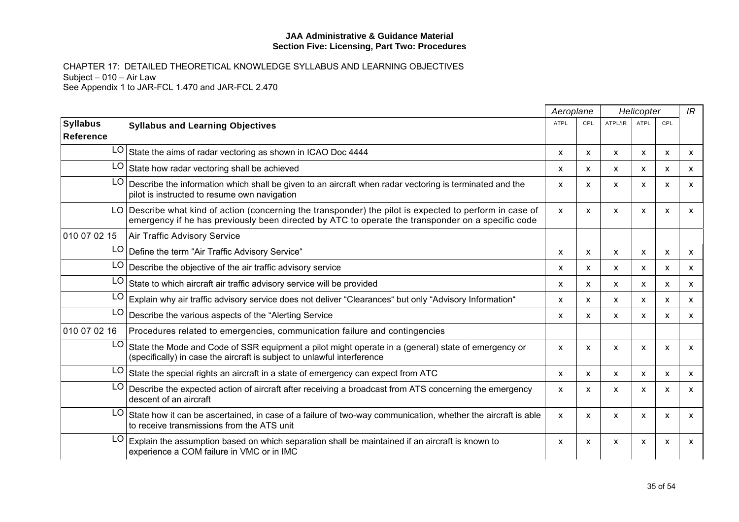|                              |                                                                                                                                                                                                               | Aeroplane   |              |              | Helicopter                |                           | IR                        |
|------------------------------|---------------------------------------------------------------------------------------------------------------------------------------------------------------------------------------------------------------|-------------|--------------|--------------|---------------------------|---------------------------|---------------------------|
| <b>Syllabus</b><br>Reference | <b>Syllabus and Learning Objectives</b>                                                                                                                                                                       | <b>ATPL</b> | CPL          | ATPL/IR      | <b>ATPL</b>               | CPL                       |                           |
| LO                           | State the aims of radar vectoring as shown in ICAO Doc 4444                                                                                                                                                   | X           | X            | X            | $\boldsymbol{\mathsf{x}}$ | $\boldsymbol{\mathsf{x}}$ | X                         |
| LO                           | State how radar vectoring shall be achieved                                                                                                                                                                   | x           | x            | x            | x                         | x                         | X                         |
| LO                           | Describe the information which shall be given to an aircraft when radar vectoring is terminated and the<br>pilot is instructed to resume own navigation                                                       | X           | X            | X            | X                         | $\boldsymbol{\mathsf{x}}$ | X                         |
|                              | LO Describe what kind of action (concerning the transponder) the pilot is expected to perform in case of<br>emergency if he has previously been directed by ATC to operate the transponder on a specific code | X           | X            | X            | X                         | X                         | X                         |
| 010 07 02 15                 | Air Traffic Advisory Service                                                                                                                                                                                  |             |              |              |                           |                           |                           |
| LO                           | Define the term "Air Traffic Advisory Service"                                                                                                                                                                | X           | X            | X            | X                         | $\boldsymbol{\mathsf{x}}$ | X                         |
| LO                           | Describe the objective of the air traffic advisory service                                                                                                                                                    | X           | $\mathsf{x}$ | X            | X                         | $\boldsymbol{\mathsf{x}}$ | $\mathsf{x}$              |
| LO                           | State to which aircraft air traffic advisory service will be provided                                                                                                                                         | X           | X            | X            | $\boldsymbol{\mathsf{x}}$ | $\boldsymbol{\mathsf{x}}$ | $\mathsf{x}$              |
| LO                           | Explain why air traffic advisory service does not deliver "Clearances" but only "Advisory Information"                                                                                                        | x           | X            | X            | $\boldsymbol{\mathsf{x}}$ | X                         | X                         |
| LO                           | Describe the various aspects of the "Alerting Service"                                                                                                                                                        | X           | X            | $\mathsf{x}$ | X                         | $\boldsymbol{\mathsf{x}}$ | $\mathsf{x}$              |
| 010 07 02 16                 | Procedures related to emergencies, communication failure and contingencies                                                                                                                                    |             |              |              |                           |                           |                           |
| LO                           | State the Mode and Code of SSR equipment a pilot might operate in a (general) state of emergency or<br>(specifically) in case the aircraft is subject to unlawful interference                                | X           | $\mathsf{x}$ | X            | $\boldsymbol{\mathsf{x}}$ | $\boldsymbol{\mathsf{x}}$ | $\mathsf{x}$              |
| LO                           | State the special rights an aircraft in a state of emergency can expect from ATC                                                                                                                              | X           | X            | $\mathsf{x}$ | $\boldsymbol{\mathsf{x}}$ | X                         | X                         |
| LO                           | Describe the expected action of aircraft after receiving a broadcast from ATS concerning the emergency<br>descent of an aircraft                                                                              | X           | X            | X            | $\boldsymbol{\mathsf{x}}$ | X                         | $\boldsymbol{\mathsf{x}}$ |
| LO                           | State how it can be ascertained, in case of a failure of two-way communication, whether the aircraft is able<br>to receive transmissions from the ATS unit                                                    | X           | X            | X            | X                         | X                         | $\boldsymbol{\mathsf{x}}$ |
| LO                           | Explain the assumption based on which separation shall be maintained if an aircraft is known to<br>experience a COM failure in VMC or in IMC                                                                  | X           | X            | X            | $\boldsymbol{\mathsf{x}}$ | X                         | X                         |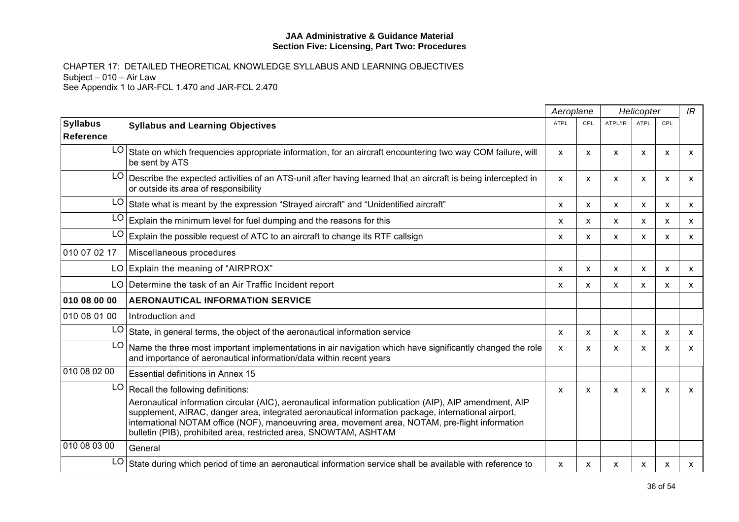|                                     |                                                                                                                                                                                                                                                                                                                                                                                         |             | Aeroplane | Helicopter                |             |     | IR           |
|-------------------------------------|-----------------------------------------------------------------------------------------------------------------------------------------------------------------------------------------------------------------------------------------------------------------------------------------------------------------------------------------------------------------------------------------|-------------|-----------|---------------------------|-------------|-----|--------------|
| <b>Syllabus</b><br><b>Reference</b> | <b>Syllabus and Learning Objectives</b>                                                                                                                                                                                                                                                                                                                                                 | <b>ATPL</b> | CPL       | ATPL/IR                   | <b>ATPL</b> | CPL |              |
| LO.                                 | State on which frequencies appropriate information, for an aircraft encountering two way COM failure, will<br>be sent by ATS                                                                                                                                                                                                                                                            | X           | X         | X                         | X           | X   | x            |
| LO                                  | Describe the expected activities of an ATS-unit after having learned that an aircraft is being intercepted in<br>or outside its area of responsibility                                                                                                                                                                                                                                  | X           | X         | X                         | X           | X   | x            |
| LO                                  | State what is meant by the expression "Strayed aircraft" and "Unidentified aircraft"                                                                                                                                                                                                                                                                                                    | X           | X         | $\boldsymbol{\mathsf{x}}$ | X           | X   | X            |
| LO                                  | Explain the minimum level for fuel dumping and the reasons for this                                                                                                                                                                                                                                                                                                                     | X           | X         | $\boldsymbol{\mathsf{x}}$ | X           | X   | $\mathsf{x}$ |
| LO                                  | Explain the possible request of ATC to an aircraft to change its RTF callsign                                                                                                                                                                                                                                                                                                           | x           | X         | $\boldsymbol{\mathsf{x}}$ | x           | X   | $\mathsf{x}$ |
| 010 07 02 17                        | Miscellaneous procedures                                                                                                                                                                                                                                                                                                                                                                |             |           |                           |             |     |              |
|                                     | LO Explain the meaning of "AIRPROX"                                                                                                                                                                                                                                                                                                                                                     | X           | X         | X                         | X           | X   | X            |
|                                     | LO Determine the task of an Air Traffic Incident report                                                                                                                                                                                                                                                                                                                                 | x           | X         | X                         | X           | X   | X            |
| 010 08 00 00                        | <b>AERONAUTICAL INFORMATION SERVICE</b>                                                                                                                                                                                                                                                                                                                                                 |             |           |                           |             |     |              |
| 010 08 01 00                        | Introduction and                                                                                                                                                                                                                                                                                                                                                                        |             |           |                           |             |     |              |
| LO                                  | State, in general terms, the object of the aeronautical information service                                                                                                                                                                                                                                                                                                             | X           | x         | X                         | X           | X   | X            |
| LO                                  | Name the three most important implementations in air navigation which have significantly changed the role<br>and importance of aeronautical information/data within recent years                                                                                                                                                                                                        | X           | X         | X                         | X           | X   | X            |
| 010 08 02 00                        | <b>Essential definitions in Annex 15</b>                                                                                                                                                                                                                                                                                                                                                |             |           |                           |             |     |              |
| LO                                  | Recall the following definitions:                                                                                                                                                                                                                                                                                                                                                       | X           | x         | $\boldsymbol{\mathsf{x}}$ | X           | X   | X            |
|                                     | Aeronautical information circular (AIC), aeronautical information publication (AIP), AIP amendment, AIP<br>supplement, AIRAC, danger area, integrated aeronautical information package, international airport,<br>international NOTAM office (NOF), manoeuvring area, movement area, NOTAM, pre-flight information<br>bulletin (PIB), prohibited area, restricted area, SNOWTAM, ASHTAM |             |           |                           |             |     |              |
| 010 08 03 00                        | General                                                                                                                                                                                                                                                                                                                                                                                 |             |           |                           |             |     |              |
| LO                                  | State during which period of time an aeronautical information service shall be available with reference to                                                                                                                                                                                                                                                                              | X           | x         | х                         | x           | x   | x            |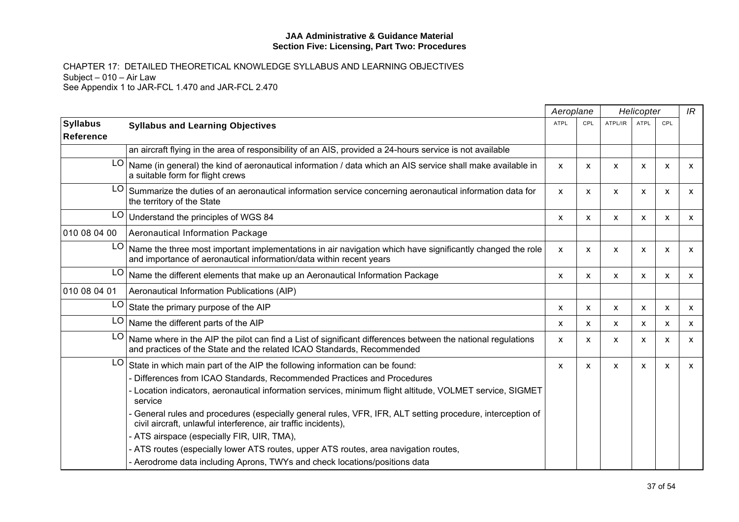|                              |                                                                                                                                                                                                                                                                                                                                                                                                                                                                                                                                                                                                                                                                          | Aeroplane    |                           | Helicopter                |                           | IR  |              |
|------------------------------|--------------------------------------------------------------------------------------------------------------------------------------------------------------------------------------------------------------------------------------------------------------------------------------------------------------------------------------------------------------------------------------------------------------------------------------------------------------------------------------------------------------------------------------------------------------------------------------------------------------------------------------------------------------------------|--------------|---------------------------|---------------------------|---------------------------|-----|--------------|
| <b>Syllabus</b><br>Reference | <b>Syllabus and Learning Objectives</b>                                                                                                                                                                                                                                                                                                                                                                                                                                                                                                                                                                                                                                  | <b>ATPL</b>  | CPL                       | ATPL/IR                   | <b>ATPL</b>               | CPL |              |
|                              | an aircraft flying in the area of responsibility of an AIS, provided a 24-hours service is not available                                                                                                                                                                                                                                                                                                                                                                                                                                                                                                                                                                 |              |                           |                           |                           |     |              |
| LO                           | Name (in general) the kind of aeronautical information / data which an AIS service shall make available in<br>a suitable form for flight crews                                                                                                                                                                                                                                                                                                                                                                                                                                                                                                                           | X            | X                         | X                         | X                         | X   | X            |
| LO                           | Summarize the duties of an aeronautical information service concerning aeronautical information data for<br>the territory of the State                                                                                                                                                                                                                                                                                                                                                                                                                                                                                                                                   | X            | X                         | X                         | x                         | X   | $\mathsf{x}$ |
| LO                           | Understand the principles of WGS 84                                                                                                                                                                                                                                                                                                                                                                                                                                                                                                                                                                                                                                      | X            | X                         | X                         | X                         | X   | $\mathsf{x}$ |
| 010 08 04 00                 | Aeronautical Information Package                                                                                                                                                                                                                                                                                                                                                                                                                                                                                                                                                                                                                                         |              |                           |                           |                           |     |              |
| LO                           | Name the three most important implementations in air navigation which have significantly changed the role<br>and importance of aeronautical information/data within recent years                                                                                                                                                                                                                                                                                                                                                                                                                                                                                         | X            | X                         | X                         | X                         | X   | $\mathsf{x}$ |
| LO                           | Name the different elements that make up an Aeronautical Information Package                                                                                                                                                                                                                                                                                                                                                                                                                                                                                                                                                                                             | X            | $\mathsf{x}$              | $\boldsymbol{\mathsf{x}}$ | $\boldsymbol{\mathsf{x}}$ | X   | $\mathsf{x}$ |
| 010 08 04 01                 | Aeronautical Information Publications (AIP)                                                                                                                                                                                                                                                                                                                                                                                                                                                                                                                                                                                                                              |              |                           |                           |                           |     |              |
| LO                           | State the primary purpose of the AIP                                                                                                                                                                                                                                                                                                                                                                                                                                                                                                                                                                                                                                     | x            | $\boldsymbol{\mathsf{x}}$ | X                         | X                         | X   | X            |
| LO                           | Name the different parts of the AIP                                                                                                                                                                                                                                                                                                                                                                                                                                                                                                                                                                                                                                      | x            | X                         | X                         | X                         | X   | X            |
| LO                           | Name where in the AIP the pilot can find a List of significant differences between the national regulations<br>and practices of the State and the related ICAO Standards, Recommended                                                                                                                                                                                                                                                                                                                                                                                                                                                                                    | $\mathsf{x}$ | X                         | X                         | X                         | X   | X            |
| LO                           | State in which main part of the AIP the following information can be found:<br>Differences from ICAO Standards, Recommended Practices and Procedures<br>Location indicators, aeronautical information services, minimum flight altitude, VOLMET service, SIGMET<br>service<br>General rules and procedures (especially general rules, VFR, IFR, ALT setting procedure, interception of<br>civil aircraft, unlawful interference, air traffic incidents),<br>ATS airspace (especially FIR, UIR, TMA),<br>ATS routes (especially lower ATS routes, upper ATS routes, area navigation routes,<br>- Aerodrome data including Aprons, TWYs and check locations/positions data | X            | $\boldsymbol{\mathsf{x}}$ | $\mathsf{x}$              | X                         | X   | X            |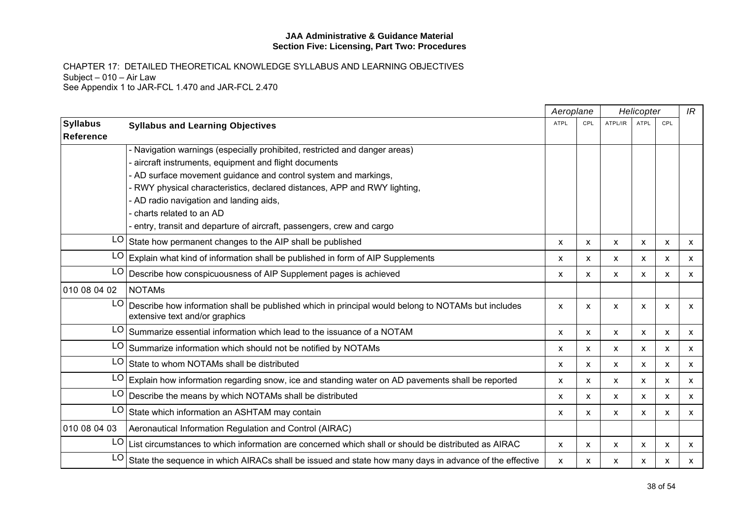|                                     |                                                                                                                                      |             | Aeroplane    |                           | Helicopter  |     |              |
|-------------------------------------|--------------------------------------------------------------------------------------------------------------------------------------|-------------|--------------|---------------------------|-------------|-----|--------------|
| <b>Syllabus</b><br><b>Reference</b> | <b>Syllabus and Learning Objectives</b>                                                                                              | <b>ATPL</b> | CPL          | ATPL/IR                   | <b>ATPL</b> | CPL |              |
|                                     | Navigation warnings (especially prohibited, restricted and danger areas)                                                             |             |              |                           |             |     |              |
|                                     | aircraft instruments, equipment and flight documents                                                                                 |             |              |                           |             |     |              |
|                                     | - AD surface movement guidance and control system and markings,                                                                      |             |              |                           |             |     |              |
|                                     | RWY physical characteristics, declared distances, APP and RWY lighting,                                                              |             |              |                           |             |     |              |
|                                     | - AD radio navigation and landing aids,                                                                                              |             |              |                           |             |     |              |
|                                     | charts related to an AD                                                                                                              |             |              |                           |             |     |              |
|                                     | entry, transit and departure of aircraft, passengers, crew and cargo                                                                 |             |              |                           |             |     |              |
| LO.                                 | State how permanent changes to the AIP shall be published                                                                            | X           | x            | X                         | X           | X   | X            |
| LO                                  | Explain what kind of information shall be published in form of AIP Supplements                                                       | X           | X            | $\boldsymbol{\mathsf{x}}$ | X           | X   | X            |
| LO                                  | Describe how conspicuousness of AIP Supplement pages is achieved                                                                     | X           | x            | $\boldsymbol{\mathsf{x}}$ | x           | X   | $\mathsf{x}$ |
| 010 08 04 02                        | <b>NOTAMS</b>                                                                                                                        |             |              |                           |             |     |              |
| LO                                  | Describe how information shall be published which in principal would belong to NOTAMs but includes<br>extensive text and/or graphics | X           | X            | X                         | X           | X   | X            |
| LO                                  | Summarize essential information which lead to the issuance of a NOTAM                                                                | X           | X            | X                         | X           | X   | X            |
| LO                                  | Summarize information which should not be notified by NOTAMs                                                                         | X           | x            | X                         | X           | X   | X            |
| LO <sub>1</sub>                     | State to whom NOTAMs shall be distributed                                                                                            | X           | $\mathsf{x}$ | X                         | X           | X   | X            |
| LO.                                 | Explain how information regarding snow, ice and standing water on AD pavements shall be reported                                     | X           | x            | X                         | X           | X   | X            |
|                                     | $LO$ Describe the means by which NOTAMs shall be distributed                                                                         | X           | X            | $\boldsymbol{\mathsf{x}}$ | X           | X   | X            |
| LO                                  | State which information an ASHTAM may contain                                                                                        | x           | X            | X                         | x           | х   | X            |
| 010 08 04 03                        | Aeronautical Information Regulation and Control (AIRAC)                                                                              |             |              |                           |             |     |              |
| LO.                                 | List circumstances to which information are concerned which shall or should be distributed as AIRAC                                  | X           | X            | X                         | X           | X   | X            |
| LO                                  | State the sequence in which AIRACs shall be issued and state how many days in advance of the effective                               | X           | x            | X                         | х           | x   | X            |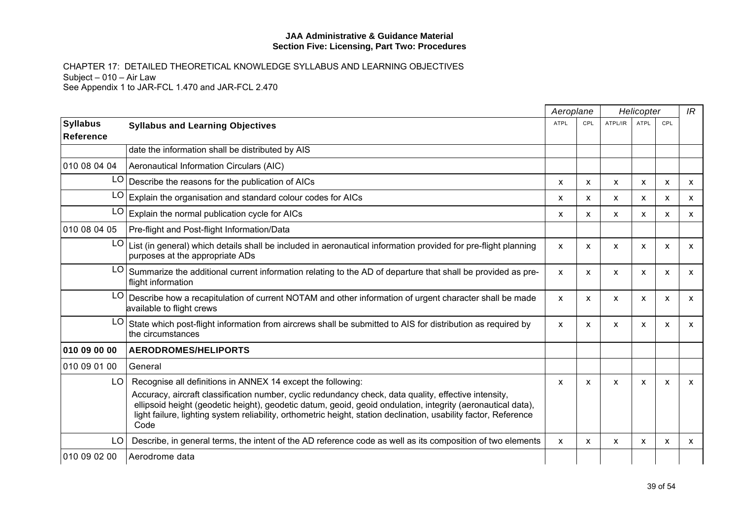|                                     |                                                                                                                                                                                                                                                                                                                                                                                                                 |             | Aeroplane |                           | Helicopter   |     | IR           |
|-------------------------------------|-----------------------------------------------------------------------------------------------------------------------------------------------------------------------------------------------------------------------------------------------------------------------------------------------------------------------------------------------------------------------------------------------------------------|-------------|-----------|---------------------------|--------------|-----|--------------|
| <b>Syllabus</b><br><b>Reference</b> | <b>Syllabus and Learning Objectives</b>                                                                                                                                                                                                                                                                                                                                                                         | <b>ATPL</b> | CPL       | ATPL/IR                   | ATPL         | CPL |              |
|                                     | date the information shall be distributed by AIS                                                                                                                                                                                                                                                                                                                                                                |             |           |                           |              |     |              |
| 010 08 04 04                        | Aeronautical Information Circulars (AIC)                                                                                                                                                                                                                                                                                                                                                                        |             |           |                           |              |     |              |
|                                     | $LO$ Describe the reasons for the publication of AICs                                                                                                                                                                                                                                                                                                                                                           | X           | X         | X                         | X            | х   | X            |
| LO                                  | Explain the organisation and standard colour codes for AICs                                                                                                                                                                                                                                                                                                                                                     | X           | x         | $\mathsf{x}$              | X            | X   | X            |
| LO                                  | Explain the normal publication cycle for AICs                                                                                                                                                                                                                                                                                                                                                                   | X           | X         | $\boldsymbol{\mathsf{x}}$ | X            | X   | $\mathsf{x}$ |
| 010 08 04 05                        | Pre-flight and Post-flight Information/Data                                                                                                                                                                                                                                                                                                                                                                     |             |           |                           |              |     |              |
| LO.                                 | List (in general) which details shall be included in aeronautical information provided for pre-flight planning<br>purposes at the appropriate ADs                                                                                                                                                                                                                                                               | X           | X         | X                         | X            | X   | X            |
| LO                                  | Summarize the additional current information relating to the AD of departure that shall be provided as pre-<br>flight information                                                                                                                                                                                                                                                                               | X           | X         | X                         | X            | X   | X            |
|                                     | LO   Describe how a recapitulation of current NOTAM and other information of urgent character shall be made<br>available to flight crews                                                                                                                                                                                                                                                                        | X           | X         | $\boldsymbol{\mathsf{x}}$ | X            | X   | X            |
| LO I                                | State which post-flight information from aircrews shall be submitted to AIS for distribution as required by<br>the circumstances                                                                                                                                                                                                                                                                                | X           | X         | $\boldsymbol{\mathsf{x}}$ | X            | X   | X            |
| 010 09 00 00                        | <b>AERODROMES/HELIPORTS</b>                                                                                                                                                                                                                                                                                                                                                                                     |             |           |                           |              |     |              |
| 010 09 01 00                        | General                                                                                                                                                                                                                                                                                                                                                                                                         |             |           |                           |              |     |              |
| LO <sub>1</sub>                     | Recognise all definitions in ANNEX 14 except the following:<br>Accuracy, aircraft classification number, cyclic redundancy check, data quality, effective intensity,<br>ellipsoid height (geodetic height), geodetic datum, geoid, geoid ondulation, integrity (aeronautical data),<br>light failure, lighting system reliability, orthometric height, station declination, usability factor, Reference<br>Code | X           | X         | X                         | $\mathsf{x}$ | X   | X            |
| LO.                                 | Describe, in general terms, the intent of the AD reference code as well as its composition of two elements                                                                                                                                                                                                                                                                                                      | X           | X         | $\boldsymbol{\mathsf{x}}$ | X            | X   | $\mathsf{x}$ |
| 010 09 02 00                        | Aerodrome data                                                                                                                                                                                                                                                                                                                                                                                                  |             |           |                           |              |     |              |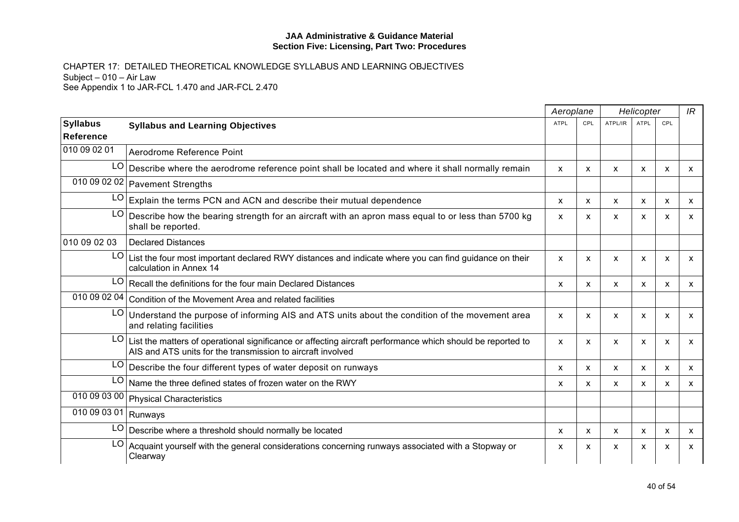|                            |                                                                                                                                                                           | Aeroplane   |              | Helicopter |                           | IR                        |                           |
|----------------------------|---------------------------------------------------------------------------------------------------------------------------------------------------------------------------|-------------|--------------|------------|---------------------------|---------------------------|---------------------------|
| <b>Syllabus</b>            | <b>Syllabus and Learning Objectives</b>                                                                                                                                   | <b>ATPL</b> | CPL          | ATPL/IR    | ATPL                      | CPL                       |                           |
| Reference                  |                                                                                                                                                                           |             |              |            |                           |                           |                           |
| 010 09 02 01               | Aerodrome Reference Point                                                                                                                                                 |             |              |            |                           |                           |                           |
| LO                         | Describe where the aerodrome reference point shall be located and where it shall normally remain                                                                          | X           | x            | X          | X                         | X                         | X                         |
|                            | 010 09 02 02 Pavement Strengths                                                                                                                                           |             |              |            |                           |                           |                           |
| LO                         | Explain the terms PCN and ACN and describe their mutual dependence                                                                                                        | X           | X            | X          | X                         | $\boldsymbol{\mathsf{x}}$ | X                         |
| LO                         | Describe how the bearing strength for an aircraft with an apron mass equal to or less than 5700 kg<br>shall be reported.                                                  | X           | X            | X          | X                         | X                         | $\boldsymbol{\mathsf{x}}$ |
| 010 09 02 03               | <b>Declared Distances</b>                                                                                                                                                 |             |              |            |                           |                           |                           |
| LO                         | List the four most important declared RWY distances and indicate where you can find guidance on their<br>calculation in Annex 14                                          | X           | X            | X          | $\boldsymbol{\mathsf{x}}$ | $\boldsymbol{\mathsf{x}}$ | $\boldsymbol{\mathsf{x}}$ |
| LO                         | Recall the definitions for the four main Declared Distances                                                                                                               | X           | X            | X          | X                         | X                         | $\boldsymbol{\mathsf{x}}$ |
| $\overline{0}$ 10 09 02 04 | Condition of the Movement Area and related facilities                                                                                                                     |             |              |            |                           |                           |                           |
| LO                         | Understand the purpose of informing AIS and ATS units about the condition of the movement area<br>and relating facilities                                                 | X           | x            | X          | X                         | $\boldsymbol{\mathsf{x}}$ | $\boldsymbol{\mathsf{x}}$ |
| LO                         | List the matters of operational significance or affecting aircraft performance which should be reported to<br>AIS and ATS units for the transmission to aircraft involved | X           | X            | X          | X                         | $\boldsymbol{\mathsf{x}}$ | $\mathsf{x}$              |
| LO                         | Describe the four different types of water deposit on runways                                                                                                             | X           | X            | X          | $\boldsymbol{\mathsf{x}}$ | $\boldsymbol{\mathsf{x}}$ | X                         |
| LO.                        | Name the three defined states of frozen water on the RWY                                                                                                                  | X           | $\mathsf{x}$ | X          | $\boldsymbol{\mathsf{x}}$ | X                         | $\mathsf{x}$              |
|                            | 010 09 03 00 Physical Characteristics                                                                                                                                     |             |              |            |                           |                           |                           |
| 010 09 03 01 Runways       |                                                                                                                                                                           |             |              |            |                           |                           |                           |
| LO                         | Describe where a threshold should normally be located                                                                                                                     | X           | X            | X          | X                         | X                         | X                         |
| LO                         | Acquaint yourself with the general considerations concerning runways associated with a Stopway or<br>Clearway                                                             | X           | X            | X          | X                         | X                         | X                         |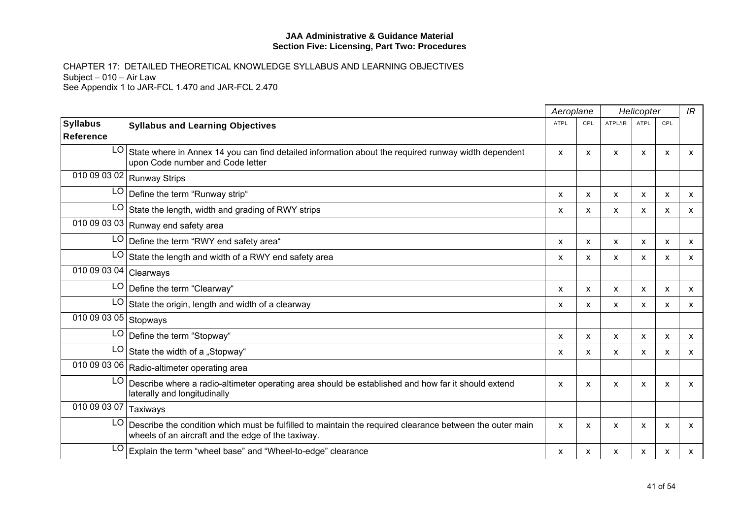|                           |                                                                                                                                                                |             | Aeroplane | Helicopter                |             |     | IR           |
|---------------------------|----------------------------------------------------------------------------------------------------------------------------------------------------------------|-------------|-----------|---------------------------|-------------|-----|--------------|
| <b>Syllabus</b>           | <b>Syllabus and Learning Objectives</b>                                                                                                                        | <b>ATPL</b> | CPL       | ATPL/IR                   | <b>ATPL</b> | CPL |              |
| <b>Reference</b>          |                                                                                                                                                                |             |           |                           |             |     |              |
| LO <sub>1</sub>           | State where in Annex 14 you can find detailed information about the required runway width dependent<br>upon Code number and Code letter                        | X           | X         | X                         | X           | X   | x            |
|                           | 010 09 03 02 Runway Strips                                                                                                                                     |             |           |                           |             |     |              |
|                           | LO Define the term "Runway strip"                                                                                                                              | X           | X         | $\boldsymbol{\mathsf{x}}$ | X           | X   | $\mathsf{x}$ |
| LO                        | State the length, width and grading of RWY strips                                                                                                              | X           | X         | X                         | X           | X   | x            |
|                           | $\overline{010090303}$ 03   Runway end safety area                                                                                                             |             |           |                           |             |     |              |
|                           | LO Define the term "RWY end safety area"                                                                                                                       | X           | X         | $\boldsymbol{\mathsf{x}}$ | X           | X   | $\mathsf{x}$ |
| LO                        | State the length and width of a RWY end safety area                                                                                                            | X           | X         | X                         | X           | X   | X            |
| 010 09 03 04 Clearways    |                                                                                                                                                                |             |           |                           |             |     |              |
|                           | LO   Define the term "Clearway"                                                                                                                                | X           | X         | X                         | X           | X   | X            |
| LO.                       | State the origin, length and width of a clearway                                                                                                               | X           | X         | $\boldsymbol{\mathsf{x}}$ | X           | X   | X            |
| 010 09 03 05 Stopways     |                                                                                                                                                                |             |           |                           |             |     |              |
|                           | LO Define the term "Stopway"                                                                                                                                   | X           | X         | $\boldsymbol{\mathsf{x}}$ | X           | X   | $\mathsf{x}$ |
| LO                        | State the width of a "Stopway"                                                                                                                                 | X           | X         | X                         | x           | х   | X            |
|                           | 010 09 03 06 Radio-altimeter operating area                                                                                                                    |             |           |                           |             |     |              |
| LO                        | Describe where a radio-altimeter operating area should be established and how far it should extend<br>laterally and longitudinally                             | X           | X         | $\boldsymbol{\mathsf{x}}$ | X           | X   | X            |
| $\overline{010}$ 09 03 07 | Taxiways                                                                                                                                                       |             |           |                           |             |     |              |
| LO I                      | Describe the condition which must be fulfilled to maintain the required clearance between the outer main<br>wheels of an aircraft and the edge of the taxiway. | X           | X         | X                         | X           | X   | X            |
| LO                        | Explain the term "wheel base" and "Wheel-to-edge" clearance                                                                                                    | X           | x         | X                         | X           | X   | x            |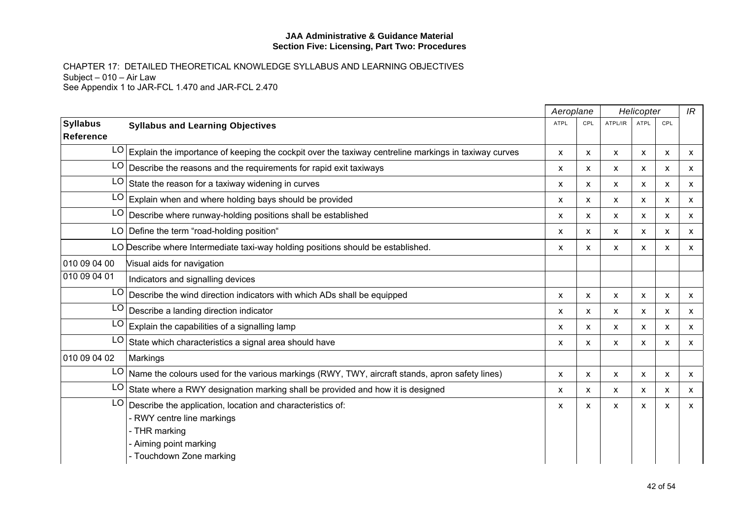|                 |                                                                                                      | Aeroplane    |     |                           | Helicopter                |                           | IR           |
|-----------------|------------------------------------------------------------------------------------------------------|--------------|-----|---------------------------|---------------------------|---------------------------|--------------|
| <b>Syllabus</b> | <b>Syllabus and Learning Objectives</b>                                                              | <b>ATPL</b>  | CPL | ATPL/IR                   | <b>ATPL</b>               | CPL                       |              |
| Reference       |                                                                                                      |              |     |                           |                           |                           |              |
| LO              | Explain the importance of keeping the cockpit over the taxiway centreline markings in taxiway curves | $\mathsf{x}$ | X   | $\boldsymbol{\mathsf{x}}$ | $\mathsf{x}$              | $\boldsymbol{\mathsf{x}}$ | $\mathsf{x}$ |
| LO              | Describe the reasons and the requirements for rapid exit taxiways                                    | x            | X   | X                         | X                         | X                         | $\mathsf{x}$ |
| LO              | State the reason for a taxiway widening in curves                                                    | x            | X   | X                         | X                         | X                         | X            |
| LO              | Explain when and where holding bays should be provided                                               | X            | X   | $\boldsymbol{\mathsf{x}}$ | X                         | $\mathsf{x}$              | $\mathsf{x}$ |
| LO              | Describe where runway-holding positions shall be established                                         | x            | X   | X                         | X                         | X                         | $\mathsf{x}$ |
|                 | LO Define the term "road-holding position"                                                           | X            | X   | X                         | X                         | X                         | $\mathsf{x}$ |
|                 | LO Describe where Intermediate taxi-way holding positions should be established.                     | x            | X   | x                         | $\boldsymbol{\mathsf{x}}$ | $\boldsymbol{\mathsf{x}}$ | $\mathsf{x}$ |
| 010 09 04 00    | Visual aids for navigation                                                                           |              |     |                           |                           |                           |              |
| 010 09 04 01    | Indicators and signalling devices                                                                    |              |     |                           |                           |                           |              |
| LO              | Describe the wind direction indicators with which ADs shall be equipped                              | x            | X   | X                         | X                         | X                         | X            |
| LO              | Describe a landing direction indicator                                                               | x            | X   | X                         | X                         | X                         | $\mathsf{x}$ |
| LO              | Explain the capabilities of a signalling lamp                                                        | X            | X   | $\boldsymbol{\mathsf{x}}$ | X                         | X                         | X            |
| LO              | State which characteristics a signal area should have                                                | x            | X   | X                         | X                         | X                         | $\mathsf{x}$ |
| 010 09 04 02    | Markings                                                                                             |              |     |                           |                           |                           |              |
| LO              | Name the colours used for the various markings (RWY, TWY, aircraft stands, apron safety lines)       | X            | X   | X                         | X                         | X                         | X            |
| LO              | State where a RWY designation marking shall be provided and how it is designed                       | X            | x   | X                         | X                         | X                         | $\mathsf{x}$ |
| LO              | Describe the application, location and characteristics of:                                           | X            | X   | $\boldsymbol{\mathsf{x}}$ | $\mathsf{x}$              | $\boldsymbol{\mathsf{x}}$ | $\mathsf{x}$ |
|                 | - RWY centre line markings                                                                           |              |     |                           |                           |                           |              |
|                 | - THR marking                                                                                        |              |     |                           |                           |                           |              |
|                 | - Aiming point marking                                                                               |              |     |                           |                           |                           |              |
|                 | - Touchdown Zone marking                                                                             |              |     |                           |                           |                           |              |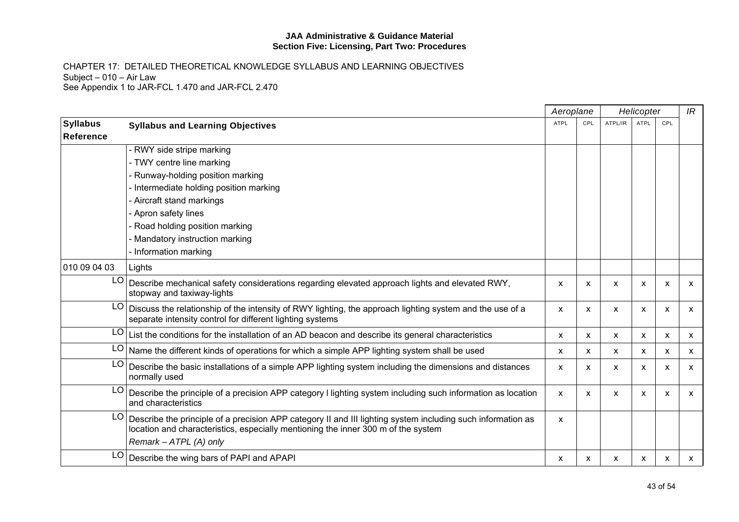|                  |                                                                                                                                                                                                                            |             | Aeroplane | Helicopter                |      |     | IR           |
|------------------|----------------------------------------------------------------------------------------------------------------------------------------------------------------------------------------------------------------------------|-------------|-----------|---------------------------|------|-----|--------------|
| <b>Syllabus</b>  | <b>Syllabus and Learning Objectives</b>                                                                                                                                                                                    | <b>ATPL</b> | CPL       | ATPL/IR                   | ATPL | CPL |              |
| <b>Reference</b> |                                                                                                                                                                                                                            |             |           |                           |      |     |              |
|                  | - RWY side stripe marking                                                                                                                                                                                                  |             |           |                           |      |     |              |
|                  | - TWY centre line marking                                                                                                                                                                                                  |             |           |                           |      |     |              |
|                  | Runway-holding position marking                                                                                                                                                                                            |             |           |                           |      |     |              |
|                  | Intermediate holding position marking                                                                                                                                                                                      |             |           |                           |      |     |              |
|                  | - Aircraft stand markings                                                                                                                                                                                                  |             |           |                           |      |     |              |
|                  | - Apron safety lines                                                                                                                                                                                                       |             |           |                           |      |     |              |
|                  | Road holding position marking                                                                                                                                                                                              |             |           |                           |      |     |              |
|                  | Mandatory instruction marking                                                                                                                                                                                              |             |           |                           |      |     |              |
|                  | Information marking                                                                                                                                                                                                        |             |           |                           |      |     |              |
| 010 09 04 03     | Lights                                                                                                                                                                                                                     |             |           |                           |      |     |              |
|                  | LO   Describe mechanical safety considerations regarding elevated approach lights and elevated RWY,<br>stopway and taxiway-lights                                                                                          | X           | X         | $\boldsymbol{\mathsf{x}}$ | X    | X   | X            |
| LO I             | Discuss the relationship of the intensity of RWY lighting, the approach lighting system and the use of a<br>separate intensity control for different lighting systems                                                      | X           | X         | X                         | x    | х   | X            |
|                  | $LO$ List the conditions for the installation of an AD beacon and describe its general characteristics                                                                                                                     | X           | X         | $\boldsymbol{\mathsf{x}}$ | X    | X   | $\mathsf{x}$ |
|                  | LO Name the different kinds of operations for which a simple APP lighting system shall be used                                                                                                                             | X           | x         | X                         | x    | X   | X            |
| LO.              | Describe the basic installations of a simple APP lighting system including the dimensions and distances<br>normally used                                                                                                   | X           | x         | X                         | x    | X   | X            |
| LO               | Describe the principle of a precision APP category I lighting system including such information as location<br>and characteristics                                                                                         | X           | X         | $\boldsymbol{\mathsf{x}}$ | X    | X   | X            |
| LO.              | Describe the principle of a precision APP category II and III lighting system including such information as<br>location and characteristics, especially mentioning the inner 300 m of the system<br>Remark - ATPL (A) only | X           |           |                           |      |     |              |
| LO               | Describe the wing bars of PAPI and APAPI                                                                                                                                                                                   | X           | x         | X                         | x    | х   | x            |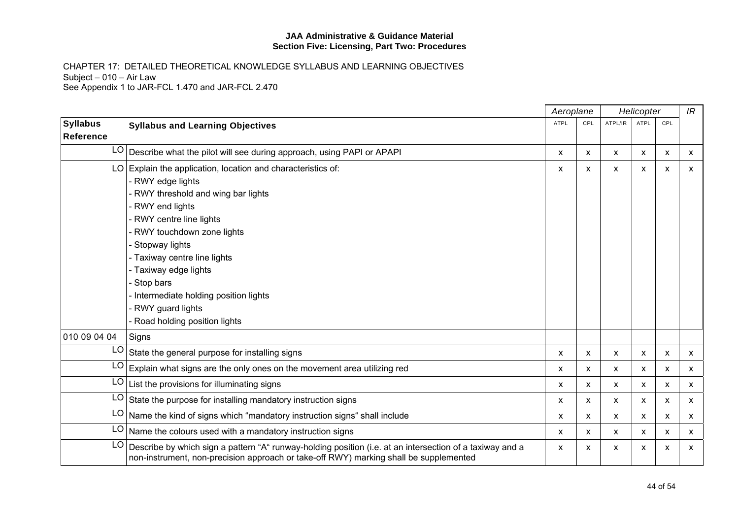|                              |                                                                                                                                                                                                                             |              | Aeroplane | Helicopter |             |                           | IR           |
|------------------------------|-----------------------------------------------------------------------------------------------------------------------------------------------------------------------------------------------------------------------------|--------------|-----------|------------|-------------|---------------------------|--------------|
| <b>Syllabus</b><br>Reference | <b>Syllabus and Learning Objectives</b>                                                                                                                                                                                     | <b>ATPL</b>  | CPL       | ATPL/IR    | <b>ATPL</b> | CPL                       |              |
|                              | LO   Describe what the pilot will see during approach, using PAPI or APAPI                                                                                                                                                  | X            | X         | X          | X           | $\boldsymbol{\mathsf{x}}$ | X            |
|                              | LO Explain the application, location and characteristics of:<br>- RWY edge lights<br>- RWY threshold and wing bar lights<br>- RWY end lights<br>- RWY centre line lights<br>- RWY touchdown zone lights<br>- Stopway lights | X            | x         | X          | X           | $\boldsymbol{\mathsf{x}}$ | $\mathsf{x}$ |
|                              | - Taxiway centre line lights<br>- Taxiway edge lights<br>- Stop bars<br>Intermediate holding position lights<br>RWY guard lights<br>- Road holding position lights                                                          |              |           |            |             |                           |              |
| 010 09 04 04                 | Signs                                                                                                                                                                                                                       |              |           |            |             |                           |              |
| LO                           | State the general purpose for installing signs                                                                                                                                                                              | X            | X         | X          | X           | X                         | X            |
| LO                           | Explain what signs are the only ones on the movement area utilizing red                                                                                                                                                     | $\mathsf{x}$ | X         | X          | X           | X                         | $\mathsf{x}$ |
| LO                           | List the provisions for illuminating signs                                                                                                                                                                                  | X            | X         | X          | X           | X                         | X            |
| LO                           | State the purpose for installing mandatory instruction signs                                                                                                                                                                | x            | X         | X          | x           | X                         | $\mathsf{x}$ |
| LO                           | Name the kind of signs which "mandatory instruction signs" shall include                                                                                                                                                    | x            | X         | X          | X           | X                         | X            |
|                              | $LO$ Name the colours used with a mandatory instruction signs                                                                                                                                                               | X            | X         | X          | X           | X                         | X            |
| LO                           | Describe by which sign a pattern "A" runway-holding position (i.e. at an intersection of a taxiway and a<br>non-instrument, non-precision approach or take-off RWY) marking shall be supplemented                           | X            | x         | X          | х           | X                         | X            |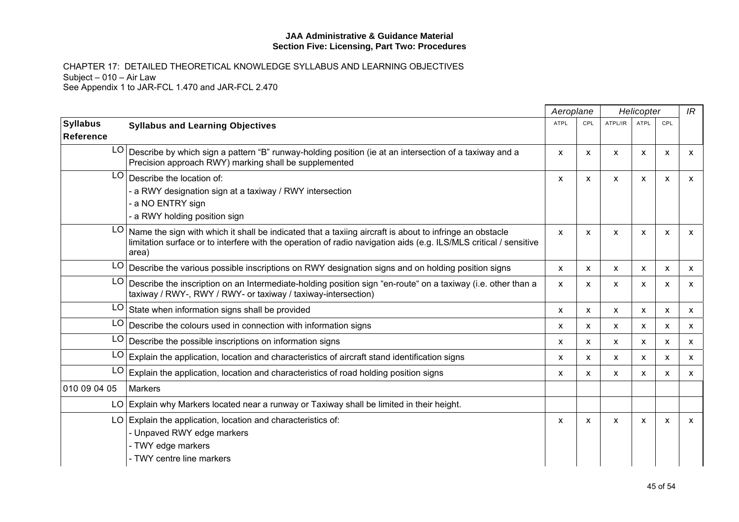|                              |                                                                                                                                                                                                                                       |             | Aeroplane | Helicopter                |             |     | IR           |
|------------------------------|---------------------------------------------------------------------------------------------------------------------------------------------------------------------------------------------------------------------------------------|-------------|-----------|---------------------------|-------------|-----|--------------|
| <b>Syllabus</b><br>Reference | <b>Syllabus and Learning Objectives</b>                                                                                                                                                                                               | <b>ATPL</b> | CPL       | ATPL/IR                   | <b>ATPL</b> | CPL |              |
| LO                           | Describe by which sign a pattern "B" runway-holding position (ie at an intersection of a taxiway and a<br>Precision approach RWY) marking shall be supplemented                                                                       | X           | X         | $\boldsymbol{\mathsf{x}}$ | X           | X   | X            |
| LO.                          | Describe the location of:<br>- a RWY designation sign at a taxiway / RWY intersection<br>- a NO ENTRY sign<br>- a RWY holding position sign                                                                                           | X           | X         | $\boldsymbol{\mathsf{x}}$ | X           | X   | X            |
| LO.                          | Name the sign with which it shall be indicated that a taxiing aircraft is about to infringe an obstacle<br>limitation surface or to interfere with the operation of radio navigation aids (e.g. ILS/MLS critical / sensitive<br>area) | X           | X         | $\boldsymbol{\mathsf{x}}$ | X           | X   | X            |
|                              | LO Describe the various possible inscriptions on RWY designation signs and on holding position signs                                                                                                                                  | X           | X         | $\boldsymbol{\mathsf{X}}$ | X           | X   | $\mathsf{x}$ |
| LO                           | Describe the inscription on an Intermediate-holding position sign "en-route" on a taxiway (i.e. other than a<br>taxiway / RWY-, RWY / RWY- or taxiway / taxiway-intersection)                                                         | X           | X         | X                         | X           | X   | X            |
| LO                           | State when information signs shall be provided                                                                                                                                                                                        | X           | x         | X                         | x           | x   | X            |
| LO                           | Describe the colours used in connection with information signs                                                                                                                                                                        | X           | X         | $\boldsymbol{\mathsf{x}}$ | X           | X   | $\mathsf{x}$ |
| LO                           | Describe the possible inscriptions on information signs                                                                                                                                                                               | X           | X         | X                         | X           | X   | X            |
| LO                           | Explain the application, location and characteristics of aircraft stand identification signs                                                                                                                                          | X           | x         | $\boldsymbol{\mathsf{x}}$ | х           | X   | X            |
| LO                           | Explain the application, location and characteristics of road holding position signs                                                                                                                                                  | X           | X         | X                         | x           | X   | X            |
| 010 09 04 05                 | <b>Markers</b>                                                                                                                                                                                                                        |             |           |                           |             |     |              |
|                              | LO Explain why Markers located near a runway or Taxiway shall be limited in their height.                                                                                                                                             |             |           |                           |             |     |              |
|                              | $LO$ Explain the application, location and characteristics of:<br>- Unpaved RWY edge markers<br>- TWY edge markers<br>- TWY centre line markers                                                                                       | X           | x         | X                         | X           | х   | X            |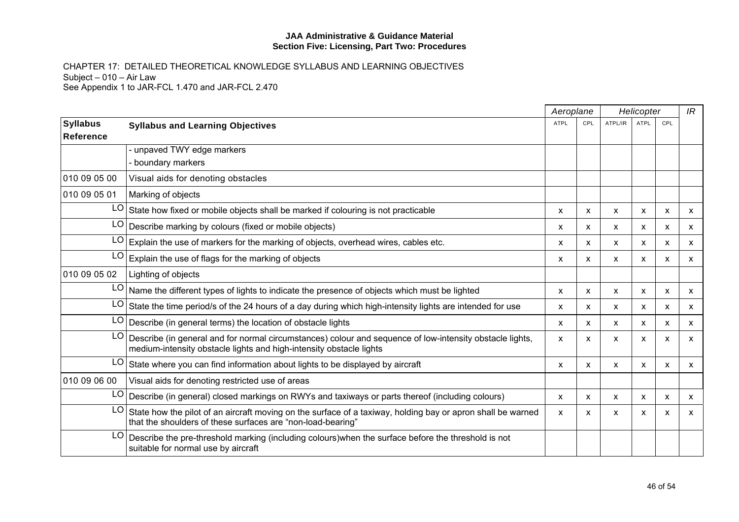|                                     |                                                                                                                                                                                 |             | Aeroplane | Helicopter                |             |     | IR           |
|-------------------------------------|---------------------------------------------------------------------------------------------------------------------------------------------------------------------------------|-------------|-----------|---------------------------|-------------|-----|--------------|
| <b>Syllabus</b><br><b>Reference</b> | <b>Syllabus and Learning Objectives</b>                                                                                                                                         | <b>ATPL</b> | CPL       | ATPL/IR                   | <b>ATPL</b> | CPL |              |
|                                     | - unpaved TWY edge markers                                                                                                                                                      |             |           |                           |             |     |              |
|                                     | boundary markers                                                                                                                                                                |             |           |                           |             |     |              |
| 010 09 05 00                        | Visual aids for denoting obstacles                                                                                                                                              |             |           |                           |             |     |              |
| 010 09 05 01                        | Marking of objects                                                                                                                                                              |             |           |                           |             |     |              |
| LO.                                 | State how fixed or mobile objects shall be marked if colouring is not practicable                                                                                               | X           | x         | X                         | X           | X   | X            |
|                                     | $LO$ Describe marking by colours (fixed or mobile objects)                                                                                                                      | X           | X         | X                         | X           | X   | X            |
| LO                                  | Explain the use of markers for the marking of objects, overhead wires, cables etc.                                                                                              | X           | X         | X                         | x           | x   | X            |
| LO I                                | Explain the use of flags for the marking of objects                                                                                                                             | X           | X         | $\boldsymbol{\mathsf{x}}$ | X           | X   | $\mathsf{x}$ |
| 010 09 05 02                        | Lighting of objects                                                                                                                                                             |             |           |                           |             |     |              |
|                                     | LO Name the different types of lights to indicate the presence of objects which must be lighted                                                                                 | X           | X         | X                         | X           | X   | X            |
| LO                                  | State the time period/s of the 24 hours of a day during which high-intensity lights are intended for use                                                                        | X           | x         | X                         | x           | х   | x            |
| LO.                                 | Describe (in general terms) the location of obstacle lights                                                                                                                     | X           | x         | X                         | x           | х   | X            |
| LO                                  | Describe (in general and for normal circumstances) colour and sequence of low-intensity obstacle lights,<br>medium-intensity obstacle lights and high-intensity obstacle lights | X           | X         | X                         | X           | X   | x            |
| LO                                  | State where you can find information about lights to be displayed by aircraft                                                                                                   | X           | x         | X                         | x           | X   | X            |
| 010 09 06 00                        | Visual aids for denoting restricted use of areas                                                                                                                                |             |           |                           |             |     |              |
| LO.                                 | Describe (in general) closed markings on RWYs and taxiways or parts thereof (including colours)                                                                                 | X           | X         | X                         | х           | X   | x            |
| LO                                  | State how the pilot of an aircraft moving on the surface of a taxiway, holding bay or apron shall be warned<br>that the shoulders of these surfaces are "non-load-bearing"      | X           | x         | X                         | X           | х   | x            |
| LO.                                 | Describe the pre-threshold marking (including colours) when the surface before the threshold is not<br>suitable for normal use by aircraft                                      |             |           |                           |             |     |              |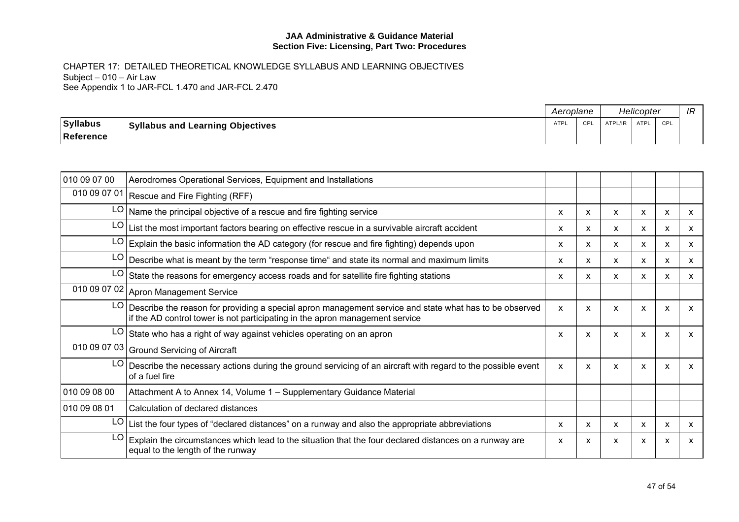|                 |                                         | Aeroplane   |     | Helicopter |      |     | ID<br>IГ |
|-----------------|-----------------------------------------|-------------|-----|------------|------|-----|----------|
| <b>Syllabus</b> | <b>Syllabus and Learning Objectives</b> | <b>ATPI</b> | CPI | ATPL/IR    | ATPL | CPL |          |
| Reference       |                                         |             |     |            |      |     |          |

| 010 09 07 00 | Aerodromes Operational Services, Equipment and Installations                                                                                                                           |              |   |                           |   |   |              |
|--------------|----------------------------------------------------------------------------------------------------------------------------------------------------------------------------------------|--------------|---|---------------------------|---|---|--------------|
|              | 010 09 07 01 Rescue and Fire Fighting (RFF)                                                                                                                                            |              |   |                           |   |   |              |
|              | $LO$ Name the principal objective of a rescue and fire fighting service                                                                                                                | x            | X | X                         | X | X | $\mathsf{x}$ |
| LO           | List the most important factors bearing on effective rescue in a survivable aircraft accident                                                                                          | X            | X | X                         | X | X | X            |
| LO           | Explain the basic information the AD category (for rescue and fire fighting) depends upon                                                                                              | X            | X | X                         | X | X | $\mathsf{x}$ |
| LO           | Describe what is meant by the term "response time" and state its normal and maximum limits                                                                                             | X            | X | $\boldsymbol{\mathsf{x}}$ | X | X | X            |
| LO           | State the reasons for emergency access roads and for satellite fire fighting stations                                                                                                  | x            | x | x                         | x | X | x            |
|              | 010 09 07 02 Apron Management Service                                                                                                                                                  |              |   |                           |   |   |              |
| LO           | Describe the reason for providing a special apron management service and state what has to be observed<br>if the AD control tower is not participating in the apron management service | X            | X | X                         | X | X | X            |
| LO           | State who has a right of way against vehicles operating on an apron                                                                                                                    | x            | X | X                         | X | X | $\mathsf{x}$ |
|              | 010 09 07 03 Ground Servicing of Aircraft                                                                                                                                              |              |   |                           |   |   |              |
| LO           | Describe the necessary actions during the ground servicing of an aircraft with regard to the possible event<br>of a fuel fire                                                          | $\mathsf{x}$ | X | X                         | X | X | X            |
| 010 09 08 00 | Attachment A to Annex 14, Volume 1 - Supplementary Guidance Material                                                                                                                   |              |   |                           |   |   |              |
| 010 09 08 01 | Calculation of declared distances                                                                                                                                                      |              |   |                           |   |   |              |
| LO           | List the four types of "declared distances" on a runway and also the appropriate abbreviations                                                                                         | X            | X | X                         | X | X | $\mathsf{x}$ |
| LO           | Explain the circumstances which lead to the situation that the four declared distances on a runway are<br>equal to the length of the runway                                            | X            | x | X                         | X | X | X            |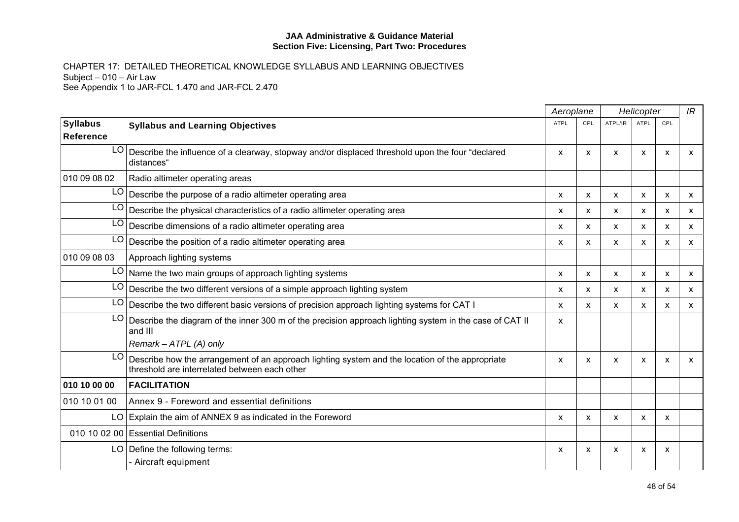|                              |                                                                                                                                                       | Aeroplane |                           |              | Helicopter  |     | IR           |
|------------------------------|-------------------------------------------------------------------------------------------------------------------------------------------------------|-----------|---------------------------|--------------|-------------|-----|--------------|
| <b>Syllabus</b><br>Reference | <b>Syllabus and Learning Objectives</b>                                                                                                               | ATPL      | CPL                       | ATPL/IR      | <b>ATPL</b> | CPL |              |
| LO I                         | Describe the influence of a clearway, stopway and/or displaced threshold upon the four "declared<br>distances"                                        | X         | $\boldsymbol{\mathsf{x}}$ | $\mathsf{x}$ | X           | X   | X            |
| 010 09 08 02                 | Radio altimeter operating areas                                                                                                                       |           |                           |              |             |     |              |
| LO                           | Describe the purpose of a radio altimeter operating area                                                                                              | x         | $\mathsf{x}$              | X            | x           | X   | X            |
| LO                           | Describe the physical characteristics of a radio altimeter operating area                                                                             | x         | $\mathsf{x}$              | x            | х           | x   | x            |
| LO                           | Describe dimensions of a radio altimeter operating area                                                                                               | X         | $\mathsf{x}$              | X            | x           | X   | X            |
|                              | $LO$ Describe the position of a radio altimeter operating area                                                                                        | X         | $\boldsymbol{\mathsf{x}}$ | X            | X           | X   | X.           |
| 010 09 08 03                 | Approach lighting systems                                                                                                                             |           |                           |              |             |     |              |
| LO.                          | Name the two main groups of approach lighting systems                                                                                                 | X         | X                         | X            | X           | X   | x            |
| LO                           | Describe the two different versions of a simple approach lighting system                                                                              | X         | X                         | $\mathsf{x}$ | X           | X   | $\mathsf{x}$ |
| LO.                          | Describe the two different basic versions of precision approach lighting systems for CAT I                                                            | X         | $\mathsf{x}$              | $\mathsf{x}$ | X           | X   | $\mathsf{x}$ |
| LO                           | Describe the diagram of the inner 300 m of the precision approach lighting system in the case of CAT II<br>and III                                    | X         |                           |              |             |     |              |
|                              | Remark - ATPL (A) only                                                                                                                                |           |                           |              |             |     |              |
|                              | $LO$ Describe how the arrangement of an approach lighting system and the location of the appropriate<br>threshold are interrelated between each other | x         | $\boldsymbol{\mathsf{x}}$ | X            | X           | X   | X            |
| 010 10 00 00                 | <b>FACILITATION</b>                                                                                                                                   |           |                           |              |             |     |              |
| 010 10 01 00                 | Annex 9 - Foreword and essential definitions                                                                                                          |           |                           |              |             |     |              |
|                              | LO Explain the aim of ANNEX 9 as indicated in the Foreword                                                                                            | X         | X                         | X            | X           | X   |              |
|                              | 010 10 02 00 Essential Definitions                                                                                                                    |           |                           |              |             |     |              |
|                              | LO Define the following terms:<br>- Aircraft equipment                                                                                                | X         | X                         | X            | X           | X   |              |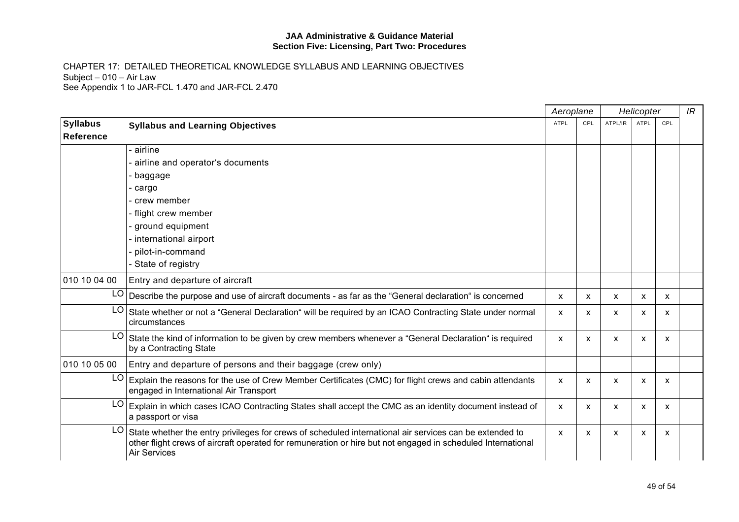|                 |                                                                                                                                                                                                                                               | Aeroplane<br>Helicopter |              |         | IR          |     |  |
|-----------------|-----------------------------------------------------------------------------------------------------------------------------------------------------------------------------------------------------------------------------------------------|-------------------------|--------------|---------|-------------|-----|--|
| <b>Syllabus</b> | <b>Syllabus and Learning Objectives</b>                                                                                                                                                                                                       | ATPL                    | CPL          | ATPL/IR | <b>ATPL</b> | CPL |  |
| Reference       |                                                                                                                                                                                                                                               |                         |              |         |             |     |  |
|                 | airline                                                                                                                                                                                                                                       |                         |              |         |             |     |  |
|                 | airline and operator's documents                                                                                                                                                                                                              |                         |              |         |             |     |  |
|                 | baggage                                                                                                                                                                                                                                       |                         |              |         |             |     |  |
|                 | cargo                                                                                                                                                                                                                                         |                         |              |         |             |     |  |
|                 | crew member                                                                                                                                                                                                                                   |                         |              |         |             |     |  |
|                 | - flight crew member                                                                                                                                                                                                                          |                         |              |         |             |     |  |
|                 | ground equipment                                                                                                                                                                                                                              |                         |              |         |             |     |  |
|                 | international airport                                                                                                                                                                                                                         |                         |              |         |             |     |  |
|                 | pilot-in-command                                                                                                                                                                                                                              |                         |              |         |             |     |  |
|                 | - State of registry                                                                                                                                                                                                                           |                         |              |         |             |     |  |
| 010 10 04 00    | Entry and departure of aircraft                                                                                                                                                                                                               |                         |              |         |             |     |  |
|                 | $LO$ Describe the purpose and use of aircraft documents - as far as the "General declaration" is concerned                                                                                                                                    | X                       | X            | X       | X           | x   |  |
| LO              | State whether or not a "General Declaration" will be required by an ICAO Contracting State under normal<br>circumstances                                                                                                                      | X                       | $\mathsf{x}$ | X       | X           | x   |  |
| LO              | State the kind of information to be given by crew members whenever a "General Declaration" is required<br>by a Contracting State                                                                                                              | X                       | X            | X       | X           | x   |  |
| 010 10 05 00    | Entry and departure of persons and their baggage (crew only)                                                                                                                                                                                  |                         |              |         |             |     |  |
| LO              | Explain the reasons for the use of Crew Member Certificates (CMC) for flight crews and cabin attendants<br>engaged in International Air Transport                                                                                             | X                       | $\mathsf{x}$ | X       | X           | X   |  |
| LO              | Explain in which cases ICAO Contracting States shall accept the CMC as an identity document instead of<br>a passport or visa                                                                                                                  | X                       | X            | X       | X           | X   |  |
| LO              | State whether the entry privileges for crews of scheduled international air services can be extended to<br>other flight crews of aircraft operated for remuneration or hire but not engaged in scheduled International<br><b>Air Services</b> | X                       | X            | X       | X           | x   |  |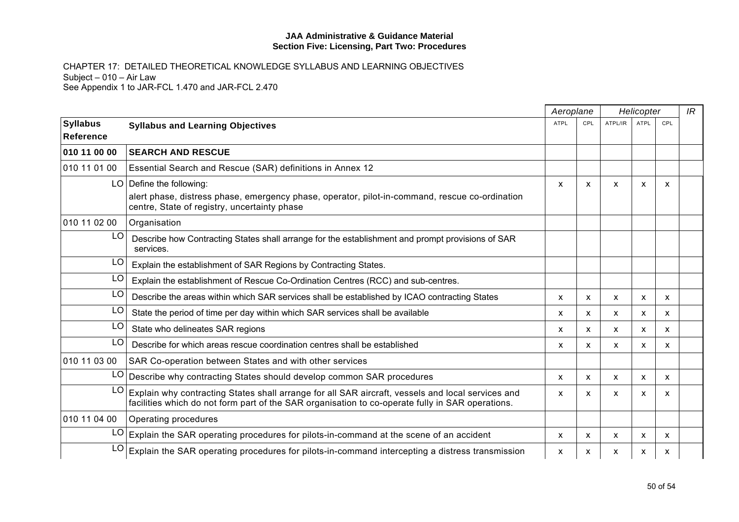|                              |                                                                                                                                                                                                       | Aeroplane    |              |                           | Helicopter  |              | IR |
|------------------------------|-------------------------------------------------------------------------------------------------------------------------------------------------------------------------------------------------------|--------------|--------------|---------------------------|-------------|--------------|----|
| <b>Syllabus</b><br>Reference | <b>Syllabus and Learning Objectives</b>                                                                                                                                                               | <b>ATPL</b>  | CPL          | ATPL/IR                   | <b>ATPL</b> | CPL          |    |
| 010 11 00 00                 | <b>SEARCH AND RESCUE</b>                                                                                                                                                                              |              |              |                           |             |              |    |
| 010 11 01 00                 | Essential Search and Rescue (SAR) definitions in Annex 12                                                                                                                                             |              |              |                           |             |              |    |
|                              | $LO$ Define the following:                                                                                                                                                                            | X            | $\mathsf{x}$ | X                         | X           | X            |    |
|                              | alert phase, distress phase, emergency phase, operator, pilot-in-command, rescue co-ordination<br>centre, State of registry, uncertainty phase                                                        |              |              |                           |             |              |    |
| 010 11 02 00                 | Organisation                                                                                                                                                                                          |              |              |                           |             |              |    |
| LO.                          | Describe how Contracting States shall arrange for the establishment and prompt provisions of SAR<br>services.                                                                                         |              |              |                           |             |              |    |
| LO                           | Explain the establishment of SAR Regions by Contracting States.                                                                                                                                       |              |              |                           |             |              |    |
| LO                           | Explain the establishment of Rescue Co-Ordination Centres (RCC) and sub-centres.                                                                                                                      |              |              |                           |             |              |    |
| LO.                          | Describe the areas within which SAR services shall be established by ICAO contracting States                                                                                                          | X            | $\mathsf{x}$ | $\boldsymbol{\mathsf{x}}$ | X           | $\mathsf{x}$ |    |
| LO                           | State the period of time per day within which SAR services shall be available                                                                                                                         | X            | $\mathsf{x}$ | x                         | X           | X            |    |
| LO                           | State who delineates SAR regions                                                                                                                                                                      | X            | $\mathsf{x}$ | X                         | X           | x            |    |
| LO                           | Describe for which areas rescue coordination centres shall be established                                                                                                                             | X            | $\mathsf{x}$ | X                         | X           | X            |    |
| 010 11 03 00                 | SAR Co-operation between States and with other services                                                                                                                                               |              |              |                           |             |              |    |
| LO.                          | Describe why contracting States should develop common SAR procedures                                                                                                                                  | $\mathsf{x}$ | $\mathsf{x}$ | X                         | X           | X            |    |
| LO                           | Explain why contracting States shall arrange for all SAR aircraft, vessels and local services and<br>facilities which do not form part of the SAR organisation to co-operate fully in SAR operations. | x            | X            | X                         | X           | X            |    |
| 010 11 04 00                 | <b>Operating procedures</b>                                                                                                                                                                           |              |              |                           |             |              |    |
|                              | $LO$ Explain the SAR operating procedures for pilots-in-command at the scene of an accident                                                                                                           | X            | X            | X                         | X           | X            |    |
| LO                           | Explain the SAR operating procedures for pilots-in-command intercepting a distress transmission                                                                                                       | x            | x            | X                         | X           | X            |    |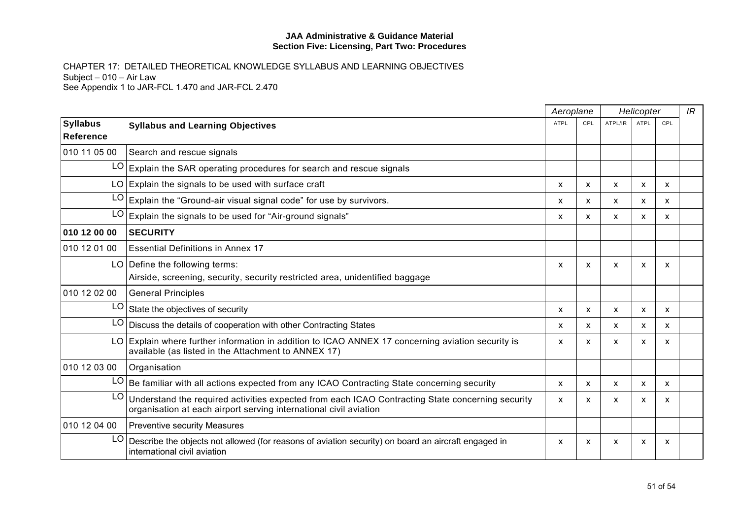|                                     |                                                                                                                                                                       | Aeroplane |                           |              | Helicopter |     | IR |
|-------------------------------------|-----------------------------------------------------------------------------------------------------------------------------------------------------------------------|-----------|---------------------------|--------------|------------|-----|----|
| <b>Syllabus</b><br><b>Reference</b> | <b>Syllabus and Learning Objectives</b>                                                                                                                               | ATPL      | CPL                       | ATPL/IR      | ATPL       | CPL |    |
| 010 11 05 00                        | Search and rescue signals                                                                                                                                             |           |                           |              |            |     |    |
| LO.                                 | Explain the SAR operating procedures for search and rescue signals                                                                                                    |           |                           |              |            |     |    |
|                                     | $LO$ Explain the signals to be used with surface craft                                                                                                                | X         | X                         | X            | X          | X   |    |
|                                     | $LO$ Explain the "Ground-air visual signal code" for use by survivors.                                                                                                | X         | X                         | X            | X          | X   |    |
| LO                                  | Explain the signals to be used for "Air-ground signals"                                                                                                               | X         | $\mathsf{x}$              | X            | X          | X   |    |
| 010 12 00 00                        | <b>SECURITY</b>                                                                                                                                                       |           |                           |              |            |     |    |
| 010 12 01 00                        | <b>Essential Definitions in Annex 17</b>                                                                                                                              |           |                           |              |            |     |    |
|                                     | LO   Define the following terms:                                                                                                                                      | X         | $\boldsymbol{\mathsf{x}}$ | $\mathsf{x}$ | X          | X   |    |
|                                     | Airside, screening, security, security restricted area, unidentified baggage                                                                                          |           |                           |              |            |     |    |
| 010 12 02 00                        | <b>General Principles</b>                                                                                                                                             |           |                           |              |            |     |    |
| LO.                                 | State the objectives of security                                                                                                                                      | X         | $\mathsf{x}$              | $\mathsf{x}$ | X          | X   |    |
| LO.                                 | Discuss the details of cooperation with other Contracting States                                                                                                      | X         | $\mathsf{x}$              | X            | X          | X   |    |
|                                     | LO Explain where further information in addition to ICAO ANNEX 17 concerning aviation security is<br>available (as listed in the Attachment to ANNEX 17)              | X         | X                         | x            | X          | X   |    |
| 010 12 03 00                        | Organisation                                                                                                                                                          |           |                           |              |            |     |    |
| LO                                  | Be familiar with all actions expected from any ICAO Contracting State concerning security                                                                             | X         | X                         | X            | X          | x   |    |
| LO                                  | Understand the required activities expected from each ICAO Contracting State concerning security<br>organisation at each airport serving international civil aviation | x         | X                         | X            | x          | X   |    |
| 010 12 04 00                        | <b>Preventive security Measures</b>                                                                                                                                   |           |                           |              |            |     |    |
| LO.                                 | Describe the objects not allowed (for reasons of aviation security) on board an aircraft engaged in<br>international civil aviation                                   | X         | X                         | X            | X          | X   |    |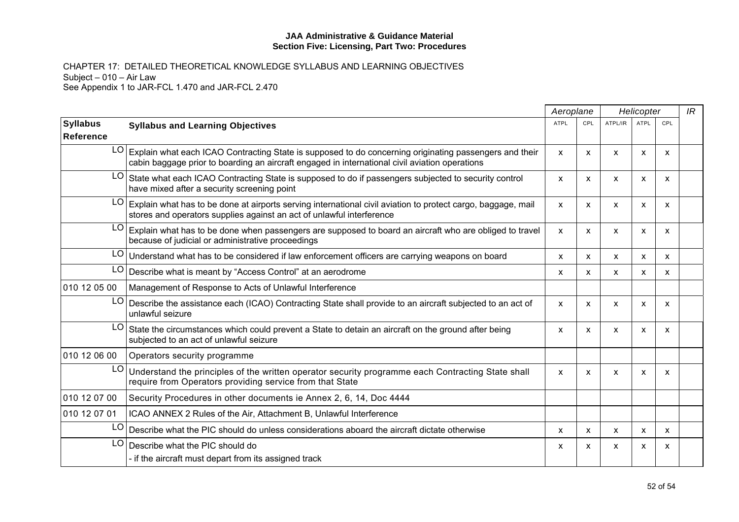|                                     |                                                                                                                                                                                                             | Aeroplane   |                           | Helicopter   |             |     | IR |
|-------------------------------------|-------------------------------------------------------------------------------------------------------------------------------------------------------------------------------------------------------------|-------------|---------------------------|--------------|-------------|-----|----|
| <b>Syllabus</b><br><b>Reference</b> | <b>Syllabus and Learning Objectives</b>                                                                                                                                                                     | <b>ATPL</b> | CPL                       | ATPL/IR      | <b>ATPL</b> | CPL |    |
|                                     | LO Explain what each ICAO Contracting State is supposed to do concerning originating passengers and their<br>cabin baggage prior to boarding an aircraft engaged in international civil aviation operations | X           | X                         | X            | X           | X   |    |
| LO.                                 | State what each ICAO Contracting State is supposed to do if passengers subjected to security control<br>have mixed after a security screening point                                                         | X           | X                         | X            | x           | X   |    |
| LO I                                | Explain what has to be done at airports serving international civil aviation to protect cargo, baggage, mail<br>stores and operators supplies against an act of unlawful interference                       | X           | X                         | $\mathsf{x}$ | X           | X   |    |
| LO                                  | Explain what has to be done when passengers are supposed to board an aircraft who are obliged to travel<br>because of judicial or administrative proceedings                                                | X           | X                         | X            | X           | X   |    |
| LO.                                 | Understand what has to be considered if law enforcement officers are carrying weapons on board                                                                                                              | X.          | $\mathsf{x}$              | X            | X           | X   |    |
| LO.                                 | Describe what is meant by "Access Control" at an aerodrome                                                                                                                                                  | X           | $\boldsymbol{\mathsf{x}}$ | $\mathsf{x}$ | X           | X   |    |
| 010 12 05 00                        | Management of Response to Acts of Unlawful Interference                                                                                                                                                     |             |                           |              |             |     |    |
| LO.                                 | Describe the assistance each (ICAO) Contracting State shall provide to an aircraft subjected to an act of<br>unlawful seizure                                                                               | X           | X                         | X            | X           | X   |    |
| LO.                                 | State the circumstances which could prevent a State to detain an aircraft on the ground after being<br>subjected to an act of unlawful seizure                                                              | X           | X                         | X            | X           | X   |    |
| 010 12 06 00                        | Operators security programme                                                                                                                                                                                |             |                           |              |             |     |    |
| LO.                                 | Understand the principles of the written operator security programme each Contracting State shall<br>require from Operators providing service from that State                                               | X           | X                         | X            | x           | X   |    |
| 010 12 07 00                        | Security Procedures in other documents ie Annex 2, 6, 14, Doc 4444                                                                                                                                          |             |                           |              |             |     |    |
| 010 12 07 01                        | ICAO ANNEX 2 Rules of the Air, Attachment B, Unlawful Interference                                                                                                                                          |             |                           |              |             |     |    |
| LO.                                 | Describe what the PIC should do unless considerations aboard the aircraft dictate otherwise                                                                                                                 | x           | $\mathsf{x}$              | X            | x           | X   |    |
| LO                                  | Describe what the PIC should do                                                                                                                                                                             | X           | x                         | X            | X           | X   |    |
|                                     | - if the aircraft must depart from its assigned track                                                                                                                                                       |             |                           |              |             |     |    |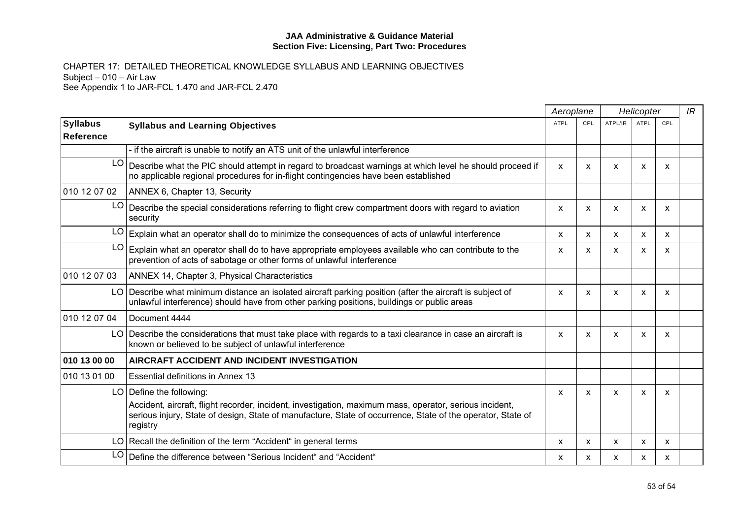|                              |                                                                                                                                                                                                                                                                  | Aeroplane    |                           | Helicopter   |      | IR  |  |
|------------------------------|------------------------------------------------------------------------------------------------------------------------------------------------------------------------------------------------------------------------------------------------------------------|--------------|---------------------------|--------------|------|-----|--|
| <b>Syllabus</b><br>Reference | <b>Syllabus and Learning Objectives</b>                                                                                                                                                                                                                          | <b>ATPL</b>  | CPL                       | ATPL/IR      | ATPL | CPL |  |
|                              | - if the aircraft is unable to notify an ATS unit of the unlawful interference                                                                                                                                                                                   |              |                           |              |      |     |  |
| LO <sub>1</sub>              | Describe what the PIC should attempt in regard to broadcast warnings at which level he should proceed if<br>no applicable regional procedures for in-flight contingencies have been established                                                                  | $\mathsf{x}$ | X                         | $\mathsf{x}$ | X    | X   |  |
| 010 12 07 02                 | ANNEX 6, Chapter 13, Security                                                                                                                                                                                                                                    |              |                           |              |      |     |  |
| LO.                          | Describe the special considerations referring to flight crew compartment doors with regard to aviation<br>security                                                                                                                                               | X            | X                         | $\mathsf{x}$ | X    | X   |  |
|                              | $LO$ Explain what an operator shall do to minimize the consequences of acts of unlawful interference                                                                                                                                                             | X            | $\mathsf{x}$              | $\mathsf{x}$ | X    | X   |  |
| LO                           | Explain what an operator shall do to have appropriate employees available who can contribute to the<br>prevention of acts of sabotage or other forms of unlawful interference                                                                                    | $\mathsf{x}$ | $\boldsymbol{\mathsf{x}}$ | $\mathsf{x}$ | X    | X   |  |
| 010 12 07 03                 | ANNEX 14, Chapter 3, Physical Characteristics                                                                                                                                                                                                                    |              |                           |              |      |     |  |
|                              | LO Describe what minimum distance an isolated aircraft parking position (after the aircraft is subject of<br>unlawful interference) should have from other parking positions, buildings or public areas                                                          | <b>X</b>     | $\boldsymbol{\mathsf{x}}$ | $\mathsf{x}$ | X    | X   |  |
| 010 12 07 04                 | Document 4444                                                                                                                                                                                                                                                    |              |                           |              |      |     |  |
|                              | LO Describe the considerations that must take place with regards to a taxi clearance in case an aircraft is<br>known or believed to be subject of unlawful interference                                                                                          | X            | X                         | X            | x    | X   |  |
| 010 13 00 00                 | AIRCRAFT ACCIDENT AND INCIDENT INVESTIGATION                                                                                                                                                                                                                     |              |                           |              |      |     |  |
| 010 13 01 00                 | Essential definitions in Annex 13                                                                                                                                                                                                                                |              |                           |              |      |     |  |
|                              | $LO$ Define the following:<br>Accident, aircraft, flight recorder, incident, investigation, maximum mass, operator, serious incident,<br>serious injury, State of design, State of manufacture, State of occurrence, State of the operator, State of<br>registry | X            | X                         | X            | x    | X   |  |
|                              | LO Recall the definition of the term "Accident" in general terms                                                                                                                                                                                                 | X            | X                         | X            | X    | x   |  |
| LO                           | Define the difference between "Serious Incident" and "Accident"                                                                                                                                                                                                  | x            | X                         | X            | X    | X   |  |